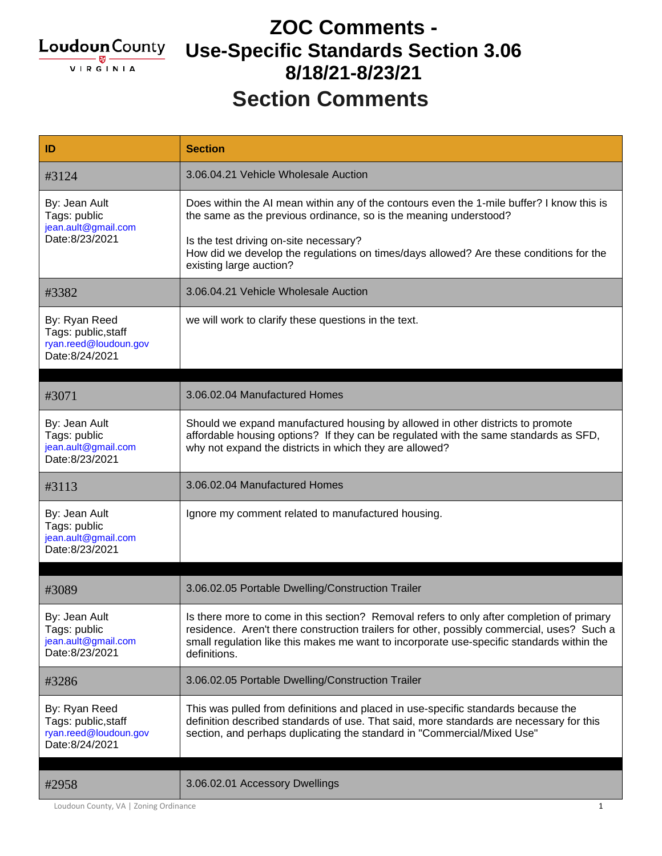

#### **Section Comments ZOC Comments - Use-Specific Standards Section 3.06 8/18/21-8/23/21**

| ID                                                                              | <b>Section</b>                                                                                                                                                                                                                                                                                                                |
|---------------------------------------------------------------------------------|-------------------------------------------------------------------------------------------------------------------------------------------------------------------------------------------------------------------------------------------------------------------------------------------------------------------------------|
| #3124                                                                           | 3.06.04.21 Vehicle Wholesale Auction                                                                                                                                                                                                                                                                                          |
| By: Jean Ault<br>Tags: public<br>jean.ault@gmail.com<br>Date:8/23/2021          | Does within the AI mean within any of the contours even the 1-mile buffer? I know this is<br>the same as the previous ordinance, so is the meaning understood?<br>Is the test driving on-site necessary?<br>How did we develop the regulations on times/days allowed? Are these conditions for the<br>existing large auction? |
| #3382                                                                           | 3.06.04.21 Vehicle Wholesale Auction                                                                                                                                                                                                                                                                                          |
| By: Ryan Reed<br>Tags: public, staff<br>ryan.reed@loudoun.gov<br>Date:8/24/2021 | we will work to clarify these questions in the text.                                                                                                                                                                                                                                                                          |
|                                                                                 | 3.06.02.04 Manufactured Homes                                                                                                                                                                                                                                                                                                 |
| #3071                                                                           |                                                                                                                                                                                                                                                                                                                               |
| By: Jean Ault<br>Tags: public<br>jean.ault@gmail.com<br>Date:8/23/2021          | Should we expand manufactured housing by allowed in other districts to promote<br>affordable housing options? If they can be regulated with the same standards as SFD,<br>why not expand the districts in which they are allowed?                                                                                             |
| #3113                                                                           | 3.06.02.04 Manufactured Homes                                                                                                                                                                                                                                                                                                 |
| By: Jean Ault<br>Tags: public<br>jean.ault@gmail.com<br>Date:8/23/2021          | Ignore my comment related to manufactured housing.                                                                                                                                                                                                                                                                            |
| #3089                                                                           | 3.06.02.05 Portable Dwelling/Construction Trailer                                                                                                                                                                                                                                                                             |
| By: Jean Ault<br>Tags: public<br>jean.ault@gmail.com<br>Date:8/23/2021          | Is there more to come in this section? Removal refers to only after completion of primary<br>residence. Aren't there construction trailers for other, possibly commercial, uses? Such a<br>small regulation like this makes me want to incorporate use-specific standards within the<br>definitions.                          |
|                                                                                 |                                                                                                                                                                                                                                                                                                                               |
| #3286                                                                           | 3.06.02.05 Portable Dwelling/Construction Trailer                                                                                                                                                                                                                                                                             |
| By: Ryan Reed<br>Tags: public, staff<br>ryan.reed@loudoun.gov<br>Date:8/24/2021 | This was pulled from definitions and placed in use-specific standards because the<br>definition described standards of use. That said, more standards are necessary for this<br>section, and perhaps duplicating the standard in "Commercial/Mixed Use"                                                                       |

Loudoun County, VA | Zoning Ordinance 1 1 200 1 200 1 200 1 200 1 200 1 200 1 200 1 200 1 200 1 200 1 200 1 200 1 200 1 200 1 200 1 200 1 200 1 200 1 200 1 200 1 200 1 200 1 200 1 200 1 200 1 200 1 200 1 200 1 200 1 200 1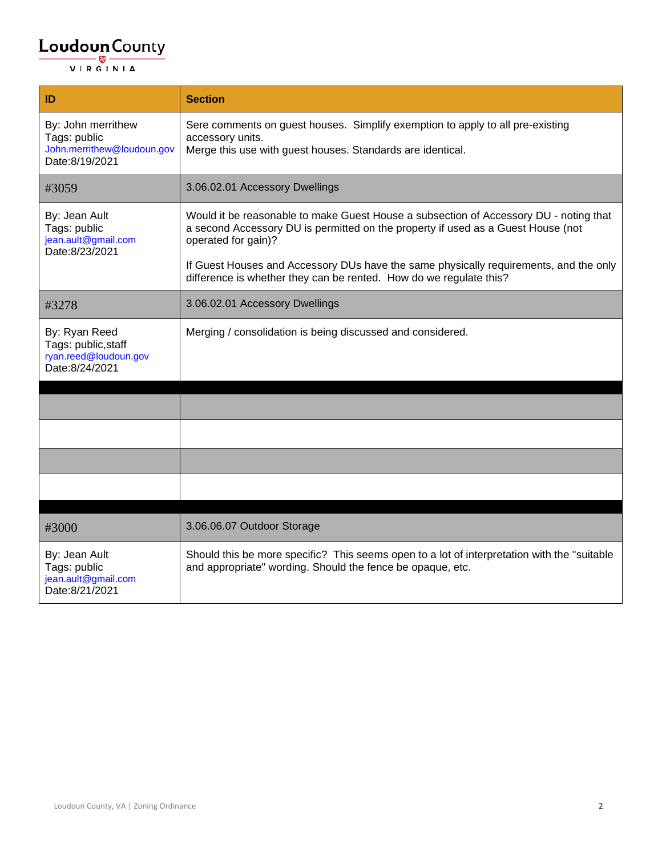| ID                                                                                 | <b>Section</b>                                                                                                                                                                                   |
|------------------------------------------------------------------------------------|--------------------------------------------------------------------------------------------------------------------------------------------------------------------------------------------------|
| By: John merrithew<br>Tags: public<br>John.merrithew@loudoun.gov<br>Date:8/19/2021 | Sere comments on guest houses. Simplify exemption to apply to all pre-existing<br>accessory units.<br>Merge this use with guest houses. Standards are identical.                                 |
| #3059                                                                              | 3.06.02.01 Accessory Dwellings                                                                                                                                                                   |
| By: Jean Ault<br>Tags: public<br>jean.ault@gmail.com<br>Date:8/23/2021             | Would it be reasonable to make Guest House a subsection of Accessory DU - noting that<br>a second Accessory DU is permitted on the property if used as a Guest House (not<br>operated for gain)? |
|                                                                                    | If Guest Houses and Accessory DUs have the same physically requirements, and the only<br>difference is whether they can be rented. How do we regulate this?                                      |
| #3278                                                                              | 3.06.02.01 Accessory Dwellings                                                                                                                                                                   |
| By: Ryan Reed<br>Tags: public, staff<br>ryan.reed@loudoun.gov<br>Date:8/24/2021    | Merging / consolidation is being discussed and considered.                                                                                                                                       |
|                                                                                    |                                                                                                                                                                                                  |
|                                                                                    |                                                                                                                                                                                                  |
|                                                                                    |                                                                                                                                                                                                  |
|                                                                                    |                                                                                                                                                                                                  |
| #3000                                                                              | 3.06.06.07 Outdoor Storage                                                                                                                                                                       |
| By: Jean Ault<br>Tags: public<br>jean.ault@gmail.com<br>Date:8/21/2021             | Should this be more specific? This seems open to a lot of interpretation with the "suitable<br>and appropriate" wording. Should the fence be opaque, etc.                                        |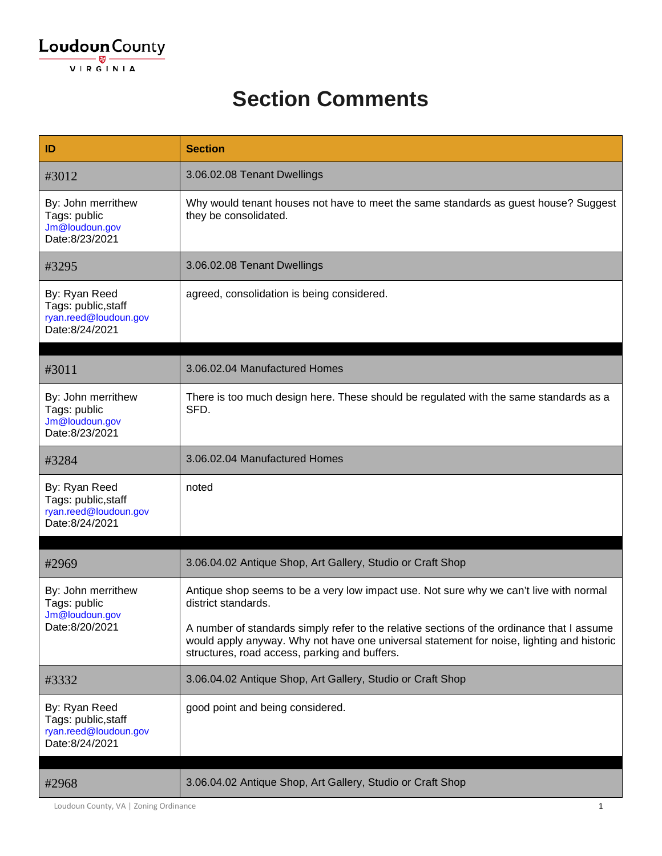#### **Section Comments**

| ID                                                                              | <b>Section</b>                                                                                                                                                                                                                           |
|---------------------------------------------------------------------------------|------------------------------------------------------------------------------------------------------------------------------------------------------------------------------------------------------------------------------------------|
| #3012                                                                           | 3.06.02.08 Tenant Dwellings                                                                                                                                                                                                              |
| By: John merrithew<br>Tags: public<br>Jm@loudoun.gov<br>Date:8/23/2021          | Why would tenant houses not have to meet the same standards as guest house? Suggest<br>they be consolidated.                                                                                                                             |
| #3295                                                                           | 3.06.02.08 Tenant Dwellings                                                                                                                                                                                                              |
| By: Ryan Reed<br>Tags: public, staff<br>ryan.reed@loudoun.gov<br>Date:8/24/2021 | agreed, consolidation is being considered.                                                                                                                                                                                               |
| #3011                                                                           | 3.06.02.04 Manufactured Homes                                                                                                                                                                                                            |
| By: John merrithew<br>Tags: public<br>Jm@loudoun.gov<br>Date:8/23/2021          | There is too much design here. These should be regulated with the same standards as a<br>SFD.                                                                                                                                            |
| #3284                                                                           | 3.06.02.04 Manufactured Homes                                                                                                                                                                                                            |
| By: Ryan Reed<br>Tags: public, staff<br>ryan.reed@loudoun.gov<br>Date:8/24/2021 | noted                                                                                                                                                                                                                                    |
| #2969                                                                           | 3.06.04.02 Antique Shop, Art Gallery, Studio or Craft Shop                                                                                                                                                                               |
| By: John merrithew<br>Tags: public<br>Jm@loudoun.gov<br>Date:8/20/2021          | Antique shop seems to be a very low impact use. Not sure why we can't live with normal<br>district standards.                                                                                                                            |
|                                                                                 | A number of standards simply refer to the relative sections of the ordinance that I assume<br>would apply anyway. Why not have one universal statement for noise, lighting and historic<br>structures, road access, parking and buffers. |
| #3332                                                                           | 3.06.04.02 Antique Shop, Art Gallery, Studio or Craft Shop                                                                                                                                                                               |
| By: Ryan Reed<br>Tags: public, staff<br>ryan.reed@loudoun.gov<br>Date:8/24/2021 | good point and being considered.                                                                                                                                                                                                         |
| #2968                                                                           | 3.06.04.02 Antique Shop, Art Gallery, Studio or Craft Shop                                                                                                                                                                               |

Loudoun County, VA | Zoning Ordinance 1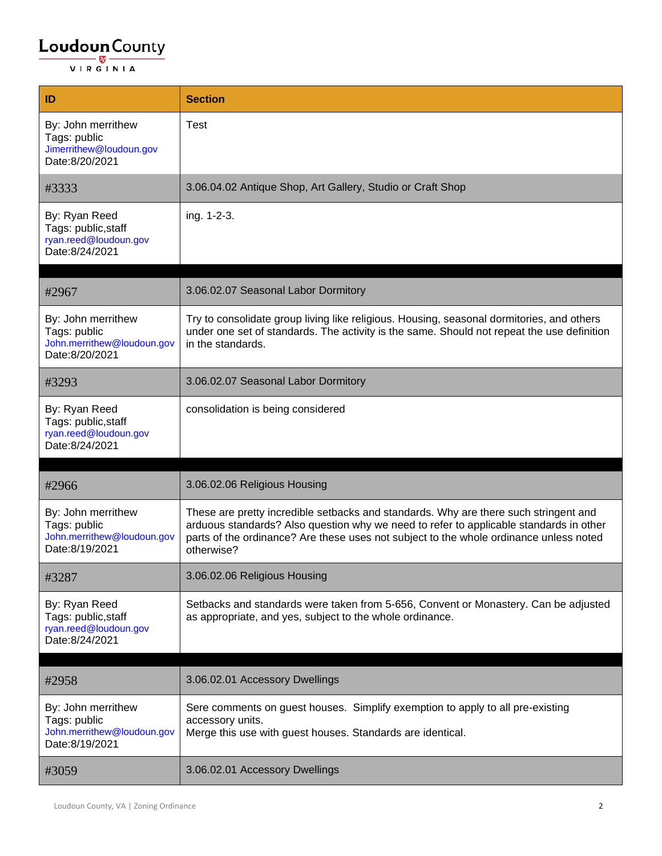| ID                                                                                 | <b>Section</b>                                                                                                                                                                                                                                                                         |
|------------------------------------------------------------------------------------|----------------------------------------------------------------------------------------------------------------------------------------------------------------------------------------------------------------------------------------------------------------------------------------|
| By: John merrithew<br>Tags: public<br>Jimerrithew@loudoun.gov<br>Date:8/20/2021    | Test                                                                                                                                                                                                                                                                                   |
| #3333                                                                              | 3.06.04.02 Antique Shop, Art Gallery, Studio or Craft Shop                                                                                                                                                                                                                             |
| By: Ryan Reed<br>Tags: public, staff<br>ryan.reed@loudoun.gov<br>Date:8/24/2021    | ing. 1-2-3.                                                                                                                                                                                                                                                                            |
| #2967                                                                              | 3.06.02.07 Seasonal Labor Dormitory                                                                                                                                                                                                                                                    |
| By: John merrithew<br>Tags: public<br>John.merrithew@loudoun.gov<br>Date:8/20/2021 | Try to consolidate group living like religious. Housing, seasonal dormitories, and others<br>under one set of standards. The activity is the same. Should not repeat the use definition<br>in the standards.                                                                           |
| #3293                                                                              | 3.06.02.07 Seasonal Labor Dormitory                                                                                                                                                                                                                                                    |
| By: Ryan Reed<br>Tags: public, staff<br>ryan.reed@loudoun.gov<br>Date:8/24/2021    | consolidation is being considered                                                                                                                                                                                                                                                      |
|                                                                                    |                                                                                                                                                                                                                                                                                        |
| #2966                                                                              | 3.06.02.06 Religious Housing                                                                                                                                                                                                                                                           |
| By: John merrithew<br>Tags: public<br>John.merrithew@loudoun.gov<br>Date:8/19/2021 | These are pretty incredible setbacks and standards. Why are there such stringent and<br>arduous standards? Also question why we need to refer to applicable standards in other<br>parts of the ordinance? Are these uses not subject to the whole ordinance unless noted<br>otherwise? |
| #3287                                                                              | 3.06.02.06 Religious Housing                                                                                                                                                                                                                                                           |
| By: Ryan Reed<br>Tags: public, staff<br>ryan.reed@loudoun.gov<br>Date:8/24/2021    | Setbacks and standards were taken from 5-656, Convent or Monastery. Can be adjusted<br>as appropriate, and yes, subject to the whole ordinance.                                                                                                                                        |
| #2958                                                                              | 3.06.02.01 Accessory Dwellings                                                                                                                                                                                                                                                         |
| By: John merrithew<br>Tags: public<br>John.merrithew@loudoun.gov<br>Date:8/19/2021 | Sere comments on guest houses. Simplify exemption to apply to all pre-existing<br>accessory units.<br>Merge this use with guest houses. Standards are identical.                                                                                                                       |
| #3059                                                                              | 3.06.02.01 Accessory Dwellings                                                                                                                                                                                                                                                         |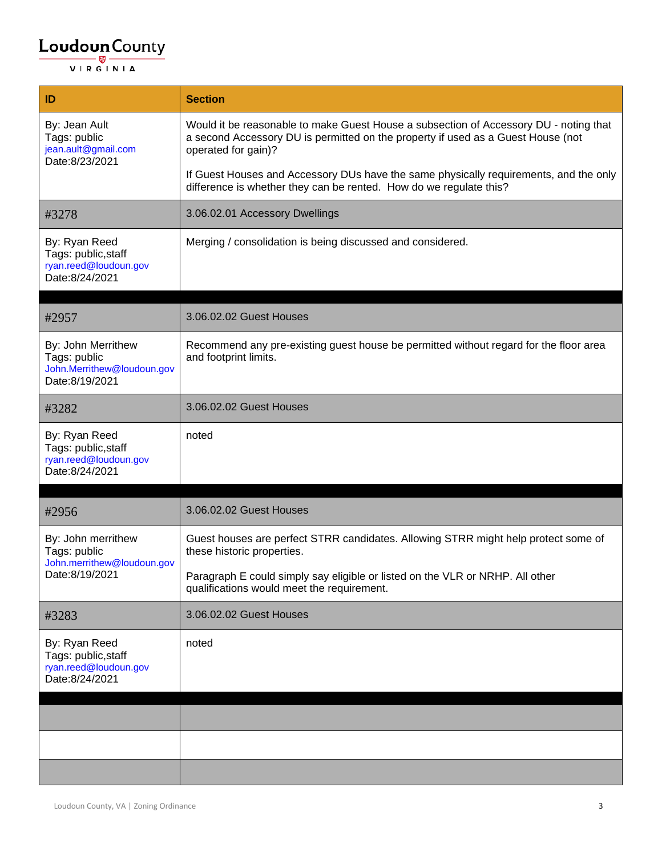| ID                                                                                 | <b>Section</b>                                                                                                                                                                                   |
|------------------------------------------------------------------------------------|--------------------------------------------------------------------------------------------------------------------------------------------------------------------------------------------------|
| By: Jean Ault<br>Tags: public<br>jean.ault@gmail.com<br>Date:8/23/2021             | Would it be reasonable to make Guest House a subsection of Accessory DU - noting that<br>a second Accessory DU is permitted on the property if used as a Guest House (not<br>operated for gain)? |
|                                                                                    | If Guest Houses and Accessory DUs have the same physically requirements, and the only<br>difference is whether they can be rented. How do we regulate this?                                      |
| #3278                                                                              | 3.06.02.01 Accessory Dwellings                                                                                                                                                                   |
| By: Ryan Reed<br>Tags: public, staff<br>ryan.reed@loudoun.gov<br>Date:8/24/2021    | Merging / consolidation is being discussed and considered.                                                                                                                                       |
| #2957                                                                              | 3.06.02.02 Guest Houses                                                                                                                                                                          |
| By: John Merrithew<br>Tags: public<br>John.Merrithew@loudoun.gov<br>Date:8/19/2021 | Recommend any pre-existing guest house be permitted without regard for the floor area<br>and footprint limits.                                                                                   |
| #3282                                                                              | 3.06.02.02 Guest Houses                                                                                                                                                                          |
| By: Ryan Reed<br>Tags: public, staff<br>ryan.reed@loudoun.gov<br>Date:8/24/2021    | noted                                                                                                                                                                                            |
| #2956                                                                              | 3.06.02.02 Guest Houses                                                                                                                                                                          |
| By: John merrithew<br>Tags: public<br>John.merrithew@loudoun.gov<br>Date:8/19/2021 | Guest houses are perfect STRR candidates. Allowing STRR might help protect some of<br>these historic properties.                                                                                 |
|                                                                                    | Paragraph E could simply say eligible or listed on the VLR or NRHP. All other<br>qualifications would meet the requirement.                                                                      |
| #3283                                                                              | 3.06.02.02 Guest Houses                                                                                                                                                                          |
| By: Ryan Reed<br>Tags: public, staff<br>ryan.reed@loudoun.gov<br>Date:8/24/2021    | noted                                                                                                                                                                                            |
|                                                                                    |                                                                                                                                                                                                  |
|                                                                                    |                                                                                                                                                                                                  |
|                                                                                    |                                                                                                                                                                                                  |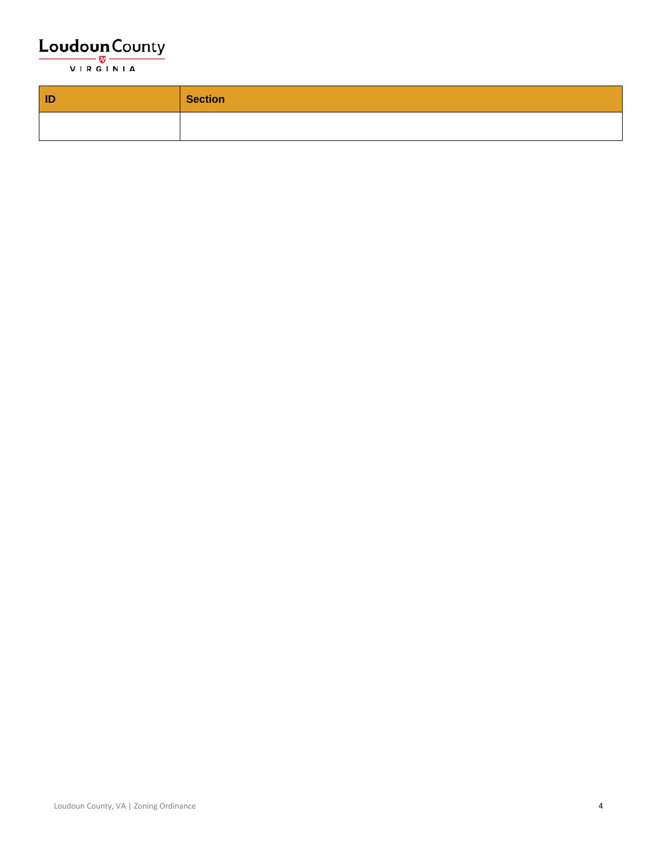

| $\vert$ ID | <b>Section</b> |
|------------|----------------|
|            |                |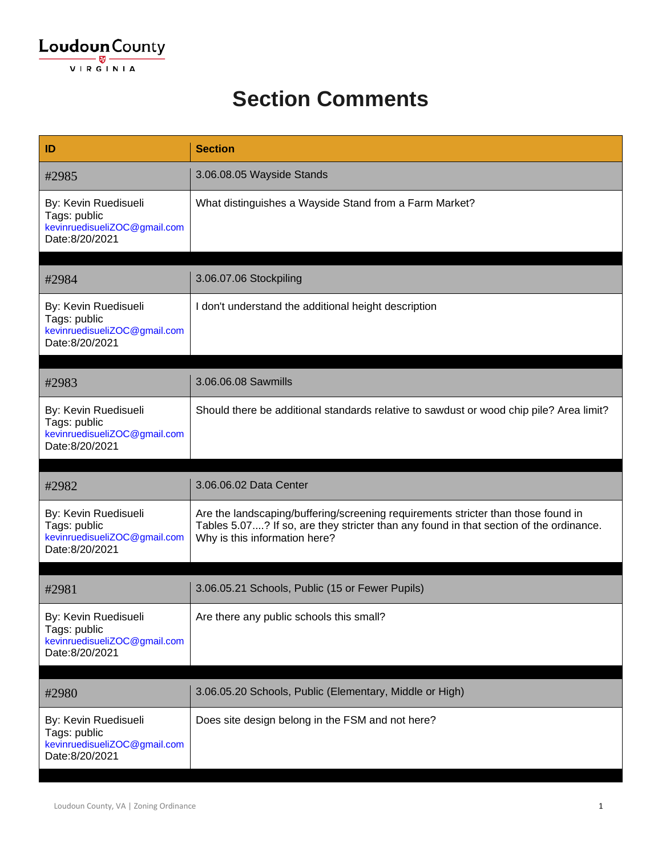#### **Section Comments**

| ID                                                                                     | <b>Section</b>                                                                                                                                                                                               |
|----------------------------------------------------------------------------------------|--------------------------------------------------------------------------------------------------------------------------------------------------------------------------------------------------------------|
| #2985                                                                                  | 3.06.08.05 Wayside Stands                                                                                                                                                                                    |
| By: Kevin Ruedisueli<br>Tags: public<br>kevinruedisueliZOC@gmail.com<br>Date:8/20/2021 | What distinguishes a Wayside Stand from a Farm Market?                                                                                                                                                       |
| #2984                                                                                  | 3.06.07.06 Stockpiling                                                                                                                                                                                       |
| By: Kevin Ruedisueli<br>Tags: public<br>kevinruedisueliZOC@gmail.com<br>Date:8/20/2021 | I don't understand the additional height description                                                                                                                                                         |
| #2983                                                                                  | 3.06.06.08 Sawmills                                                                                                                                                                                          |
| By: Kevin Ruedisueli<br>Tags: public<br>kevinruedisueliZOC@gmail.com<br>Date:8/20/2021 | Should there be additional standards relative to sawdust or wood chip pile? Area limit?                                                                                                                      |
| #2982                                                                                  | 3.06.06.02 Data Center                                                                                                                                                                                       |
| By: Kevin Ruedisueli<br>Tags: public<br>kevinruedisueliZOC@gmail.com<br>Date:8/20/2021 | Are the landscaping/buffering/screening requirements stricter than those found in<br>Tables 5.07? If so, are they stricter than any found in that section of the ordinance.<br>Why is this information here? |
| #2981                                                                                  | 3.06.05.21 Schools, Public (15 or Fewer Pupils)                                                                                                                                                              |
| By: Kevin Ruedisueli<br>Tags: public<br>kevinruedisueliZOC@gmail.com<br>Date:8/20/2021 | Are there any public schools this small?                                                                                                                                                                     |
| #2980                                                                                  | 3.06.05.20 Schools, Public (Elementary, Middle or High)                                                                                                                                                      |
|                                                                                        |                                                                                                                                                                                                              |
| By: Kevin Ruedisueli<br>Tags: public<br>kevinruedisueliZOC@gmail.com<br>Date:8/20/2021 | Does site design belong in the FSM and not here?                                                                                                                                                             |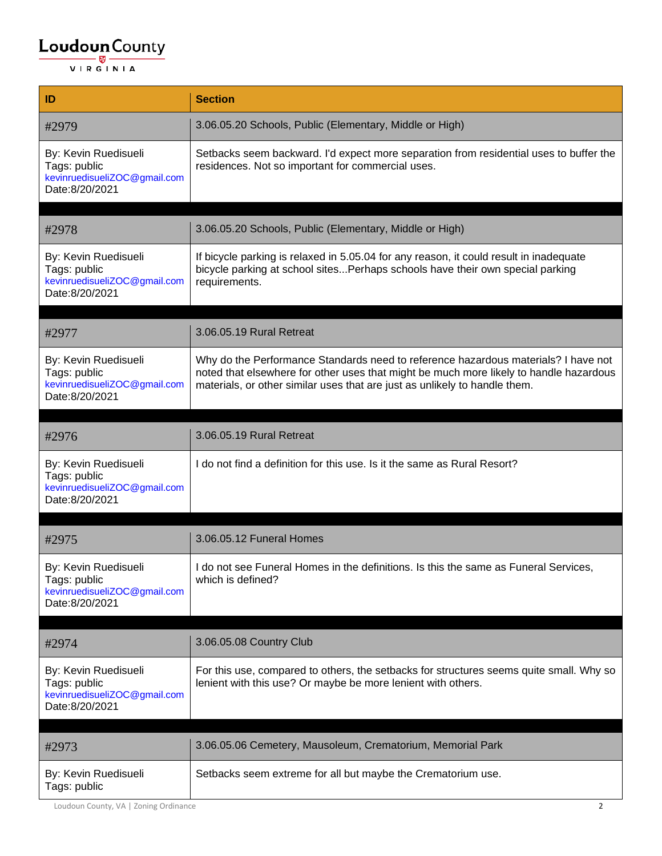| ID                                                                                     | <b>Section</b>                                                                                                                                                                                                                                             |
|----------------------------------------------------------------------------------------|------------------------------------------------------------------------------------------------------------------------------------------------------------------------------------------------------------------------------------------------------------|
| #2979                                                                                  | 3.06.05.20 Schools, Public (Elementary, Middle or High)                                                                                                                                                                                                    |
| By: Kevin Ruedisueli<br>Tags: public<br>kevinruedisueliZOC@gmail.com<br>Date:8/20/2021 | Setbacks seem backward. I'd expect more separation from residential uses to buffer the<br>residences. Not so important for commercial uses.                                                                                                                |
|                                                                                        |                                                                                                                                                                                                                                                            |
| #2978                                                                                  | 3.06.05.20 Schools, Public (Elementary, Middle or High)                                                                                                                                                                                                    |
| By: Kevin Ruedisueli<br>Tags: public<br>kevinruedisueliZOC@gmail.com<br>Date:8/20/2021 | If bicycle parking is relaxed in 5.05.04 for any reason, it could result in inadequate<br>bicycle parking at school sites Perhaps schools have their own special parking<br>requirements.                                                                  |
|                                                                                        |                                                                                                                                                                                                                                                            |
| #2977                                                                                  | 3.06.05.19 Rural Retreat                                                                                                                                                                                                                                   |
| By: Kevin Ruedisueli<br>Tags: public<br>kevinruedisueliZOC@gmail.com<br>Date:8/20/2021 | Why do the Performance Standards need to reference hazardous materials? I have not<br>noted that elsewhere for other uses that might be much more likely to handle hazardous<br>materials, or other similar uses that are just as unlikely to handle them. |
|                                                                                        |                                                                                                                                                                                                                                                            |
| #2976                                                                                  | 3.06.05.19 Rural Retreat                                                                                                                                                                                                                                   |
| By: Kevin Ruedisueli<br>Tags: public<br>kevinruedisueliZOC@gmail.com<br>Date:8/20/2021 | I do not find a definition for this use. Is it the same as Rural Resort?                                                                                                                                                                                   |
|                                                                                        |                                                                                                                                                                                                                                                            |
| #2975                                                                                  | 3.06.05.12 Funeral Homes                                                                                                                                                                                                                                   |
| By: Kevin Ruedisueli<br>Tags: public<br>kevinruedisueliZOC@gmail.com<br>Date:8/20/2021 | do not see Funeral Homes in the definitions. Is this the same as Funeral Services,<br>which is defined?                                                                                                                                                    |
|                                                                                        |                                                                                                                                                                                                                                                            |
| #2974                                                                                  | 3.06.05.08 Country Club                                                                                                                                                                                                                                    |
| By: Kevin Ruedisueli<br>Tags: public<br>kevinruedisueliZOC@gmail.com<br>Date:8/20/2021 | For this use, compared to others, the setbacks for structures seems quite small. Why so<br>lenient with this use? Or maybe be more lenient with others.                                                                                                    |
| #2973                                                                                  | 3.06.05.06 Cemetery, Mausoleum, Crematorium, Memorial Park                                                                                                                                                                                                 |
|                                                                                        |                                                                                                                                                                                                                                                            |
| By: Kevin Ruedisueli<br>Tags: public                                                   | Setbacks seem extreme for all but maybe the Crematorium use.                                                                                                                                                                                               |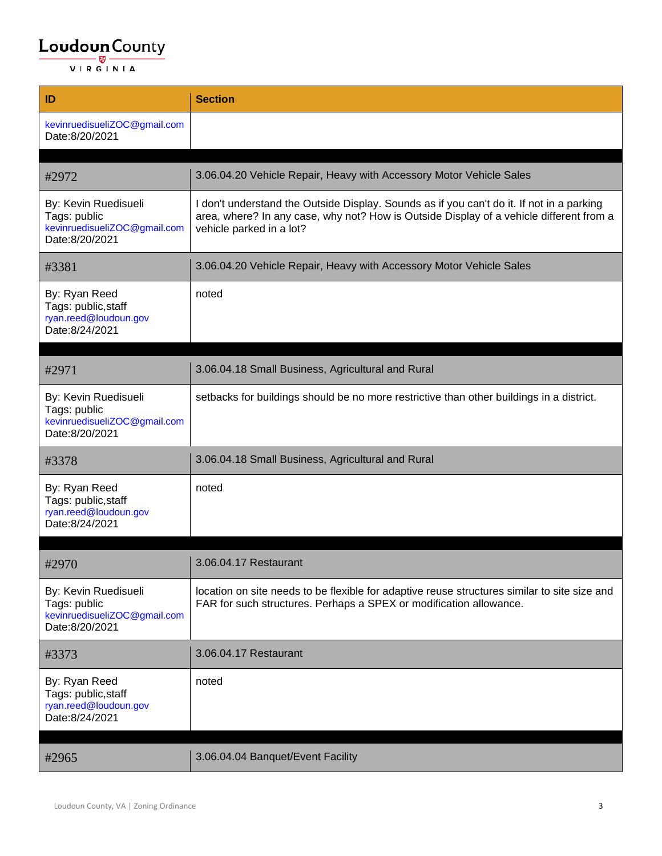| ID                                                                                     | <b>Section</b>                                                                                                                                                                                                   |
|----------------------------------------------------------------------------------------|------------------------------------------------------------------------------------------------------------------------------------------------------------------------------------------------------------------|
| kevinruedisueliZOC@gmail.com<br>Date:8/20/2021                                         |                                                                                                                                                                                                                  |
|                                                                                        |                                                                                                                                                                                                                  |
| #2972                                                                                  | 3.06.04.20 Vehicle Repair, Heavy with Accessory Motor Vehicle Sales                                                                                                                                              |
| By: Kevin Ruedisueli<br>Tags: public<br>kevinruedisueliZOC@gmail.com<br>Date:8/20/2021 | I don't understand the Outside Display. Sounds as if you can't do it. If not in a parking<br>area, where? In any case, why not? How is Outside Display of a vehicle different from a<br>vehicle parked in a lot? |
| #3381                                                                                  | 3.06.04.20 Vehicle Repair, Heavy with Accessory Motor Vehicle Sales                                                                                                                                              |
| By: Ryan Reed<br>Tags: public, staff<br>ryan.reed@loudoun.gov<br>Date:8/24/2021        | noted                                                                                                                                                                                                            |
|                                                                                        |                                                                                                                                                                                                                  |
| #2971                                                                                  | 3.06.04.18 Small Business, Agricultural and Rural                                                                                                                                                                |
| By: Kevin Ruedisueli<br>Tags: public<br>kevinruedisueliZOC@gmail.com<br>Date:8/20/2021 | setbacks for buildings should be no more restrictive than other buildings in a district.                                                                                                                         |
| #3378                                                                                  | 3.06.04.18 Small Business, Agricultural and Rural                                                                                                                                                                |
| By: Ryan Reed<br>Tags: public, staff<br>ryan.reed@loudoun.gov<br>Date:8/24/2021        | noted                                                                                                                                                                                                            |
|                                                                                        |                                                                                                                                                                                                                  |
| #2970                                                                                  | 3.06.04.17 Restaurant                                                                                                                                                                                            |
| By: Kevin Ruedisueli<br>Tags: public<br>kevinruedisueliZOC@gmail.com<br>Date:8/20/2021 | location on site needs to be flexible for adaptive reuse structures similar to site size and<br>FAR for such structures. Perhaps a SPEX or modification allowance.                                               |
| #3373                                                                                  | 3.06.04.17 Restaurant                                                                                                                                                                                            |
| By: Ryan Reed<br>Tags: public, staff<br>ryan.reed@loudoun.gov<br>Date:8/24/2021        | noted                                                                                                                                                                                                            |
| #2965                                                                                  | 3.06.04.04 Banquet/Event Facility                                                                                                                                                                                |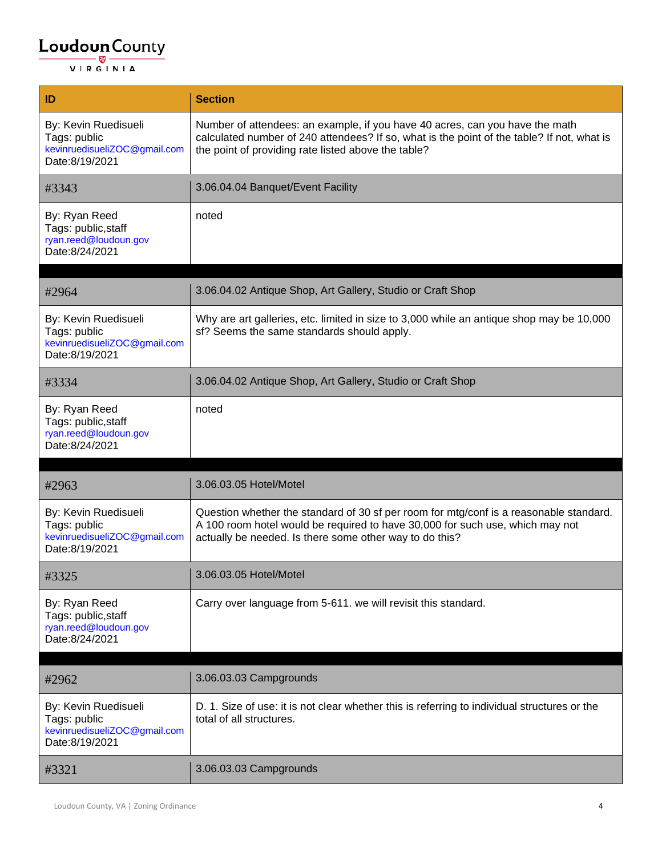| ID                                                                                     | <b>Section</b>                                                                                                                                                                                                                     |
|----------------------------------------------------------------------------------------|------------------------------------------------------------------------------------------------------------------------------------------------------------------------------------------------------------------------------------|
| By: Kevin Ruedisueli<br>Tags: public<br>kevinruedisueliZOC@gmail.com<br>Date:8/19/2021 | Number of attendees: an example, if you have 40 acres, can you have the math<br>calculated number of 240 attendees? If so, what is the point of the table? If not, what is<br>the point of providing rate listed above the table?  |
| #3343                                                                                  | 3.06.04.04 Banquet/Event Facility                                                                                                                                                                                                  |
| By: Ryan Reed<br>Tags: public, staff<br>ryan.reed@loudoun.gov<br>Date:8/24/2021        | noted                                                                                                                                                                                                                              |
| #2964                                                                                  | 3.06.04.02 Antique Shop, Art Gallery, Studio or Craft Shop                                                                                                                                                                         |
| By: Kevin Ruedisueli<br>Tags: public<br>kevinruedisueliZOC@gmail.com<br>Date:8/19/2021 | Why are art galleries, etc. limited in size to 3,000 while an antique shop may be 10,000<br>sf? Seems the same standards should apply.                                                                                             |
| #3334                                                                                  | 3.06.04.02 Antique Shop, Art Gallery, Studio or Craft Shop                                                                                                                                                                         |
| By: Ryan Reed<br>Tags: public, staff<br>ryan.reed@loudoun.gov<br>Date:8/24/2021        | noted                                                                                                                                                                                                                              |
| #2963                                                                                  | 3.06.03.05 Hotel/Motel                                                                                                                                                                                                             |
| By: Kevin Ruedisueli<br>Tags: public<br>kevinruedisueliZOC@gmail.com<br>Date:8/19/2021 | Question whether the standard of 30 sf per room for mtg/conf is a reasonable standard.<br>A 100 room hotel would be required to have 30,000 for such use, which may not<br>actually be needed. Is there some other way to do this? |
| #3325                                                                                  | 3.06.03.05 Hotel/Motel                                                                                                                                                                                                             |
| By: Ryan Reed<br>Tags: public, staff<br>ryan.reed@loudoun.gov<br>Date:8/24/2021        | Carry over language from 5-611. we will revisit this standard.                                                                                                                                                                     |
| #2962                                                                                  | 3.06.03.03 Campgrounds                                                                                                                                                                                                             |
| By: Kevin Ruedisueli<br>Tags: public<br>kevinruedisueliZOC@gmail.com<br>Date:8/19/2021 | D. 1. Size of use: it is not clear whether this is referring to individual structures or the<br>total of all structures.                                                                                                           |
| #3321                                                                                  | 3.06.03.03 Campgrounds                                                                                                                                                                                                             |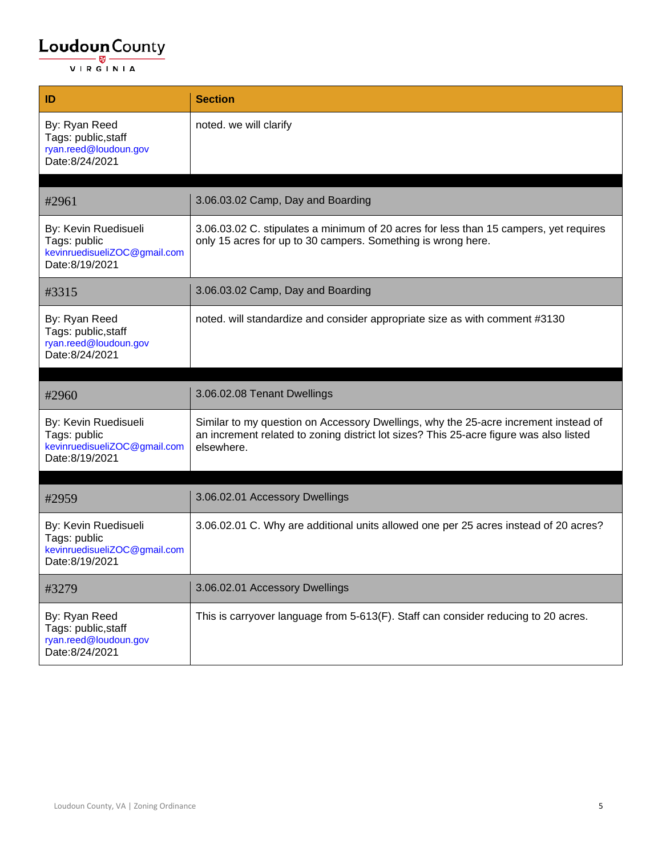| ID                                                                                     | <b>Section</b>                                                                                                                                                                              |
|----------------------------------------------------------------------------------------|---------------------------------------------------------------------------------------------------------------------------------------------------------------------------------------------|
| By: Ryan Reed<br>Tags: public, staff<br>ryan.reed@loudoun.gov<br>Date:8/24/2021        | noted. we will clarify                                                                                                                                                                      |
|                                                                                        |                                                                                                                                                                                             |
| #2961                                                                                  | 3.06.03.02 Camp, Day and Boarding                                                                                                                                                           |
| By: Kevin Ruedisueli<br>Tags: public<br>kevinruedisueliZOC@gmail.com<br>Date:8/19/2021 | 3.06.03.02 C. stipulates a minimum of 20 acres for less than 15 campers, yet requires<br>only 15 acres for up to 30 campers. Something is wrong here.                                       |
| #3315                                                                                  | 3.06.03.02 Camp, Day and Boarding                                                                                                                                                           |
| By: Ryan Reed<br>Tags: public, staff<br>ryan.reed@loudoun.gov<br>Date:8/24/2021        | noted. will standardize and consider appropriate size as with comment #3130                                                                                                                 |
|                                                                                        |                                                                                                                                                                                             |
|                                                                                        |                                                                                                                                                                                             |
| #2960                                                                                  | 3.06.02.08 Tenant Dwellings                                                                                                                                                                 |
| By: Kevin Ruedisueli<br>Tags: public<br>kevinruedisueliZOC@gmail.com<br>Date:8/19/2021 | Similar to my question on Accessory Dwellings, why the 25-acre increment instead of<br>an increment related to zoning district lot sizes? This 25-acre figure was also listed<br>elsewhere. |
|                                                                                        |                                                                                                                                                                                             |
| #2959                                                                                  | 3.06.02.01 Accessory Dwellings                                                                                                                                                              |
| By: Kevin Ruedisueli<br>Tags: public<br>kevinruedisueliZOC@gmail.com<br>Date:8/19/2021 | 3.06.02.01 C. Why are additional units allowed one per 25 acres instead of 20 acres?                                                                                                        |
| #3279                                                                                  | 3.06.02.01 Accessory Dwellings                                                                                                                                                              |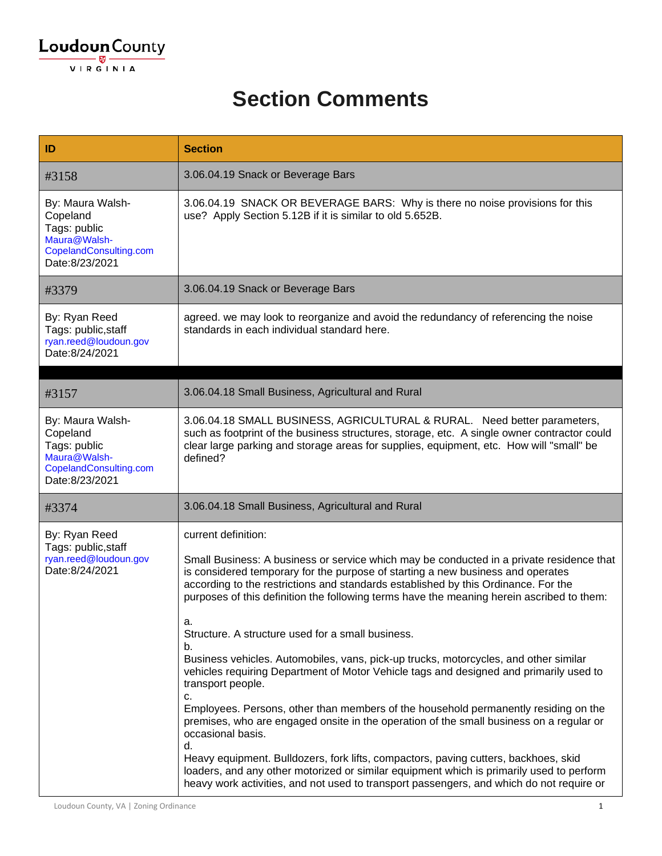### **Section Comments**

| ID                                                                                                       | <b>Section</b>                                                                                                                                                                                                                                                                                                                                                                                                                                                                                                                                                                                                                                                                                                                                                                                                                                                                                                                                                                                                                                                                                                                                                  |
|----------------------------------------------------------------------------------------------------------|-----------------------------------------------------------------------------------------------------------------------------------------------------------------------------------------------------------------------------------------------------------------------------------------------------------------------------------------------------------------------------------------------------------------------------------------------------------------------------------------------------------------------------------------------------------------------------------------------------------------------------------------------------------------------------------------------------------------------------------------------------------------------------------------------------------------------------------------------------------------------------------------------------------------------------------------------------------------------------------------------------------------------------------------------------------------------------------------------------------------------------------------------------------------|
| #3158                                                                                                    | 3.06.04.19 Snack or Beverage Bars                                                                                                                                                                                                                                                                                                                                                                                                                                                                                                                                                                                                                                                                                                                                                                                                                                                                                                                                                                                                                                                                                                                               |
| By: Maura Walsh-<br>Copeland<br>Tags: public<br>Maura@Walsh-<br>CopelandConsulting.com<br>Date:8/23/2021 | 3.06.04.19 SNACK OR BEVERAGE BARS: Why is there no noise provisions for this<br>use? Apply Section 5.12B if it is similar to old 5.652B.                                                                                                                                                                                                                                                                                                                                                                                                                                                                                                                                                                                                                                                                                                                                                                                                                                                                                                                                                                                                                        |
| #3379                                                                                                    | 3.06.04.19 Snack or Beverage Bars                                                                                                                                                                                                                                                                                                                                                                                                                                                                                                                                                                                                                                                                                                                                                                                                                                                                                                                                                                                                                                                                                                                               |
| By: Ryan Reed<br>Tags: public, staff<br>ryan.reed@loudoun.gov<br>Date:8/24/2021                          | agreed. we may look to reorganize and avoid the redundancy of referencing the noise<br>standards in each individual standard here.                                                                                                                                                                                                                                                                                                                                                                                                                                                                                                                                                                                                                                                                                                                                                                                                                                                                                                                                                                                                                              |
|                                                                                                          |                                                                                                                                                                                                                                                                                                                                                                                                                                                                                                                                                                                                                                                                                                                                                                                                                                                                                                                                                                                                                                                                                                                                                                 |
| #3157                                                                                                    | 3.06.04.18 Small Business, Agricultural and Rural                                                                                                                                                                                                                                                                                                                                                                                                                                                                                                                                                                                                                                                                                                                                                                                                                                                                                                                                                                                                                                                                                                               |
| By: Maura Walsh-<br>Copeland<br>Tags: public<br>Maura@Walsh-<br>CopelandConsulting.com<br>Date:8/23/2021 | 3.06.04.18 SMALL BUSINESS, AGRICULTURAL & RURAL. Need better parameters,<br>such as footprint of the business structures, storage, etc. A single owner contractor could<br>clear large parking and storage areas for supplies, equipment, etc. How will "small" be<br>defined?                                                                                                                                                                                                                                                                                                                                                                                                                                                                                                                                                                                                                                                                                                                                                                                                                                                                                  |
| #3374                                                                                                    | 3.06.04.18 Small Business, Agricultural and Rural                                                                                                                                                                                                                                                                                                                                                                                                                                                                                                                                                                                                                                                                                                                                                                                                                                                                                                                                                                                                                                                                                                               |
| By: Ryan Reed<br>Tags: public, staff<br>ryan.reed@loudoun.gov<br>Date:8/24/2021                          | current definition:<br>Small Business: A business or service which may be conducted in a private residence that<br>is considered temporary for the purpose of starting a new business and operates<br>according to the restrictions and standards established by this Ordinance. For the<br>purposes of this definition the following terms have the meaning herein ascribed to them:<br>а.<br>Structure. A structure used for a small business.<br>b.<br>Business vehicles. Automobiles, vans, pick-up trucks, motorcycles, and other similar<br>vehicles requiring Department of Motor Vehicle tags and designed and primarily used to<br>transport people.<br>c.<br>Employees. Persons, other than members of the household permanently residing on the<br>premises, who are engaged onsite in the operation of the small business on a regular or<br>occasional basis.<br>d.<br>Heavy equipment. Bulldozers, fork lifts, compactors, paving cutters, backhoes, skid<br>loaders, and any other motorized or similar equipment which is primarily used to perform<br>heavy work activities, and not used to transport passengers, and which do not require or |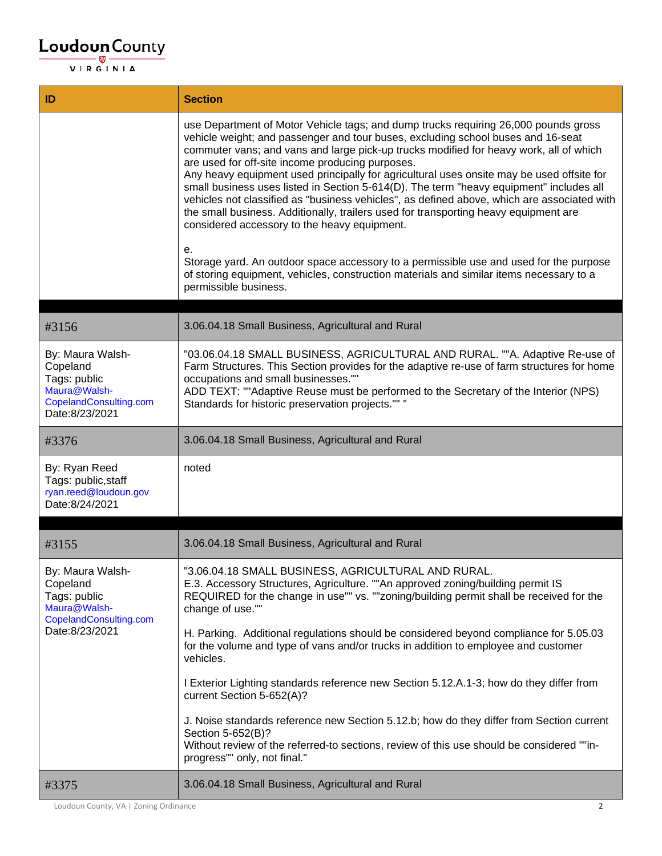| ID                                                                                                       | <b>Section</b>                                                                                                                                                                                                                                                                                                                                                                                                                                                                                                                                                                                                                                                                                                                                                                                                                                                                                                                                                           |
|----------------------------------------------------------------------------------------------------------|--------------------------------------------------------------------------------------------------------------------------------------------------------------------------------------------------------------------------------------------------------------------------------------------------------------------------------------------------------------------------------------------------------------------------------------------------------------------------------------------------------------------------------------------------------------------------------------------------------------------------------------------------------------------------------------------------------------------------------------------------------------------------------------------------------------------------------------------------------------------------------------------------------------------------------------------------------------------------|
|                                                                                                          | use Department of Motor Vehicle tags; and dump trucks requiring 26,000 pounds gross<br>vehicle weight; and passenger and tour buses, excluding school buses and 16-seat<br>commuter vans; and vans and large pick-up trucks modified for heavy work, all of which<br>are used for off-site income producing purposes.<br>Any heavy equipment used principally for agricultural uses onsite may be used offsite for<br>small business uses listed in Section 5-614(D). The term "heavy equipment" includes all<br>vehicles not classified as "business vehicles", as defined above, which are associated with<br>the small business. Additionally, trailers used for transporting heavy equipment are<br>considered accessory to the heavy equipment.<br>е.<br>Storage yard. An outdoor space accessory to a permissible use and used for the purpose<br>of storing equipment, vehicles, construction materials and similar items necessary to a<br>permissible business. |
| #3156                                                                                                    | 3.06.04.18 Small Business, Agricultural and Rural                                                                                                                                                                                                                                                                                                                                                                                                                                                                                                                                                                                                                                                                                                                                                                                                                                                                                                                        |
| By: Maura Walsh-<br>Copeland<br>Tags: public<br>Maura@Walsh-<br>CopelandConsulting.com<br>Date:8/23/2021 | "03.06.04.18 SMALL BUSINESS, AGRICULTURAL AND RURAL. ""A. Adaptive Re-use of<br>Farm Structures. This Section provides for the adaptive re-use of farm structures for home<br>occupations and small businesses.""<br>ADD TEXT: ""Adaptive Reuse must be performed to the Secretary of the Interior (NPS)<br>Standards for historic preservation projects."" "                                                                                                                                                                                                                                                                                                                                                                                                                                                                                                                                                                                                            |
| #3376                                                                                                    | 3.06.04.18 Small Business, Agricultural and Rural                                                                                                                                                                                                                                                                                                                                                                                                                                                                                                                                                                                                                                                                                                                                                                                                                                                                                                                        |
| By: Ryan Reed<br>Tags: public, staff<br>ryan.reed@loudoun.gov<br>Date:8/24/2021                          | noted                                                                                                                                                                                                                                                                                                                                                                                                                                                                                                                                                                                                                                                                                                                                                                                                                                                                                                                                                                    |
|                                                                                                          |                                                                                                                                                                                                                                                                                                                                                                                                                                                                                                                                                                                                                                                                                                                                                                                                                                                                                                                                                                          |
| #3155                                                                                                    | 3.06.04.18 Small Business, Agricultural and Rural                                                                                                                                                                                                                                                                                                                                                                                                                                                                                                                                                                                                                                                                                                                                                                                                                                                                                                                        |
| By: Maura Walsh-<br>Copeland<br>Tags: public<br>Maura@Walsh-<br>CopelandConsulting.com<br>Date:8/23/2021 | "3.06.04.18 SMALL BUSINESS, AGRICULTURAL AND RURAL.<br>E.3. Accessory Structures, Agriculture. ""An approved zoning/building permit IS<br>REQUIRED for the change in use"" vs. ""zoning/building permit shall be received for the<br>change of use.""<br>H. Parking. Additional regulations should be considered beyond compliance for 5.05.03<br>for the volume and type of vans and/or trucks in addition to employee and customer<br>vehicles.<br>I Exterior Lighting standards reference new Section 5.12.A.1-3; how do they differ from<br>current Section 5-652(A)?<br>J. Noise standards reference new Section 5.12.b; how do they differ from Section current<br>Section 5-652(B)?<br>Without review of the referred-to sections, review of this use should be considered ""in-<br>progress"" only, not final."                                                                                                                                                  |
| #3375                                                                                                    | 3.06.04.18 Small Business, Agricultural and Rural                                                                                                                                                                                                                                                                                                                                                                                                                                                                                                                                                                                                                                                                                                                                                                                                                                                                                                                        |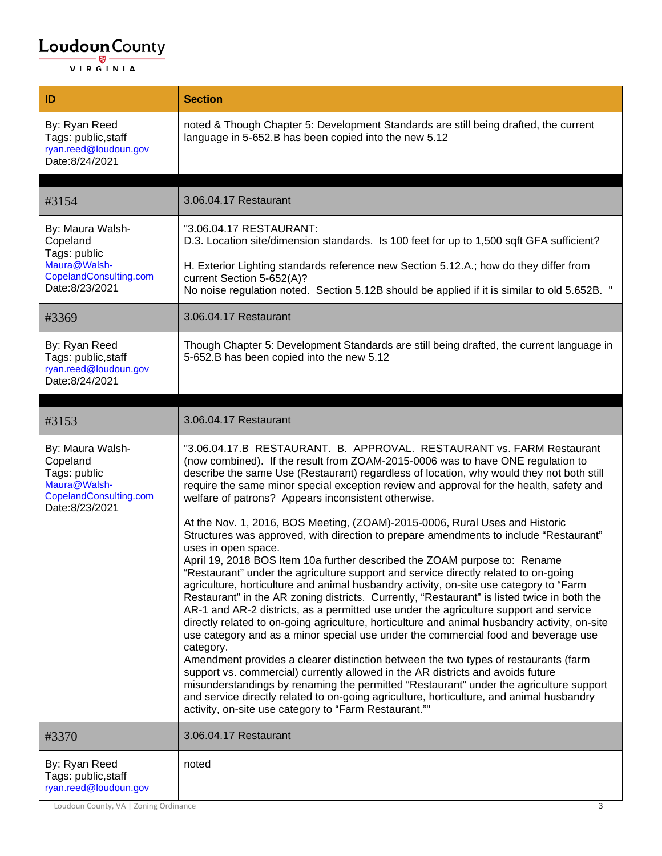| ID                                                                                                       | <b>Section</b>                                                                                                                                                                                                                                                                                                                                                                                                                                                                                                                                                                                                                                         |
|----------------------------------------------------------------------------------------------------------|--------------------------------------------------------------------------------------------------------------------------------------------------------------------------------------------------------------------------------------------------------------------------------------------------------------------------------------------------------------------------------------------------------------------------------------------------------------------------------------------------------------------------------------------------------------------------------------------------------------------------------------------------------|
| By: Ryan Reed<br>Tags: public, staff<br>ryan.reed@loudoun.gov<br>Date:8/24/2021                          | noted & Though Chapter 5: Development Standards are still being drafted, the current<br>language in 5-652.B has been copied into the new 5.12                                                                                                                                                                                                                                                                                                                                                                                                                                                                                                          |
| #3154                                                                                                    | 3.06.04.17 Restaurant                                                                                                                                                                                                                                                                                                                                                                                                                                                                                                                                                                                                                                  |
| By: Maura Walsh-<br>Copeland                                                                             | "3.06.04.17 RESTAURANT:<br>D.3. Location site/dimension standards. Is 100 feet for up to 1,500 sqft GFA sufficient?                                                                                                                                                                                                                                                                                                                                                                                                                                                                                                                                    |
| Tags: public<br>Maura@Walsh-<br>CopelandConsulting.com<br>Date:8/23/2021                                 | H. Exterior Lighting standards reference new Section 5.12.A.; how do they differ from<br>current Section 5-652(A)?<br>No noise regulation noted. Section 5.12B should be applied if it is similar to old 5.652B. "                                                                                                                                                                                                                                                                                                                                                                                                                                     |
| #3369                                                                                                    | 3.06.04.17 Restaurant                                                                                                                                                                                                                                                                                                                                                                                                                                                                                                                                                                                                                                  |
| By: Ryan Reed<br>Tags: public, staff<br>ryan.reed@loudoun.gov<br>Date:8/24/2021                          | Though Chapter 5: Development Standards are still being drafted, the current language in<br>5-652.B has been copied into the new 5.12                                                                                                                                                                                                                                                                                                                                                                                                                                                                                                                  |
|                                                                                                          |                                                                                                                                                                                                                                                                                                                                                                                                                                                                                                                                                                                                                                                        |
| #3153                                                                                                    | 3.06.04.17 Restaurant                                                                                                                                                                                                                                                                                                                                                                                                                                                                                                                                                                                                                                  |
| By: Maura Walsh-<br>Copeland<br>Tags: public<br>Maura@Walsh-<br>CopelandConsulting.com<br>Date:8/23/2021 | "3.06.04.17.B RESTAURANT. B. APPROVAL. RESTAURANT vs. FARM Restaurant<br>(now combined). If the result from ZOAM-2015-0006 was to have ONE regulation to<br>describe the same Use (Restaurant) regardless of location, why would they not both still<br>require the same minor special exception review and approval for the health, safety and<br>welfare of patrons? Appears inconsistent otherwise.                                                                                                                                                                                                                                                 |
|                                                                                                          | At the Nov. 1, 2016, BOS Meeting, (ZOAM)-2015-0006, Rural Uses and Historic<br>Structures was approved, with direction to prepare amendments to include "Restaurant"<br>uses in open space.                                                                                                                                                                                                                                                                                                                                                                                                                                                            |
|                                                                                                          | April 19, 2018 BOS Item 10a further described the ZOAM purpose to: Rename<br>'Restaurant" under the agriculture support and service directly related to on-going<br>agriculture, horticulture and animal husbandry activity, on-site use category to "Farm<br>Restaurant" in the AR zoning districts. Currently, "Restaurant" is listed twice in both the<br>AR-1 and AR-2 districts, as a permitted use under the agriculture support and service<br>directly related to on-going agriculture, horticulture and animal husbandry activity, on-site<br>use category and as a minor special use under the commercial food and beverage use<br>category. |
|                                                                                                          | Amendment provides a clearer distinction between the two types of restaurants (farm<br>support vs. commercial) currently allowed in the AR districts and avoids future<br>misunderstandings by renaming the permitted "Restaurant" under the agriculture support<br>and service directly related to on-going agriculture, horticulture, and animal husbandry<br>activity, on-site use category to "Farm Restaurant.""                                                                                                                                                                                                                                  |
| #3370                                                                                                    | 3.06.04.17 Restaurant                                                                                                                                                                                                                                                                                                                                                                                                                                                                                                                                                                                                                                  |
| By: Ryan Reed<br>Tags: public, staff<br>ryan.reed@loudoun.gov                                            | noted                                                                                                                                                                                                                                                                                                                                                                                                                                                                                                                                                                                                                                                  |

Loudoun County, VA | Zoning Ordinance 3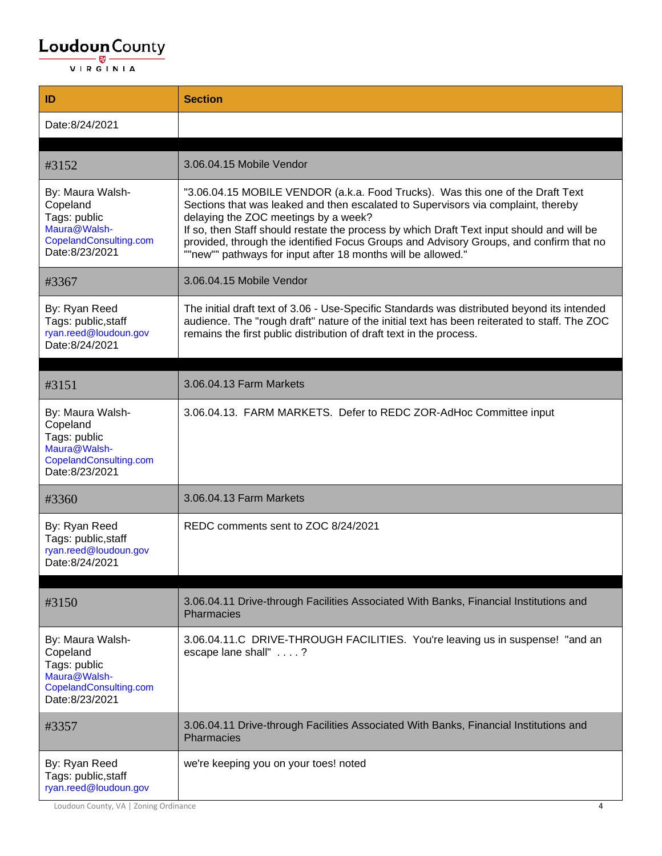| ID                                                                                                       | <b>Section</b>                                                                                                                                                                                                                                                                                                                                                                                                                                                     |
|----------------------------------------------------------------------------------------------------------|--------------------------------------------------------------------------------------------------------------------------------------------------------------------------------------------------------------------------------------------------------------------------------------------------------------------------------------------------------------------------------------------------------------------------------------------------------------------|
| Date:8/24/2021                                                                                           |                                                                                                                                                                                                                                                                                                                                                                                                                                                                    |
| #3152                                                                                                    | 3.06.04.15 Mobile Vendor                                                                                                                                                                                                                                                                                                                                                                                                                                           |
| By: Maura Walsh-<br>Copeland<br>Tags: public<br>Maura@Walsh-<br>CopelandConsulting.com<br>Date:8/23/2021 | "3.06.04.15 MOBILE VENDOR (a.k.a. Food Trucks). Was this one of the Draft Text<br>Sections that was leaked and then escalated to Supervisors via complaint, thereby<br>delaying the ZOC meetings by a week?<br>If so, then Staff should restate the process by which Draft Text input should and will be<br>provided, through the identified Focus Groups and Advisory Groups, and confirm that no<br>""new"" pathways for input after 18 months will be allowed." |
| #3367                                                                                                    | 3.06.04.15 Mobile Vendor                                                                                                                                                                                                                                                                                                                                                                                                                                           |
| By: Ryan Reed<br>Tags: public, staff<br>ryan.reed@loudoun.gov<br>Date:8/24/2021                          | The initial draft text of 3.06 - Use-Specific Standards was distributed beyond its intended<br>audience. The "rough draft" nature of the initial text has been reiterated to staff. The ZOC<br>remains the first public distribution of draft text in the process.                                                                                                                                                                                                 |
| #3151                                                                                                    | 3.06.04.13 Farm Markets                                                                                                                                                                                                                                                                                                                                                                                                                                            |
| By: Maura Walsh-<br>Copeland<br>Tags: public<br>Maura@Walsh-<br>CopelandConsulting.com<br>Date:8/23/2021 | 3.06.04.13. FARM MARKETS. Defer to REDC ZOR-AdHoc Committee input                                                                                                                                                                                                                                                                                                                                                                                                  |
| #3360                                                                                                    | 3.06.04.13 Farm Markets                                                                                                                                                                                                                                                                                                                                                                                                                                            |
| By: Ryan Reed<br>Tags: public, staff<br>ryan.reed@loudoun.gov<br>Date:8/24/2021                          | REDC comments sent to ZOC 8/24/2021                                                                                                                                                                                                                                                                                                                                                                                                                                |
| #3150                                                                                                    | 3.06.04.11 Drive-through Facilities Associated With Banks, Financial Institutions and<br>Pharmacies                                                                                                                                                                                                                                                                                                                                                                |
| By: Maura Walsh-<br>Copeland<br>Tags: public<br>Maura@Walsh-<br>CopelandConsulting.com<br>Date:8/23/2021 | 3.06.04.11.C DRIVE-THROUGH FACILITIES. You're leaving us in suspense! "and an<br>escape lane shall" ?                                                                                                                                                                                                                                                                                                                                                              |
| #3357                                                                                                    | 3.06.04.11 Drive-through Facilities Associated With Banks, Financial Institutions and<br>Pharmacies                                                                                                                                                                                                                                                                                                                                                                |
| By: Ryan Reed<br>Tags: public, staff<br>ryan.reed@loudoun.gov                                            | we're keeping you on your toes! noted                                                                                                                                                                                                                                                                                                                                                                                                                              |

Loudoun County, VA | Zoning Ordinance 4 and 2008 and 2008 and 2008 and 2008 and 2008 and 2008 and 2008 and 200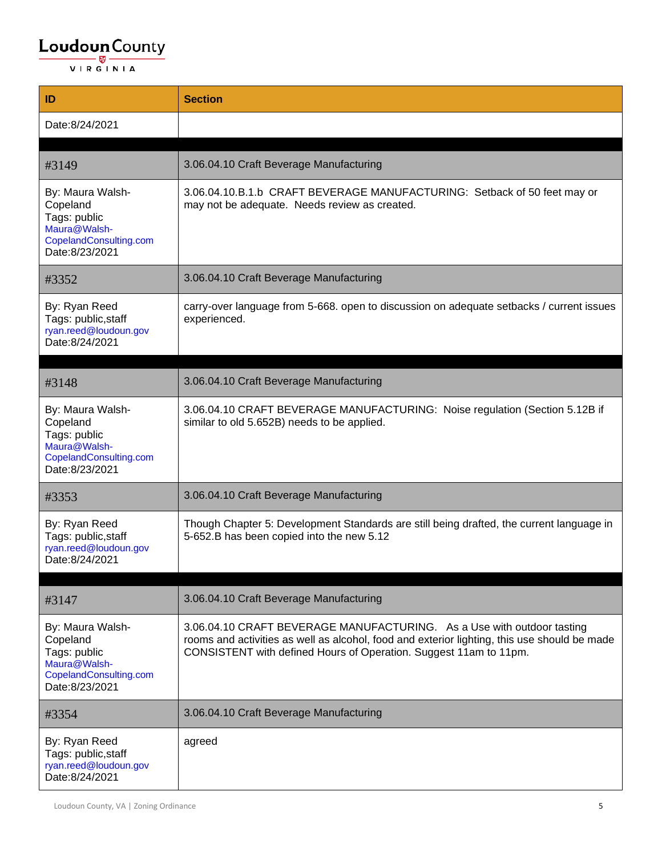| ID                                                                                                       | <b>Section</b>                                                                                                                                                                                                                              |
|----------------------------------------------------------------------------------------------------------|---------------------------------------------------------------------------------------------------------------------------------------------------------------------------------------------------------------------------------------------|
| Date:8/24/2021                                                                                           |                                                                                                                                                                                                                                             |
|                                                                                                          |                                                                                                                                                                                                                                             |
| #3149                                                                                                    | 3.06.04.10 Craft Beverage Manufacturing                                                                                                                                                                                                     |
| By: Maura Walsh-<br>Copeland<br>Tags: public<br>Maura@Walsh-<br>CopelandConsulting.com<br>Date:8/23/2021 | 3.06.04.10.B.1.b CRAFT BEVERAGE MANUFACTURING: Setback of 50 feet may or<br>may not be adequate. Needs review as created.                                                                                                                   |
| #3352                                                                                                    | 3.06.04.10 Craft Beverage Manufacturing                                                                                                                                                                                                     |
| By: Ryan Reed<br>Tags: public, staff<br>ryan.reed@loudoun.gov<br>Date:8/24/2021                          | carry-over language from 5-668. open to discussion on adequate setbacks / current issues<br>experienced.                                                                                                                                    |
| #3148                                                                                                    | 3.06.04.10 Craft Beverage Manufacturing                                                                                                                                                                                                     |
| By: Maura Walsh-<br>Copeland<br>Tags: public<br>Maura@Walsh-<br>CopelandConsulting.com<br>Date:8/23/2021 | 3.06.04.10 CRAFT BEVERAGE MANUFACTURING: Noise regulation (Section 5.12B if<br>similar to old 5.652B) needs to be applied.                                                                                                                  |
| #3353                                                                                                    | 3.06.04.10 Craft Beverage Manufacturing                                                                                                                                                                                                     |
| By: Ryan Reed<br>Tags: public, staff<br>ryan.reed@loudoun.gov<br>Date:8/24/2021                          | Though Chapter 5: Development Standards are still being drafted, the current language in<br>5-652.B has been copied into the new 5.12                                                                                                       |
| #3147                                                                                                    | 3.06.04.10 Craft Beverage Manufacturing                                                                                                                                                                                                     |
| By: Maura Walsh-<br>Copeland<br>Tags: public<br>Maura@Walsh-<br>CopelandConsulting.com<br>Date:8/23/2021 | 3.06.04.10 CRAFT BEVERAGE MANUFACTURING. As a Use with outdoor tasting<br>rooms and activities as well as alcohol, food and exterior lighting, this use should be made<br>CONSISTENT with defined Hours of Operation. Suggest 11am to 11pm. |
| #3354                                                                                                    | 3.06.04.10 Craft Beverage Manufacturing                                                                                                                                                                                                     |
| By: Ryan Reed<br>Tags: public, staff<br>ryan.reed@loudoun.gov<br>Date:8/24/2021                          | agreed                                                                                                                                                                                                                                      |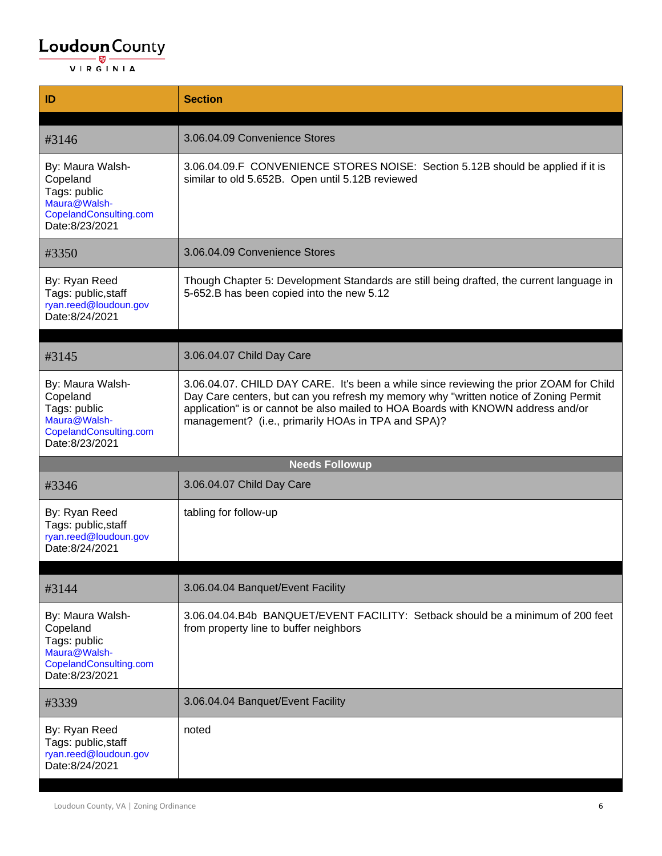| ID                                                                                                       | <b>Section</b>                                                                                                                                                                                                                                                                                                           |
|----------------------------------------------------------------------------------------------------------|--------------------------------------------------------------------------------------------------------------------------------------------------------------------------------------------------------------------------------------------------------------------------------------------------------------------------|
|                                                                                                          |                                                                                                                                                                                                                                                                                                                          |
| #3146                                                                                                    | 3.06.04.09 Convenience Stores                                                                                                                                                                                                                                                                                            |
| By: Maura Walsh-<br>Copeland<br>Tags: public<br>Maura@Walsh-<br>CopelandConsulting.com<br>Date:8/23/2021 | 3.06.04.09.F CONVENIENCE STORES NOISE: Section 5.12B should be applied if it is<br>similar to old 5.652B. Open until 5.12B reviewed                                                                                                                                                                                      |
| #3350                                                                                                    | 3.06.04.09 Convenience Stores                                                                                                                                                                                                                                                                                            |
| By: Ryan Reed<br>Tags: public, staff<br>ryan.reed@loudoun.gov<br>Date:8/24/2021                          | Though Chapter 5: Development Standards are still being drafted, the current language in<br>5-652.B has been copied into the new 5.12                                                                                                                                                                                    |
|                                                                                                          |                                                                                                                                                                                                                                                                                                                          |
| #3145                                                                                                    | 3.06.04.07 Child Day Care                                                                                                                                                                                                                                                                                                |
| By: Maura Walsh-<br>Copeland<br>Tags: public<br>Maura@Walsh-<br>CopelandConsulting.com<br>Date:8/23/2021 | 3.06.04.07. CHILD DAY CARE. It's been a while since reviewing the prior ZOAM for Child<br>Day Care centers, but can you refresh my memory why "written notice of Zoning Permit<br>application" is or cannot be also mailed to HOA Boards with KNOWN address and/or<br>management? (i.e., primarily HOAs in TPA and SPA)? |
|                                                                                                          | <b>Needs Followup</b>                                                                                                                                                                                                                                                                                                    |
| #3346                                                                                                    | 3.06.04.07 Child Day Care                                                                                                                                                                                                                                                                                                |
| By: Ryan Reed<br>Tags: public, staff<br>ryan.reed@loudoun.gov<br>Date:8/24/2021                          | tabling for follow-up                                                                                                                                                                                                                                                                                                    |
|                                                                                                          |                                                                                                                                                                                                                                                                                                                          |
| #3144                                                                                                    | 3.06.04.04 Banquet/Event Facility                                                                                                                                                                                                                                                                                        |
| By: Maura Walsh-<br>Copeland<br>Tags: public<br>Maura@Walsh-<br>CopelandConsulting.com<br>Date:8/23/2021 | 3.06.04.04.B4b BANQUET/EVENT FACILITY: Setback should be a minimum of 200 feet<br>from property line to buffer neighbors                                                                                                                                                                                                 |
| #3339                                                                                                    | 3.06.04.04 Banquet/Event Facility                                                                                                                                                                                                                                                                                        |
| By: Ryan Reed<br>Tags: public, staff<br>ryan.reed@loudoun.gov<br>Date:8/24/2021                          | noted                                                                                                                                                                                                                                                                                                                    |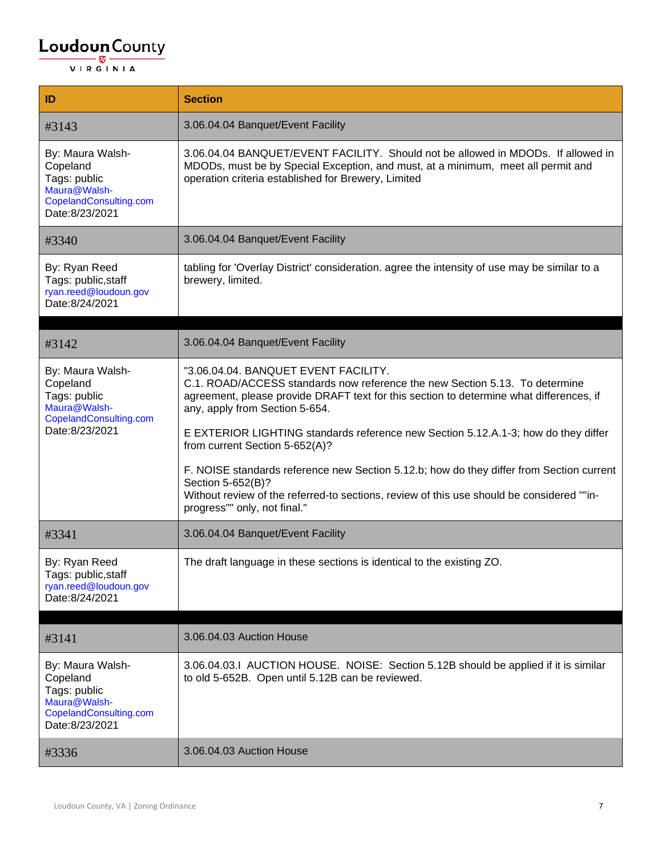| ID                                                                                                       | <b>Section</b>                                                                                                                                                                                                                                                                                                                                                                                                                                                                                                                                                                                                         |
|----------------------------------------------------------------------------------------------------------|------------------------------------------------------------------------------------------------------------------------------------------------------------------------------------------------------------------------------------------------------------------------------------------------------------------------------------------------------------------------------------------------------------------------------------------------------------------------------------------------------------------------------------------------------------------------------------------------------------------------|
| #3143                                                                                                    | 3.06.04.04 Banquet/Event Facility                                                                                                                                                                                                                                                                                                                                                                                                                                                                                                                                                                                      |
| By: Maura Walsh-<br>Copeland<br>Tags: public<br>Maura@Walsh-<br>CopelandConsulting.com<br>Date:8/23/2021 | 3.06.04.04 BANQUET/EVENT FACILITY. Should not be allowed in MDODs. If allowed in<br>MDODs, must be by Special Exception, and must, at a minimum, meet all permit and<br>operation criteria established for Brewery, Limited                                                                                                                                                                                                                                                                                                                                                                                            |
| #3340                                                                                                    | 3.06.04.04 Banquet/Event Facility                                                                                                                                                                                                                                                                                                                                                                                                                                                                                                                                                                                      |
| By: Ryan Reed<br>Tags: public, staff<br>ryan.reed@loudoun.gov<br>Date:8/24/2021                          | tabling for 'Overlay District' consideration. agree the intensity of use may be similar to a<br>brewery, limited.                                                                                                                                                                                                                                                                                                                                                                                                                                                                                                      |
| #3142                                                                                                    | 3.06.04.04 Banquet/Event Facility                                                                                                                                                                                                                                                                                                                                                                                                                                                                                                                                                                                      |
| By: Maura Walsh-<br>Copeland<br>Tags: public<br>Maura@Walsh-<br>CopelandConsulting.com<br>Date:8/23/2021 | "3.06.04.04. BANQUET EVENT FACILITY.<br>C.1. ROAD/ACCESS standards now reference the new Section 5.13. To determine<br>agreement, please provide DRAFT text for this section to determine what differences, if<br>any, apply from Section 5-654.<br>E EXTERIOR LIGHTING standards reference new Section 5.12.A.1-3; how do they differ<br>from current Section 5-652(A)?<br>F. NOISE standards reference new Section 5.12.b; how do they differ from Section current<br>Section 5-652(B)?<br>Without review of the referred-to sections, review of this use should be considered ""in-<br>progress"" only, not final." |
| #3341                                                                                                    | 3.06.04.04 Banquet/Event Facility                                                                                                                                                                                                                                                                                                                                                                                                                                                                                                                                                                                      |
| By: Ryan Reed<br>Tags: public, staff<br>ryan.reed@loudoun.gov<br>Date:8/24/2021                          | The draft language in these sections is identical to the existing ZO.                                                                                                                                                                                                                                                                                                                                                                                                                                                                                                                                                  |
| #3141                                                                                                    | 3.06.04.03 Auction House                                                                                                                                                                                                                                                                                                                                                                                                                                                                                                                                                                                               |
| By: Maura Walsh-<br>Copeland<br>Tags: public<br>Maura@Walsh-<br>CopelandConsulting.com<br>Date:8/23/2021 | 3.06.04.03.I AUCTION HOUSE. NOISE: Section 5.12B should be applied if it is similar<br>to old 5-652B. Open until 5.12B can be reviewed.                                                                                                                                                                                                                                                                                                                                                                                                                                                                                |
| #3336                                                                                                    | 3.06.04.03 Auction House                                                                                                                                                                                                                                                                                                                                                                                                                                                                                                                                                                                               |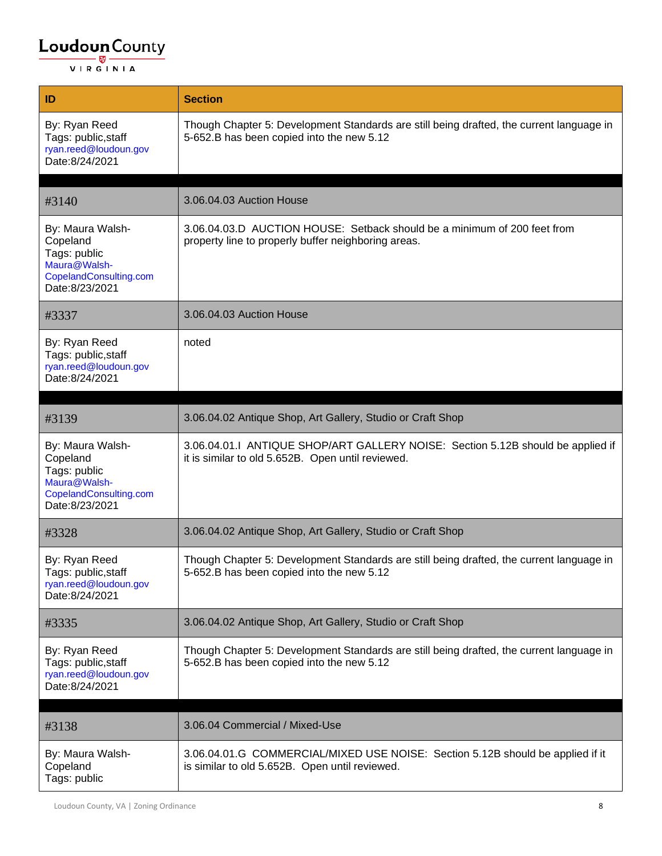| ID                                                                                                       | <b>Section</b>                                                                                                                        |
|----------------------------------------------------------------------------------------------------------|---------------------------------------------------------------------------------------------------------------------------------------|
| By: Ryan Reed<br>Tags: public, staff<br>ryan.reed@loudoun.gov<br>Date:8/24/2021                          | Though Chapter 5: Development Standards are still being drafted, the current language in<br>5-652.B has been copied into the new 5.12 |
| #3140                                                                                                    | 3.06.04.03 Auction House                                                                                                              |
|                                                                                                          |                                                                                                                                       |
| By: Maura Walsh-<br>Copeland<br>Tags: public<br>Maura@Walsh-<br>CopelandConsulting.com<br>Date:8/23/2021 | 3.06.04.03.D AUCTION HOUSE: Setback should be a minimum of 200 feet from<br>property line to properly buffer neighboring areas.       |
| #3337                                                                                                    | 3.06.04.03 Auction House                                                                                                              |
| By: Ryan Reed<br>Tags: public, staff<br>ryan.reed@loudoun.gov<br>Date:8/24/2021                          | noted                                                                                                                                 |
|                                                                                                          |                                                                                                                                       |
| #3139                                                                                                    | 3.06.04.02 Antique Shop, Art Gallery, Studio or Craft Shop                                                                            |
| By: Maura Walsh-<br>Copeland<br>Tags: public<br>Maura@Walsh-<br>CopelandConsulting.com<br>Date:8/23/2021 | 3.06.04.01.I ANTIQUE SHOP/ART GALLERY NOISE: Section 5.12B should be applied if<br>it is similar to old 5.652B. Open until reviewed.  |
| #3328                                                                                                    | 3.06.04.02 Antique Shop, Art Gallery, Studio or Craft Shop                                                                            |
| By: Ryan Reed<br>Tags: public,staff<br>ryan.reed@loudoun.gov<br>Date:8/24/2021                           | Though Chapter 5: Development Standards are still being drafted, the current language in<br>5-652.B has been copied into the new 5.12 |
| #3335                                                                                                    | 3.06.04.02 Antique Shop, Art Gallery, Studio or Craft Shop                                                                            |
| By: Ryan Reed<br>Tags: public, staff<br>ryan.reed@loudoun.gov<br>Date:8/24/2021                          | Though Chapter 5: Development Standards are still being drafted, the current language in<br>5-652.B has been copied into the new 5.12 |
|                                                                                                          |                                                                                                                                       |
| #3138                                                                                                    | 3.06.04 Commercial / Mixed-Use                                                                                                        |
| By: Maura Walsh-<br>Copeland<br>Tags: public                                                             | 3.06.04.01.G COMMERCIAL/MIXED USE NOISE: Section 5.12B should be applied if it<br>is similar to old 5.652B. Open until reviewed.      |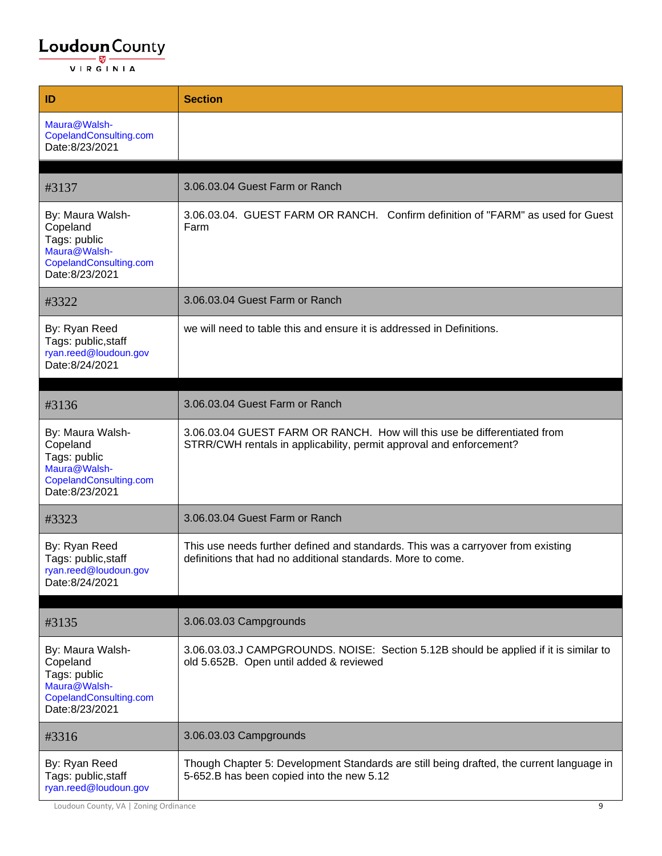| ID                                                                                                       | <b>Section</b>                                                                                                                                  |
|----------------------------------------------------------------------------------------------------------|-------------------------------------------------------------------------------------------------------------------------------------------------|
| Maura@Walsh-<br>CopelandConsulting.com<br>Date:8/23/2021                                                 |                                                                                                                                                 |
|                                                                                                          | 3.06.03.04 Guest Farm or Ranch                                                                                                                  |
| #3137                                                                                                    |                                                                                                                                                 |
| By: Maura Walsh-<br>Copeland<br>Tags: public<br>Maura@Walsh-<br>CopelandConsulting.com<br>Date:8/23/2021 | 3.06.03.04. GUEST FARM OR RANCH. Confirm definition of "FARM" as used for Guest<br>Farm                                                         |
| #3322                                                                                                    | 3.06.03.04 Guest Farm or Ranch                                                                                                                  |
| By: Ryan Reed<br>Tags: public, staff<br>ryan.reed@loudoun.gov<br>Date:8/24/2021                          | we will need to table this and ensure it is addressed in Definitions.                                                                           |
|                                                                                                          |                                                                                                                                                 |
| #3136                                                                                                    | 3.06.03.04 Guest Farm or Ranch                                                                                                                  |
| By: Maura Walsh-<br>Copeland<br>Tags: public<br>Maura@Walsh-<br>CopelandConsulting.com<br>Date:8/23/2021 | 3.06.03.04 GUEST FARM OR RANCH. How will this use be differentiated from<br>STRR/CWH rentals in applicability, permit approval and enforcement? |
| #3323                                                                                                    | 3.06.03.04 Guest Farm or Ranch                                                                                                                  |
| By: Ryan Reed<br>Tags: public, staff<br>ryan.reed@loudoun.gov<br>Date:8/24/2021                          | This use needs further defined and standards. This was a carryover from existing<br>definitions that had no additional standards. More to come. |
|                                                                                                          |                                                                                                                                                 |
| #3135                                                                                                    | 3.06.03.03 Campgrounds                                                                                                                          |
| By: Maura Walsh-<br>Copeland<br>Tags: public<br>Maura@Walsh-<br>CopelandConsulting.com<br>Date:8/23/2021 | 3.06.03.03.J CAMPGROUNDS. NOISE: Section 5.12B should be applied if it is similar to<br>old 5.652B. Open until added & reviewed                 |
| #3316                                                                                                    | 3.06.03.03 Campgrounds                                                                                                                          |
| By: Ryan Reed<br>Tags: public, staff<br>ryan.reed@loudoun.gov                                            | Though Chapter 5: Development Standards are still being drafted, the current language in<br>5-652.B has been copied into the new 5.12           |

Loudoun County, VA | Zoning Ordinance 9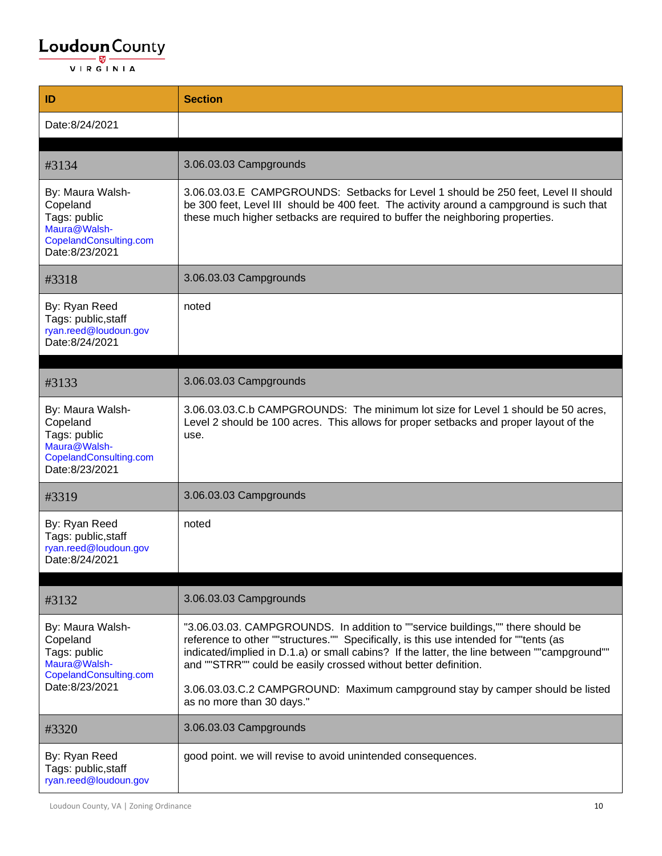| ID                                                                                                       | <b>Section</b>                                                                                                                                                                                                                                                                                                                             |
|----------------------------------------------------------------------------------------------------------|--------------------------------------------------------------------------------------------------------------------------------------------------------------------------------------------------------------------------------------------------------------------------------------------------------------------------------------------|
| Date:8/24/2021                                                                                           |                                                                                                                                                                                                                                                                                                                                            |
|                                                                                                          |                                                                                                                                                                                                                                                                                                                                            |
| #3134                                                                                                    | 3.06.03.03 Campgrounds                                                                                                                                                                                                                                                                                                                     |
| By: Maura Walsh-<br>Copeland<br>Tags: public<br>Maura@Walsh-<br>CopelandConsulting.com<br>Date:8/23/2021 | 3.06.03.03.E CAMPGROUNDS: Setbacks for Level 1 should be 250 feet, Level II should<br>be 300 feet, Level III should be 400 feet. The activity around a campground is such that<br>these much higher setbacks are required to buffer the neighboring properties.                                                                            |
| #3318                                                                                                    | 3.06.03.03 Campgrounds                                                                                                                                                                                                                                                                                                                     |
| By: Ryan Reed<br>Tags: public, staff<br>ryan.reed@loudoun.gov<br>Date:8/24/2021                          | noted                                                                                                                                                                                                                                                                                                                                      |
| #3133                                                                                                    | 3.06.03.03 Campgrounds                                                                                                                                                                                                                                                                                                                     |
| By: Maura Walsh-<br>Copeland<br>Tags: public<br>Maura@Walsh-<br>CopelandConsulting.com<br>Date:8/23/2021 | 3.06.03.03.C.b CAMPGROUNDS: The minimum lot size for Level 1 should be 50 acres,<br>Level 2 should be 100 acres. This allows for proper setbacks and proper layout of the<br>use.                                                                                                                                                          |
| #3319                                                                                                    | 3.06.03.03 Campgrounds                                                                                                                                                                                                                                                                                                                     |
| By: Ryan Reed<br>Tags: public, staff<br>ryan.reed@loudoun.gov<br>Date:8/24/2021                          | noted                                                                                                                                                                                                                                                                                                                                      |
| #3132                                                                                                    | 3.06.03.03 Campgrounds                                                                                                                                                                                                                                                                                                                     |
| By: Maura Walsh-<br>Copeland<br>Tags: public<br>Maura@Walsh-<br>CopelandConsulting.com<br>Date:8/23/2021 | "3.06.03.03. CAMPGROUNDS. In addition to ""service buildings,"" there should be<br>reference to other ""structures."" Specifically, is this use intended for ""tents (as<br>indicated/implied in D.1.a) or small cabins? If the latter, the line between ""campground""<br>and ""STRR"" could be easily crossed without better definition. |
|                                                                                                          | 3.06.03.03.C.2 CAMPGROUND: Maximum campground stay by camper should be listed<br>as no more than 30 days."                                                                                                                                                                                                                                 |
| #3320                                                                                                    | 3.06.03.03 Campgrounds                                                                                                                                                                                                                                                                                                                     |
| By: Ryan Reed<br>Tags: public, staff<br>ryan.reed@loudoun.gov                                            | good point. we will revise to avoid unintended consequences.                                                                                                                                                                                                                                                                               |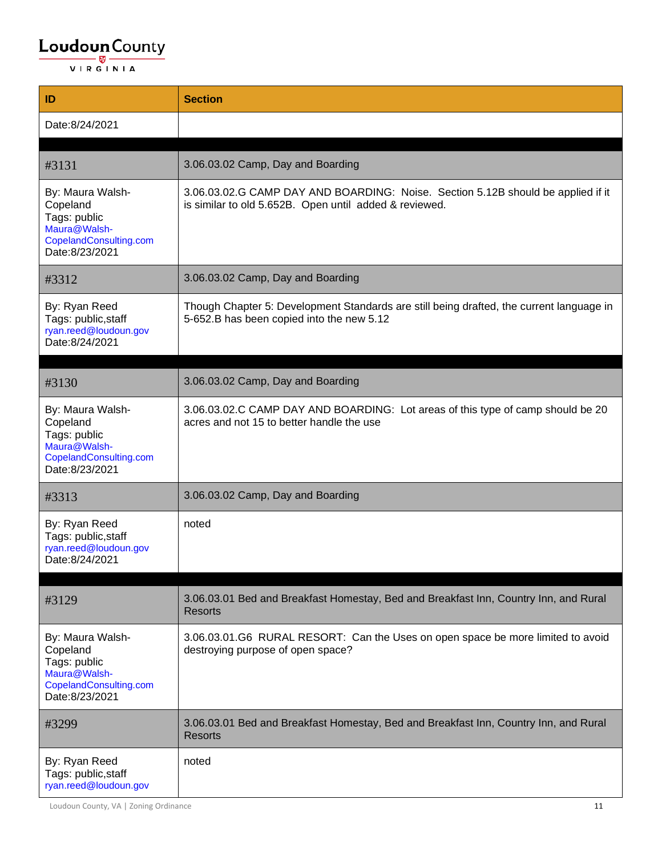| ID                                                                                                       | <b>Section</b>                                                                                                                             |
|----------------------------------------------------------------------------------------------------------|--------------------------------------------------------------------------------------------------------------------------------------------|
| Date:8/24/2021                                                                                           |                                                                                                                                            |
|                                                                                                          |                                                                                                                                            |
| #3131                                                                                                    | 3.06.03.02 Camp, Day and Boarding                                                                                                          |
| By: Maura Walsh-<br>Copeland<br>Tags: public<br>Maura@Walsh-<br>CopelandConsulting.com<br>Date:8/23/2021 | 3.06.03.02.G CAMP DAY AND BOARDING: Noise. Section 5.12B should be applied if it<br>is similar to old 5.652B. Open until added & reviewed. |
| #3312                                                                                                    | 3.06.03.02 Camp, Day and Boarding                                                                                                          |
| By: Ryan Reed<br>Tags: public, staff<br>ryan.reed@loudoun.gov<br>Date:8/24/2021                          | Though Chapter 5: Development Standards are still being drafted, the current language in<br>5-652.B has been copied into the new 5.12      |
| #3130                                                                                                    | 3.06.03.02 Camp, Day and Boarding                                                                                                          |
| By: Maura Walsh-<br>Copeland<br>Tags: public<br>Maura@Walsh-<br>CopelandConsulting.com<br>Date:8/23/2021 | 3.06.03.02.C CAMP DAY AND BOARDING: Lot areas of this type of camp should be 20<br>acres and not 15 to better handle the use               |
| #3313                                                                                                    | 3.06.03.02 Camp, Day and Boarding                                                                                                          |
| By: Ryan Reed<br>Tags: public, staff<br>ryan.reed@loudoun.gov<br>Date:8/24/2021                          | noted                                                                                                                                      |
|                                                                                                          |                                                                                                                                            |
| #3129                                                                                                    | 3.06.03.01 Bed and Breakfast Homestay, Bed and Breakfast Inn, Country Inn, and Rural<br><b>Resorts</b>                                     |
| By: Maura Walsh-<br>Copeland<br>Tags: public<br>Maura@Walsh-<br>CopelandConsulting.com<br>Date:8/23/2021 | 3.06.03.01.G6 RURAL RESORT: Can the Uses on open space be more limited to avoid<br>destroying purpose of open space?                       |
| #3299                                                                                                    | 3.06.03.01 Bed and Breakfast Homestay, Bed and Breakfast Inn, Country Inn, and Rural<br><b>Resorts</b>                                     |
| By: Ryan Reed<br>Tags: public, staff<br>ryan.reed@loudoun.gov                                            | noted                                                                                                                                      |

Loudoun County, VA | Zoning Ordinance 11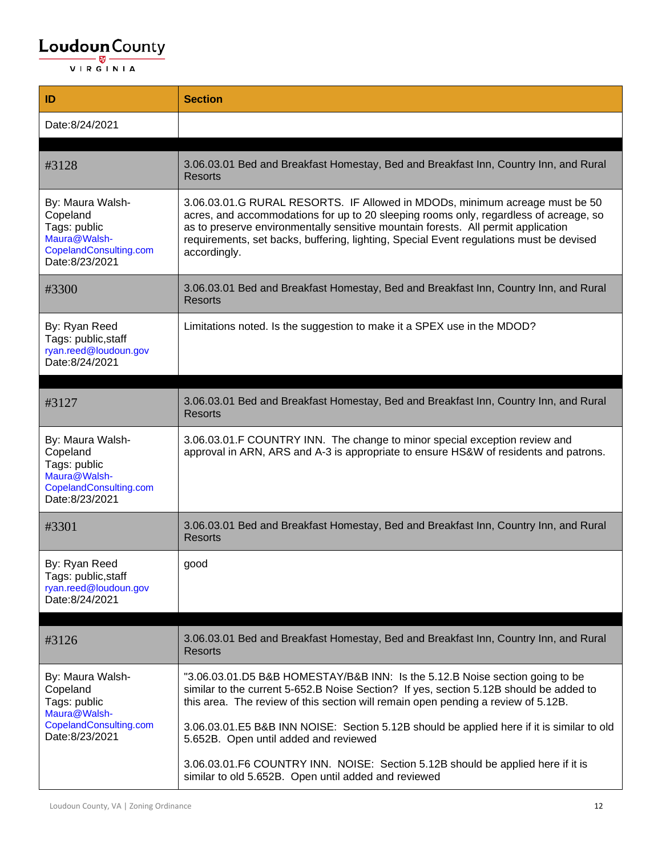| ID                                                                                                       | <b>Section</b>                                                                                                                                                                                                                                                                                                                                                       |
|----------------------------------------------------------------------------------------------------------|----------------------------------------------------------------------------------------------------------------------------------------------------------------------------------------------------------------------------------------------------------------------------------------------------------------------------------------------------------------------|
| Date:8/24/2021                                                                                           |                                                                                                                                                                                                                                                                                                                                                                      |
| #3128                                                                                                    | 3.06.03.01 Bed and Breakfast Homestay, Bed and Breakfast Inn, Country Inn, and Rural<br><b>Resorts</b>                                                                                                                                                                                                                                                               |
| By: Maura Walsh-<br>Copeland<br>Tags: public<br>Maura@Walsh-<br>CopelandConsulting.com<br>Date:8/23/2021 | 3.06.03.01.G RURAL RESORTS. IF Allowed in MDODs, minimum acreage must be 50<br>acres, and accommodations for up to 20 sleeping rooms only, regardless of acreage, so<br>as to preserve environmentally sensitive mountain forests. All permit application<br>requirements, set backs, buffering, lighting, Special Event regulations must be devised<br>accordingly. |
| #3300                                                                                                    | 3.06.03.01 Bed and Breakfast Homestay, Bed and Breakfast Inn, Country Inn, and Rural<br><b>Resorts</b>                                                                                                                                                                                                                                                               |
| By: Ryan Reed<br>Tags: public, staff<br>ryan.reed@loudoun.gov<br>Date:8/24/2021                          | Limitations noted. Is the suggestion to make it a SPEX use in the MDOD?                                                                                                                                                                                                                                                                                              |
|                                                                                                          |                                                                                                                                                                                                                                                                                                                                                                      |
| #3127                                                                                                    | 3.06.03.01 Bed and Breakfast Homestay, Bed and Breakfast Inn, Country Inn, and Rural<br><b>Resorts</b>                                                                                                                                                                                                                                                               |
| By: Maura Walsh-<br>Copeland<br>Tags: public<br>Maura@Walsh-<br>CopelandConsulting.com<br>Date:8/23/2021 | 3.06.03.01.F COUNTRY INN. The change to minor special exception review and<br>approval in ARN, ARS and A-3 is appropriate to ensure HS&W of residents and patrons.                                                                                                                                                                                                   |
| #3301                                                                                                    | 3.06.03.01 Bed and Breakfast Homestay, Bed and Breakfast Inn, Country Inn, and Rural<br><b>Resorts</b>                                                                                                                                                                                                                                                               |
| By: Ryan Reed<br>Tags: public, staff<br>ryan.reed@loudoun.gov<br>Date:8/24/2021                          | good                                                                                                                                                                                                                                                                                                                                                                 |
| #3126                                                                                                    | 3.06.03.01 Bed and Breakfast Homestay, Bed and Breakfast Inn, Country Inn, and Rural<br><b>Resorts</b>                                                                                                                                                                                                                                                               |
| By: Maura Walsh-<br>Copeland<br>Tags: public<br>Maura@Walsh-                                             | "3.06.03.01.D5 B&B HOMESTAY/B&B INN: Is the 5.12.B Noise section going to be<br>similar to the current 5-652.B Noise Section? If yes, section 5.12B should be added to<br>this area. The review of this section will remain open pending a review of 5.12B.                                                                                                          |
| CopelandConsulting.com<br>Date:8/23/2021                                                                 | 3.06.03.01.E5 B&B INN NOISE: Section 5.12B should be applied here if it is similar to old<br>5.652B. Open until added and reviewed                                                                                                                                                                                                                                   |
|                                                                                                          | 3.06.03.01.F6 COUNTRY INN. NOISE: Section 5.12B should be applied here if it is<br>similar to old 5.652B. Open until added and reviewed                                                                                                                                                                                                                              |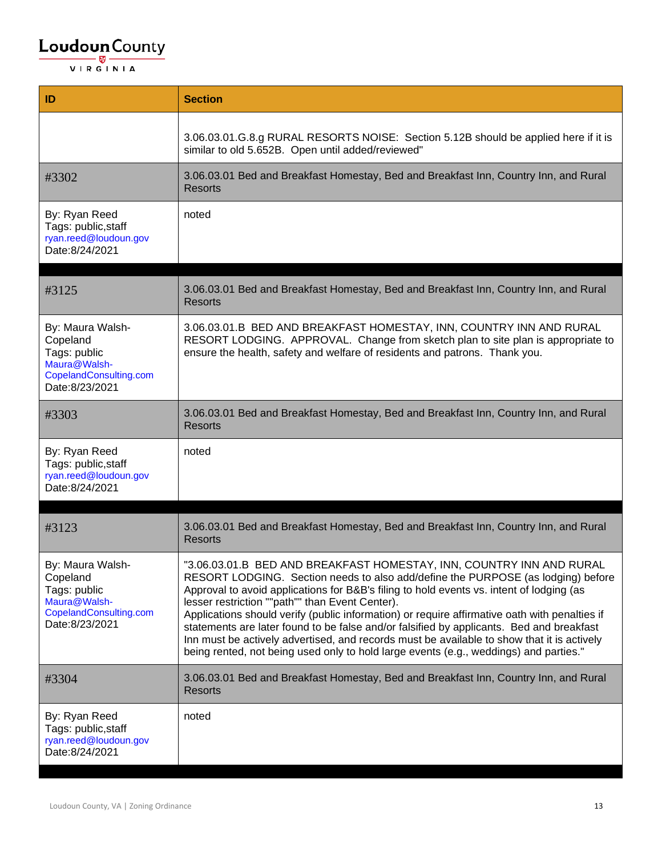| ID                                                                                                       | <b>Section</b>                                                                                                                                                                                                                                                                                                                                                                                                                                                                                                                                                                                                                                                                              |
|----------------------------------------------------------------------------------------------------------|---------------------------------------------------------------------------------------------------------------------------------------------------------------------------------------------------------------------------------------------------------------------------------------------------------------------------------------------------------------------------------------------------------------------------------------------------------------------------------------------------------------------------------------------------------------------------------------------------------------------------------------------------------------------------------------------|
|                                                                                                          | 3.06.03.01.G.8.g RURAL RESORTS NOISE: Section 5.12B should be applied here if it is<br>similar to old 5.652B. Open until added/reviewed"                                                                                                                                                                                                                                                                                                                                                                                                                                                                                                                                                    |
| #3302                                                                                                    | 3.06.03.01 Bed and Breakfast Homestay, Bed and Breakfast Inn, Country Inn, and Rural<br><b>Resorts</b>                                                                                                                                                                                                                                                                                                                                                                                                                                                                                                                                                                                      |
| By: Ryan Reed<br>Tags: public, staff<br>ryan.reed@loudoun.gov<br>Date:8/24/2021                          | noted                                                                                                                                                                                                                                                                                                                                                                                                                                                                                                                                                                                                                                                                                       |
| #3125                                                                                                    | 3.06.03.01 Bed and Breakfast Homestay, Bed and Breakfast Inn, Country Inn, and Rural<br><b>Resorts</b>                                                                                                                                                                                                                                                                                                                                                                                                                                                                                                                                                                                      |
| By: Maura Walsh-<br>Copeland<br>Tags: public<br>Maura@Walsh-<br>CopelandConsulting.com<br>Date:8/23/2021 | 3.06.03.01.B BED AND BREAKFAST HOMESTAY, INN, COUNTRY INN AND RURAL<br>RESORT LODGING. APPROVAL. Change from sketch plan to site plan is appropriate to<br>ensure the health, safety and welfare of residents and patrons. Thank you.                                                                                                                                                                                                                                                                                                                                                                                                                                                       |
| #3303                                                                                                    | 3.06.03.01 Bed and Breakfast Homestay, Bed and Breakfast Inn, Country Inn, and Rural<br><b>Resorts</b>                                                                                                                                                                                                                                                                                                                                                                                                                                                                                                                                                                                      |
| By: Ryan Reed<br>Tags: public, staff<br>ryan.reed@loudoun.gov<br>Date:8/24/2021                          | noted                                                                                                                                                                                                                                                                                                                                                                                                                                                                                                                                                                                                                                                                                       |
| #3123                                                                                                    | 3.06.03.01 Bed and Breakfast Homestay, Bed and Breakfast Inn, Country Inn, and Rural<br><b>Resorts</b>                                                                                                                                                                                                                                                                                                                                                                                                                                                                                                                                                                                      |
| By: Maura Walsh-<br>Copeland<br>Tags: public<br>Maura@Walsh-<br>CopelandConsulting.com<br>Date:8/23/2021 | "3.06.03.01.B BED AND BREAKFAST HOMESTAY, INN, COUNTRY INN AND RURAL<br>RESORT LODGING. Section needs to also add/define the PURPOSE (as lodging) before<br>Approval to avoid applications for B&B's filing to hold events vs. intent of lodging (as<br>lesser restriction ""path"" than Event Center).<br>Applications should verify (public information) or require affirmative oath with penalties if<br>statements are later found to be false and/or falsified by applicants. Bed and breakfast<br>Inn must be actively advertised, and records must be available to show that it is actively<br>being rented, not being used only to hold large events (e.g., weddings) and parties." |
| #3304                                                                                                    | 3.06.03.01 Bed and Breakfast Homestay, Bed and Breakfast Inn, Country Inn, and Rural<br><b>Resorts</b>                                                                                                                                                                                                                                                                                                                                                                                                                                                                                                                                                                                      |
| By: Ryan Reed<br>Tags: public, staff<br>ryan.reed@loudoun.gov<br>Date:8/24/2021                          | noted                                                                                                                                                                                                                                                                                                                                                                                                                                                                                                                                                                                                                                                                                       |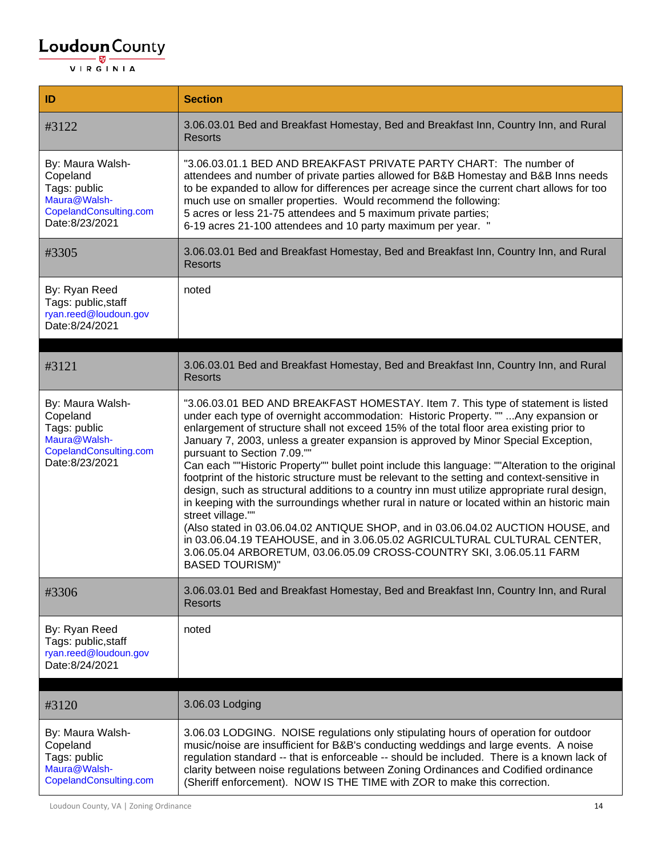| ID                                                                                                       | <b>Section</b>                                                                                                                                                                                                                                                                                                                                                                                                                                                                                                                                                                                                                                                                                                                                                                                                                                                                                                                                                                                                                                                                   |
|----------------------------------------------------------------------------------------------------------|----------------------------------------------------------------------------------------------------------------------------------------------------------------------------------------------------------------------------------------------------------------------------------------------------------------------------------------------------------------------------------------------------------------------------------------------------------------------------------------------------------------------------------------------------------------------------------------------------------------------------------------------------------------------------------------------------------------------------------------------------------------------------------------------------------------------------------------------------------------------------------------------------------------------------------------------------------------------------------------------------------------------------------------------------------------------------------|
| #3122                                                                                                    | 3.06.03.01 Bed and Breakfast Homestay, Bed and Breakfast Inn, Country Inn, and Rural<br><b>Resorts</b>                                                                                                                                                                                                                                                                                                                                                                                                                                                                                                                                                                                                                                                                                                                                                                                                                                                                                                                                                                           |
| By: Maura Walsh-<br>Copeland<br>Tags: public<br>Maura@Walsh-<br>CopelandConsulting.com<br>Date:8/23/2021 | "3.06.03.01.1 BED AND BREAKFAST PRIVATE PARTY CHART: The number of<br>attendees and number of private parties allowed for B&B Homestay and B&B Inns needs<br>to be expanded to allow for differences per acreage since the current chart allows for too<br>much use on smaller properties. Would recommend the following:<br>5 acres or less 21-75 attendees and 5 maximum private parties;<br>6-19 acres 21-100 attendees and 10 party maximum per year. "                                                                                                                                                                                                                                                                                                                                                                                                                                                                                                                                                                                                                      |
| #3305                                                                                                    | 3.06.03.01 Bed and Breakfast Homestay, Bed and Breakfast Inn, Country Inn, and Rural<br><b>Resorts</b>                                                                                                                                                                                                                                                                                                                                                                                                                                                                                                                                                                                                                                                                                                                                                                                                                                                                                                                                                                           |
| By: Ryan Reed<br>Tags: public, staff<br>ryan.reed@loudoun.gov<br>Date:8/24/2021                          | noted                                                                                                                                                                                                                                                                                                                                                                                                                                                                                                                                                                                                                                                                                                                                                                                                                                                                                                                                                                                                                                                                            |
|                                                                                                          |                                                                                                                                                                                                                                                                                                                                                                                                                                                                                                                                                                                                                                                                                                                                                                                                                                                                                                                                                                                                                                                                                  |
| #3121                                                                                                    | 3.06.03.01 Bed and Breakfast Homestay, Bed and Breakfast Inn, Country Inn, and Rural<br><b>Resorts</b>                                                                                                                                                                                                                                                                                                                                                                                                                                                                                                                                                                                                                                                                                                                                                                                                                                                                                                                                                                           |
| By: Maura Walsh-<br>Copeland<br>Tags: public<br>Maura@Walsh-<br>CopelandConsulting.com<br>Date:8/23/2021 | "3.06.03.01 BED AND BREAKFAST HOMESTAY. Item 7. This type of statement is listed<br>under each type of overnight accommodation: Historic Property. ""  Any expansion or<br>enlargement of structure shall not exceed 15% of the total floor area existing prior to<br>January 7, 2003, unless a greater expansion is approved by Minor Special Exception,<br>pursuant to Section 7.09.""<br>Can each ""Historic Property"" bullet point include this language: ""Alteration to the original<br>footprint of the historic structure must be relevant to the setting and context-sensitive in<br>design, such as structural additions to a country inn must utilize appropriate rural design,<br>in keeping with the surroundings whether rural in nature or located within an historic main<br>street village.""<br>(Also stated in 03.06.04.02 ANTIQUE SHOP, and in 03.06.04.02 AUCTION HOUSE, and<br>in 03.06.04.19 TEAHOUSE, and in 3.06.05.02 AGRICULTURAL CULTURAL CENTER,<br>3.06.05.04 ARBORETUM, 03.06.05.09 CROSS-COUNTRY SKI, 3.06.05.11 FARM<br><b>BASED TOURISM)"</b> |
| #3306                                                                                                    | 3.06.03.01 Bed and Breakfast Homestay, Bed and Breakfast Inn, Country Inn, and Rural<br><b>Resorts</b>                                                                                                                                                                                                                                                                                                                                                                                                                                                                                                                                                                                                                                                                                                                                                                                                                                                                                                                                                                           |
| By: Ryan Reed<br>Tags: public, staff<br>ryan.reed@loudoun.gov<br>Date:8/24/2021                          | noted                                                                                                                                                                                                                                                                                                                                                                                                                                                                                                                                                                                                                                                                                                                                                                                                                                                                                                                                                                                                                                                                            |
|                                                                                                          |                                                                                                                                                                                                                                                                                                                                                                                                                                                                                                                                                                                                                                                                                                                                                                                                                                                                                                                                                                                                                                                                                  |
| #3120                                                                                                    | 3.06.03 Lodging                                                                                                                                                                                                                                                                                                                                                                                                                                                                                                                                                                                                                                                                                                                                                                                                                                                                                                                                                                                                                                                                  |
| By: Maura Walsh-<br>Copeland<br>Tags: public<br>Maura@Walsh-<br>CopelandConsulting.com                   | 3.06.03 LODGING. NOISE regulations only stipulating hours of operation for outdoor<br>music/noise are insufficient for B&B's conducting weddings and large events. A noise<br>regulation standard -- that is enforceable -- should be included. There is a known lack of<br>clarity between noise regulations between Zoning Ordinances and Codified ordinance<br>(Sheriff enforcement). NOW IS THE TIME with ZOR to make this correction.                                                                                                                                                                                                                                                                                                                                                                                                                                                                                                                                                                                                                                       |

Loudoun County, VA | Zoning Ordinance 14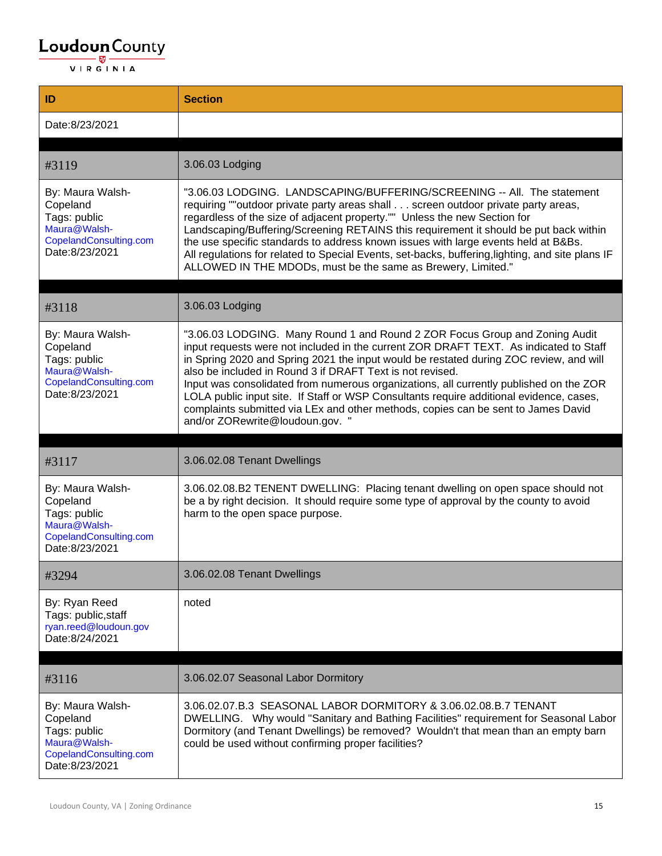| ID                                                                                                       | <b>Section</b>                                                                                                                                                                                                                                                                                                                                                                                                                                                                                                                                                                                                                           |
|----------------------------------------------------------------------------------------------------------|------------------------------------------------------------------------------------------------------------------------------------------------------------------------------------------------------------------------------------------------------------------------------------------------------------------------------------------------------------------------------------------------------------------------------------------------------------------------------------------------------------------------------------------------------------------------------------------------------------------------------------------|
| Date:8/23/2021                                                                                           |                                                                                                                                                                                                                                                                                                                                                                                                                                                                                                                                                                                                                                          |
| #3119                                                                                                    | 3.06.03 Lodging                                                                                                                                                                                                                                                                                                                                                                                                                                                                                                                                                                                                                          |
| By: Maura Walsh-<br>Copeland<br>Tags: public<br>Maura@Walsh-<br>CopelandConsulting.com<br>Date:8/23/2021 | "3.06.03 LODGING. LANDSCAPING/BUFFERING/SCREENING -- All. The statement<br>requiring ""outdoor private party areas shall screen outdoor private party areas,<br>regardless of the size of adjacent property."" Unless the new Section for<br>Landscaping/Buffering/Screening RETAINS this requirement it should be put back within<br>the use specific standards to address known issues with large events held at B&Bs.<br>All regulations for related to Special Events, set-backs, buffering, lighting, and site plans IF<br>ALLOWED IN THE MDODs, must be the same as Brewery, Limited."                                             |
| #3118                                                                                                    | 3.06.03 Lodging                                                                                                                                                                                                                                                                                                                                                                                                                                                                                                                                                                                                                          |
| By: Maura Walsh-<br>Copeland<br>Tags: public<br>Maura@Walsh-<br>CopelandConsulting.com<br>Date:8/23/2021 | "3.06.03 LODGING. Many Round 1 and Round 2 ZOR Focus Group and Zoning Audit<br>input requests were not included in the current ZOR DRAFT TEXT. As indicated to Staff<br>in Spring 2020 and Spring 2021 the input would be restated during ZOC review, and will<br>also be included in Round 3 if DRAFT Text is not revised.<br>Input was consolidated from numerous organizations, all currently published on the ZOR<br>LOLA public input site. If Staff or WSP Consultants require additional evidence, cases,<br>complaints submitted via LEx and other methods, copies can be sent to James David<br>and/or ZORewrite@loudoun.gov. " |
| #3117                                                                                                    | 3.06.02.08 Tenant Dwellings                                                                                                                                                                                                                                                                                                                                                                                                                                                                                                                                                                                                              |
| By: Maura Walsh-<br>Copeland<br>Tags: public<br>Maura@Walsh-<br>CopelandConsulting.com<br>Date:8/23/2021 | 3.06.02.08.B2 TENENT DWELLING: Placing tenant dwelling on open space should not<br>be a by right decision. It should require some type of approval by the county to avoid<br>harm to the open space purpose.                                                                                                                                                                                                                                                                                                                                                                                                                             |
| #3294                                                                                                    | 3.06.02.08 Tenant Dwellings                                                                                                                                                                                                                                                                                                                                                                                                                                                                                                                                                                                                              |
| By: Ryan Reed<br>Tags: public, staff<br>ryan.reed@loudoun.gov<br>Date:8/24/2021                          | noted                                                                                                                                                                                                                                                                                                                                                                                                                                                                                                                                                                                                                                    |
| #3116                                                                                                    | 3.06.02.07 Seasonal Labor Dormitory                                                                                                                                                                                                                                                                                                                                                                                                                                                                                                                                                                                                      |
| By: Maura Walsh-<br>Copeland<br>Tags: public<br>Maura@Walsh-<br>CopelandConsulting.com<br>Date:8/23/2021 | 3.06.02.07.B.3 SEASONAL LABOR DORMITORY & 3.06.02.08.B.7 TENANT<br>DWELLING. Why would "Sanitary and Bathing Facilities" requirement for Seasonal Labor<br>Dormitory (and Tenant Dwellings) be removed? Wouldn't that mean than an empty barn<br>could be used without confirming proper facilities?                                                                                                                                                                                                                                                                                                                                     |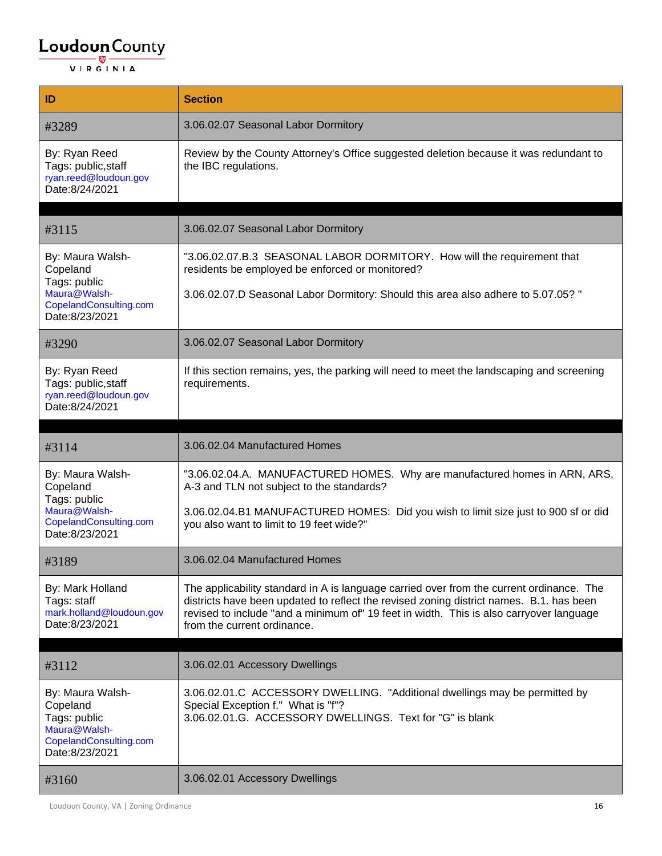| ID                                                                                                       | <b>Section</b>                                                                                                                                                                                                                                                                                                |
|----------------------------------------------------------------------------------------------------------|---------------------------------------------------------------------------------------------------------------------------------------------------------------------------------------------------------------------------------------------------------------------------------------------------------------|
| #3289                                                                                                    | 3.06.02.07 Seasonal Labor Dormitory                                                                                                                                                                                                                                                                           |
| By: Ryan Reed<br>Tags: public, staff<br>ryan.reed@loudoun.gov<br>Date:8/24/2021                          | Review by the County Attorney's Office suggested deletion because it was redundant to<br>the IBC regulations.                                                                                                                                                                                                 |
| #3115                                                                                                    | 3.06.02.07 Seasonal Labor Dormitory                                                                                                                                                                                                                                                                           |
| By: Maura Walsh-<br>Copeland<br>Tags: public                                                             | "3.06.02.07.B.3 SEASONAL LABOR DORMITORY. How will the requirement that<br>residents be employed be enforced or monitored?                                                                                                                                                                                    |
| Maura@Walsh-<br>CopelandConsulting.com<br>Date:8/23/2021                                                 | 3.06.02.07.D Seasonal Labor Dormitory: Should this area also adhere to 5.07.05? "                                                                                                                                                                                                                             |
| #3290                                                                                                    | 3.06.02.07 Seasonal Labor Dormitory                                                                                                                                                                                                                                                                           |
| By: Ryan Reed<br>Tags: public, staff<br>ryan.reed@loudoun.gov<br>Date:8/24/2021                          | If this section remains, yes, the parking will need to meet the landscaping and screening<br>requirements.                                                                                                                                                                                                    |
| #3114                                                                                                    | 3.06.02.04 Manufactured Homes                                                                                                                                                                                                                                                                                 |
| By: Maura Walsh-<br>Copeland<br>Tags: public                                                             | "3.06.02.04.A. MANUFACTURED HOMES. Why are manufactured homes in ARN, ARS,<br>A-3 and TLN not subject to the standards?                                                                                                                                                                                       |
| Maura@Walsh-<br>CopelandConsulting.com<br>Date:8/23/2021                                                 | 3.06.02.04.B1 MANUFACTURED HOMES: Did you wish to limit size just to 900 sf or did<br>you also want to limit to 19 feet wide?"                                                                                                                                                                                |
| #3189                                                                                                    | 3.06.02.04 Manufactured Homes                                                                                                                                                                                                                                                                                 |
| By: Mark Holland<br>Tags: staff<br>mark.holland@loudoun.gov<br>Date:8/23/2021                            | The applicability standard in A is language carried over from the current ordinance. The<br>districts have been updated to reflect the revised zoning district names. B.1. has been<br>revised to include "and a minimum of" 19 feet in width. This is also carryover language<br>from the current ordinance. |
| #3112                                                                                                    | 3.06.02.01 Accessory Dwellings                                                                                                                                                                                                                                                                                |
| By: Maura Walsh-<br>Copeland<br>Tags: public<br>Maura@Walsh-<br>CopelandConsulting.com<br>Date:8/23/2021 | 3.06.02.01.C ACCESSORY DWELLING. "Additional dwellings may be permitted by<br>Special Exception f." What is "f"?<br>3.06.02.01.G. ACCESSORY DWELLINGS. Text for "G" is blank                                                                                                                                  |
| #3160                                                                                                    | 3.06.02.01 Accessory Dwellings                                                                                                                                                                                                                                                                                |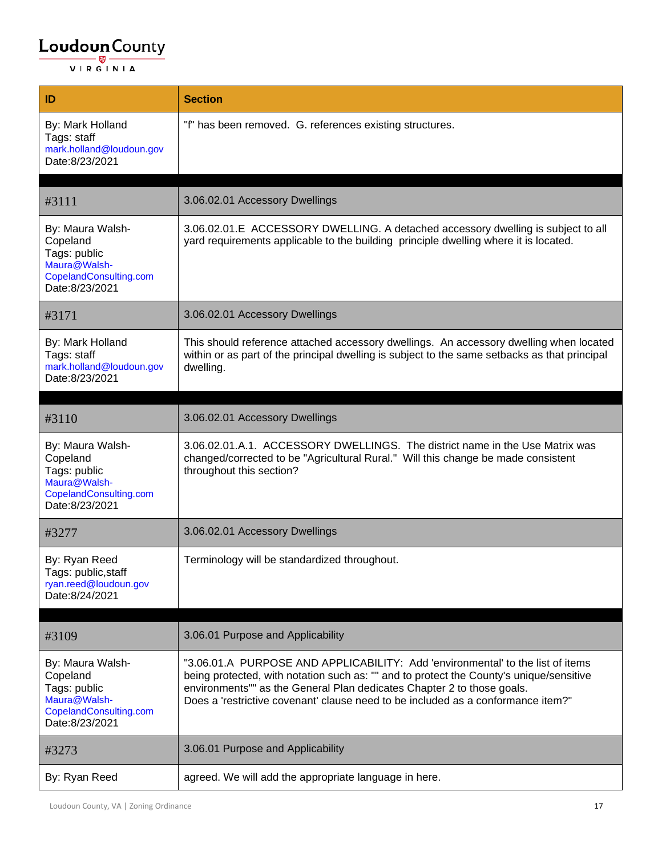| ID                                                                                                       | <b>Section</b>                                                                                                                                                                                                                                                                                                                          |
|----------------------------------------------------------------------------------------------------------|-----------------------------------------------------------------------------------------------------------------------------------------------------------------------------------------------------------------------------------------------------------------------------------------------------------------------------------------|
| By: Mark Holland<br>Tags: staff<br>mark.holland@loudoun.gov<br>Date:8/23/2021                            | "f" has been removed. G. references existing structures.                                                                                                                                                                                                                                                                                |
|                                                                                                          |                                                                                                                                                                                                                                                                                                                                         |
| #3111                                                                                                    | 3.06.02.01 Accessory Dwellings                                                                                                                                                                                                                                                                                                          |
| By: Maura Walsh-<br>Copeland<br>Tags: public<br>Maura@Walsh-<br>CopelandConsulting.com<br>Date:8/23/2021 | 3.06.02.01.E ACCESSORY DWELLING. A detached accessory dwelling is subject to all<br>yard requirements applicable to the building principle dwelling where it is located.                                                                                                                                                                |
| #3171                                                                                                    | 3.06.02.01 Accessory Dwellings                                                                                                                                                                                                                                                                                                          |
| By: Mark Holland<br>Tags: staff<br>mark.holland@loudoun.gov<br>Date:8/23/2021                            | This should reference attached accessory dwellings. An accessory dwelling when located<br>within or as part of the principal dwelling is subject to the same setbacks as that principal<br>dwelling.                                                                                                                                    |
| #3110                                                                                                    | 3.06.02.01 Accessory Dwellings                                                                                                                                                                                                                                                                                                          |
| By: Maura Walsh-<br>Copeland<br>Tags: public<br>Maura@Walsh-<br>CopelandConsulting.com<br>Date:8/23/2021 | 3.06.02.01.A.1. ACCESSORY DWELLINGS. The district name in the Use Matrix was<br>changed/corrected to be "Agricultural Rural." Will this change be made consistent<br>throughout this section?                                                                                                                                           |
| #3277                                                                                                    | 3.06.02.01 Accessory Dwellings                                                                                                                                                                                                                                                                                                          |
| By: Ryan Reed<br>Tags: public, staff<br>ryan.reed@loudoun.gov<br>Date:8/24/2021                          | Terminology will be standardized throughout.                                                                                                                                                                                                                                                                                            |
|                                                                                                          |                                                                                                                                                                                                                                                                                                                                         |
| #3109                                                                                                    | 3.06.01 Purpose and Applicability                                                                                                                                                                                                                                                                                                       |
| By: Maura Walsh-<br>Copeland<br>Tags: public<br>Maura@Walsh-<br>CopelandConsulting.com<br>Date:8/23/2021 | "3.06.01.A PURPOSE AND APPLICABILITY: Add 'environmental' to the list of items<br>being protected, with notation such as: "" and to protect the County's unique/sensitive<br>environments"" as the General Plan dedicates Chapter 2 to those goals.<br>Does a 'restrictive covenant' clause need to be included as a conformance item?" |
| #3273                                                                                                    | 3.06.01 Purpose and Applicability                                                                                                                                                                                                                                                                                                       |
| By: Ryan Reed                                                                                            | agreed. We will add the appropriate language in here.                                                                                                                                                                                                                                                                                   |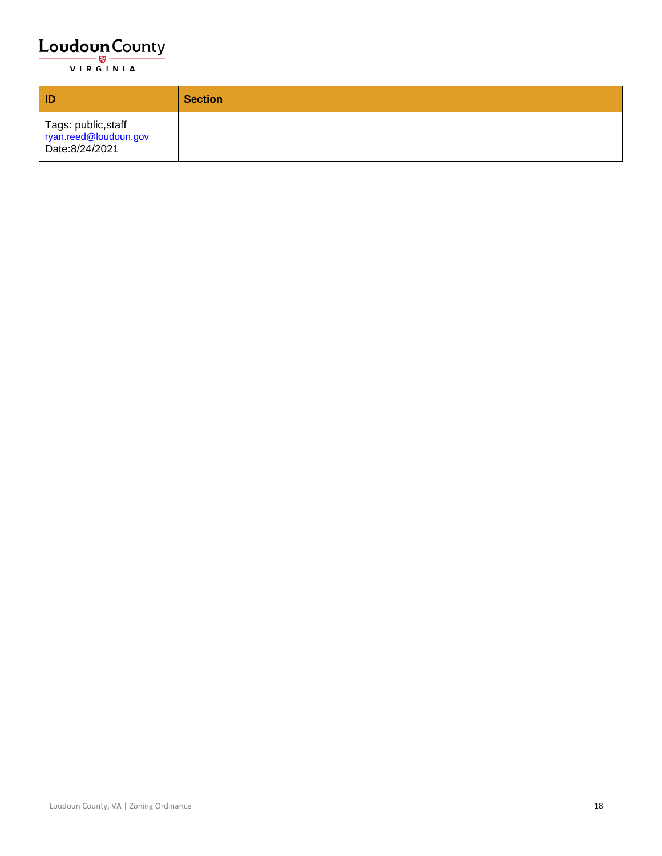| ID                                                            | <b>Section</b> |
|---------------------------------------------------------------|----------------|
| Tags: public,staff<br>ryan.reed@loudoun.gov<br>Date:8/24/2021 |                |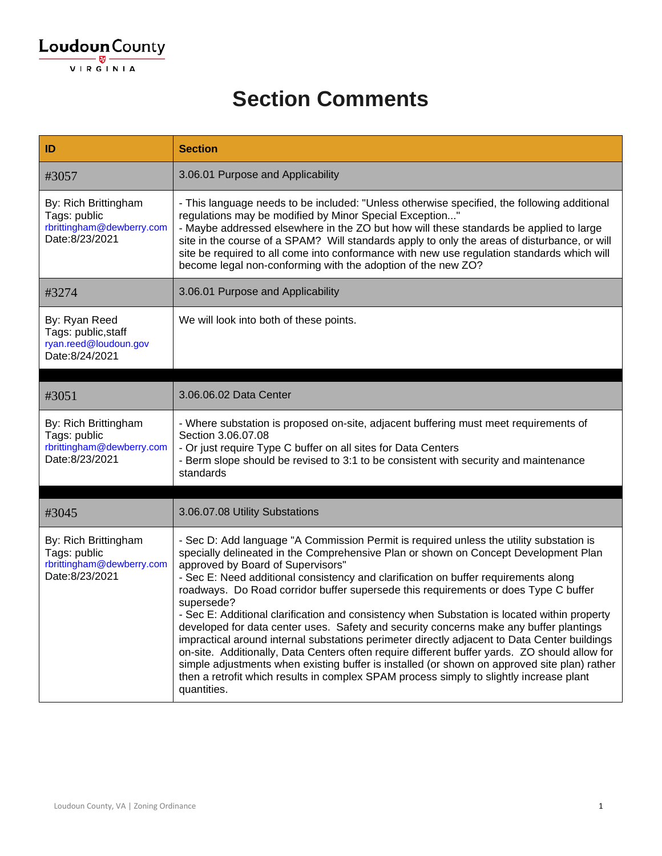#### **Section Comments**

| ID                                                                                  | <b>Section</b>                                                                                                                                                                                                                                                                                                                                                                                                                                                                                                                                                                                                                                                                                                                                                                                                                                                                                                                                                                                                       |
|-------------------------------------------------------------------------------------|----------------------------------------------------------------------------------------------------------------------------------------------------------------------------------------------------------------------------------------------------------------------------------------------------------------------------------------------------------------------------------------------------------------------------------------------------------------------------------------------------------------------------------------------------------------------------------------------------------------------------------------------------------------------------------------------------------------------------------------------------------------------------------------------------------------------------------------------------------------------------------------------------------------------------------------------------------------------------------------------------------------------|
| #3057                                                                               | 3.06.01 Purpose and Applicability                                                                                                                                                                                                                                                                                                                                                                                                                                                                                                                                                                                                                                                                                                                                                                                                                                                                                                                                                                                    |
| By: Rich Brittingham<br>Tags: public<br>rbrittingham@dewberry.com<br>Date:8/23/2021 | - This language needs to be included: "Unless otherwise specified, the following additional<br>regulations may be modified by Minor Special Exception"<br>- Maybe addressed elsewhere in the ZO but how will these standards be applied to large<br>site in the course of a SPAM? Will standards apply to only the areas of disturbance, or will<br>site be required to all come into conformance with new use regulation standards which will<br>become legal non-conforming with the adoption of the new ZO?                                                                                                                                                                                                                                                                                                                                                                                                                                                                                                       |
| #3274                                                                               | 3.06.01 Purpose and Applicability                                                                                                                                                                                                                                                                                                                                                                                                                                                                                                                                                                                                                                                                                                                                                                                                                                                                                                                                                                                    |
| By: Ryan Reed<br>Tags: public, staff<br>ryan.reed@loudoun.gov<br>Date:8/24/2021     | We will look into both of these points.                                                                                                                                                                                                                                                                                                                                                                                                                                                                                                                                                                                                                                                                                                                                                                                                                                                                                                                                                                              |
|                                                                                     |                                                                                                                                                                                                                                                                                                                                                                                                                                                                                                                                                                                                                                                                                                                                                                                                                                                                                                                                                                                                                      |
| #3051                                                                               | 3.06.06.02 Data Center                                                                                                                                                                                                                                                                                                                                                                                                                                                                                                                                                                                                                                                                                                                                                                                                                                                                                                                                                                                               |
| By: Rich Brittingham<br>Tags: public<br>rbrittingham@dewberry.com<br>Date:8/23/2021 | - Where substation is proposed on-site, adjacent buffering must meet requirements of<br>Section 3.06.07.08<br>- Or just require Type C buffer on all sites for Data Centers<br>- Berm slope should be revised to 3:1 to be consistent with security and maintenance<br>standards                                                                                                                                                                                                                                                                                                                                                                                                                                                                                                                                                                                                                                                                                                                                     |
|                                                                                     |                                                                                                                                                                                                                                                                                                                                                                                                                                                                                                                                                                                                                                                                                                                                                                                                                                                                                                                                                                                                                      |
| #3045                                                                               | 3.06.07.08 Utility Substations                                                                                                                                                                                                                                                                                                                                                                                                                                                                                                                                                                                                                                                                                                                                                                                                                                                                                                                                                                                       |
| By: Rich Brittingham<br>Tags: public<br>rbrittingham@dewberry.com<br>Date:8/23/2021 | - Sec D: Add language "A Commission Permit is required unless the utility substation is<br>specially delineated in the Comprehensive Plan or shown on Concept Development Plan<br>approved by Board of Supervisors"<br>- Sec E: Need additional consistency and clarification on buffer requirements along<br>roadways. Do Road corridor buffer supersede this requirements or does Type C buffer<br>supersede?<br>- Sec E: Additional clarification and consistency when Substation is located within property<br>developed for data center uses. Safety and security concerns make any buffer plantings<br>impractical around internal substations perimeter directly adjacent to Data Center buildings<br>on-site. Additionally, Data Centers often require different buffer yards. ZO should allow for<br>simple adjustments when existing buffer is installed (or shown on approved site plan) rather<br>then a retrofit which results in complex SPAM process simply to slightly increase plant<br>quantities. |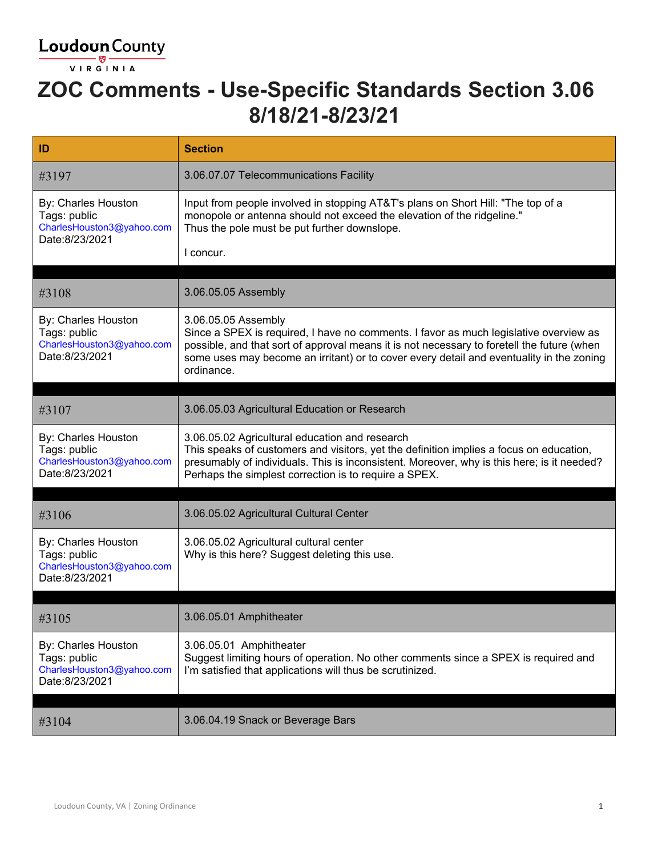

### **ZOC Comments - Use-Specific Standards Section 3.06 8/18/21-8/23/21**

| ID                                                                                 | <b>Section</b>                                                                                                                                                                                                                                                                                                       |
|------------------------------------------------------------------------------------|----------------------------------------------------------------------------------------------------------------------------------------------------------------------------------------------------------------------------------------------------------------------------------------------------------------------|
| #3197                                                                              | 3.06.07.07 Telecommunications Facility                                                                                                                                                                                                                                                                               |
| By: Charles Houston<br>Tags: public<br>CharlesHouston3@yahoo.com<br>Date:8/23/2021 | Input from people involved in stopping AT&T's plans on Short Hill: "The top of a<br>monopole or antenna should not exceed the elevation of the ridgeline."<br>Thus the pole must be put further downslope.<br>I concur.                                                                                              |
| #3108                                                                              | 3.06.05.05 Assembly                                                                                                                                                                                                                                                                                                  |
| By: Charles Houston<br>Tags: public<br>CharlesHouston3@yahoo.com<br>Date:8/23/2021 | 3.06.05.05 Assembly<br>Since a SPEX is required, I have no comments. I favor as much legislative overview as<br>possible, and that sort of approval means it is not necessary to foretell the future (when<br>some uses may become an irritant) or to cover every detail and eventuality in the zoning<br>ordinance. |
|                                                                                    |                                                                                                                                                                                                                                                                                                                      |
| #3107                                                                              | 3.06.05.03 Agricultural Education or Research                                                                                                                                                                                                                                                                        |
| By: Charles Houston<br>Tags: public<br>CharlesHouston3@yahoo.com<br>Date:8/23/2021 | 3.06.05.02 Agricultural education and research<br>This speaks of customers and visitors, yet the definition implies a focus on education,<br>presumably of individuals. This is inconsistent. Moreover, why is this here; is it needed?<br>Perhaps the simplest correction is to require a SPEX.                     |
| #3106                                                                              | 3.06.05.02 Agricultural Cultural Center                                                                                                                                                                                                                                                                              |
| By: Charles Houston<br>Tags: public<br>CharlesHouston3@yahoo.com<br>Date:8/23/2021 | 3.06.05.02 Agricultural cultural center<br>Why is this here? Suggest deleting this use.                                                                                                                                                                                                                              |
| #3105                                                                              | 3.06.05.01 Amphitheater                                                                                                                                                                                                                                                                                              |
| By: Charles Houston<br>Tags: public<br>CharlesHouston3@yahoo.com<br>Date:8/23/2021 | 3.06.05.01 Amphitheater<br>Suggest limiting hours of operation. No other comments since a SPEX is required and<br>I'm satisfied that applications will thus be scrutinized.                                                                                                                                          |
| #3104                                                                              | 3.06.04.19 Snack or Beverage Bars                                                                                                                                                                                                                                                                                    |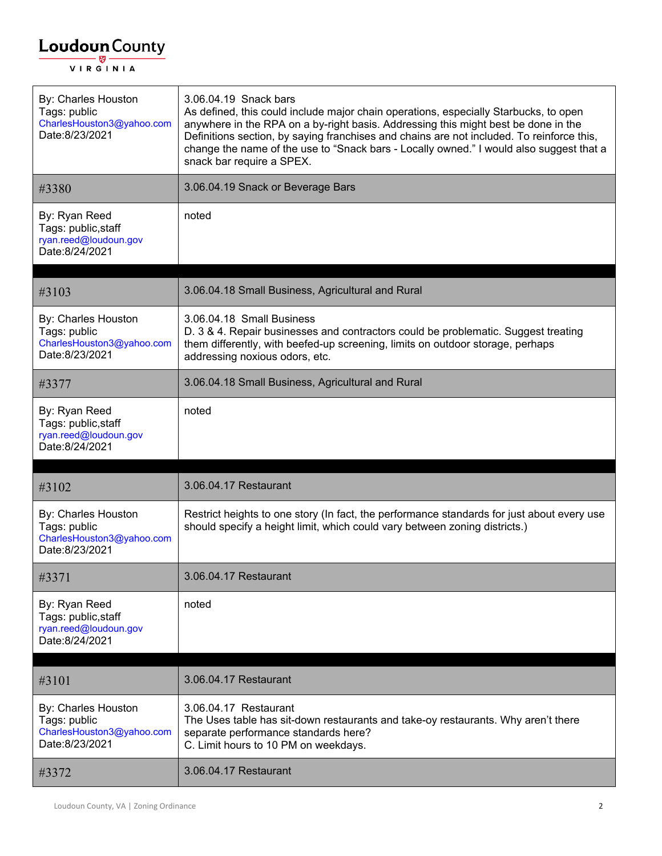| By: Charles Houston<br>Tags: public<br>CharlesHouston3@yahoo.com<br>Date:8/23/2021 | 3.06.04.19 Snack bars<br>As defined, this could include major chain operations, especially Starbucks, to open<br>anywhere in the RPA on a by-right basis. Addressing this might best be done in the<br>Definitions section, by saying franchises and chains are not included. To reinforce this,<br>change the name of the use to "Snack bars - Locally owned." I would also suggest that a<br>snack bar require a SPEX. |
|------------------------------------------------------------------------------------|--------------------------------------------------------------------------------------------------------------------------------------------------------------------------------------------------------------------------------------------------------------------------------------------------------------------------------------------------------------------------------------------------------------------------|
| #3380                                                                              | 3.06.04.19 Snack or Beverage Bars                                                                                                                                                                                                                                                                                                                                                                                        |
| By: Ryan Reed<br>Tags: public, staff<br>ryan.reed@loudoun.gov<br>Date:8/24/2021    | noted                                                                                                                                                                                                                                                                                                                                                                                                                    |
| #3103                                                                              | 3.06.04.18 Small Business, Agricultural and Rural                                                                                                                                                                                                                                                                                                                                                                        |
| By: Charles Houston<br>Tags: public<br>CharlesHouston3@yahoo.com<br>Date:8/23/2021 | 3.06.04.18 Small Business<br>D. 3 & 4. Repair businesses and contractors could be problematic. Suggest treating<br>them differently, with beefed-up screening, limits on outdoor storage, perhaps<br>addressing noxious odors, etc.                                                                                                                                                                                      |
| #3377                                                                              | 3.06.04.18 Small Business, Agricultural and Rural                                                                                                                                                                                                                                                                                                                                                                        |
| By: Ryan Reed<br>Tags: public, staff<br>ryan.reed@loudoun.gov                      | noted                                                                                                                                                                                                                                                                                                                                                                                                                    |
| Date:8/24/2021                                                                     |                                                                                                                                                                                                                                                                                                                                                                                                                          |
| #3102                                                                              | 3.06.04.17 Restaurant                                                                                                                                                                                                                                                                                                                                                                                                    |
| By: Charles Houston<br>Tags: public<br>CharlesHouston3@yahoo.com<br>Date:8/23/2021 | Restrict heights to one story (In fact, the performance standards for just about every use<br>should specify a height limit, which could vary between zoning districts.)                                                                                                                                                                                                                                                 |
| #3371                                                                              | 3.06.04.17 Restaurant                                                                                                                                                                                                                                                                                                                                                                                                    |
| By: Ryan Reed<br>Tags: public, staff<br>ryan.reed@loudoun.gov<br>Date:8/24/2021    | noted                                                                                                                                                                                                                                                                                                                                                                                                                    |
| #3101                                                                              | 3.06.04.17 Restaurant                                                                                                                                                                                                                                                                                                                                                                                                    |
| By: Charles Houston<br>Tags: public<br>CharlesHouston3@yahoo.com<br>Date:8/23/2021 | 3.06.04.17 Restaurant<br>The Uses table has sit-down restaurants and take-oy restaurants. Why aren't there<br>separate performance standards here?<br>C. Limit hours to 10 PM on weekdays.                                                                                                                                                                                                                               |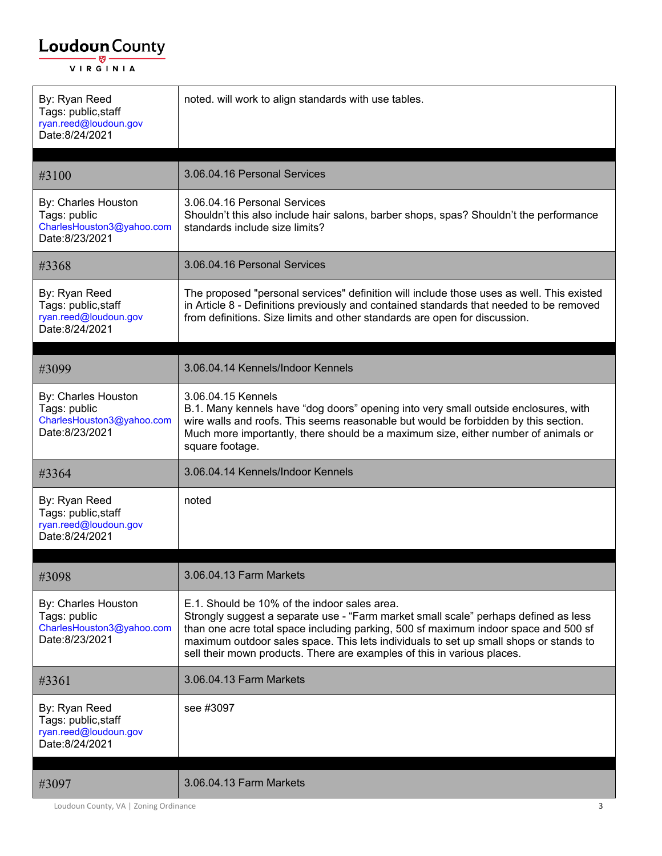| By: Ryan Reed<br>Tags: public, staff<br>ryan.reed@loudoun.gov<br>Date:8/24/2021    | noted. will work to align standards with use tables.                                                                                                                                                                                                                                                                                                                                           |
|------------------------------------------------------------------------------------|------------------------------------------------------------------------------------------------------------------------------------------------------------------------------------------------------------------------------------------------------------------------------------------------------------------------------------------------------------------------------------------------|
| #3100                                                                              | 3.06.04.16 Personal Services                                                                                                                                                                                                                                                                                                                                                                   |
| By: Charles Houston<br>Tags: public<br>CharlesHouston3@yahoo.com<br>Date:8/23/2021 | 3.06.04.16 Personal Services<br>Shouldn't this also include hair salons, barber shops, spas? Shouldn't the performance<br>standards include size limits?                                                                                                                                                                                                                                       |
| #3368                                                                              | 3.06.04.16 Personal Services                                                                                                                                                                                                                                                                                                                                                                   |
| By: Ryan Reed<br>Tags: public, staff<br>ryan.reed@loudoun.gov<br>Date:8/24/2021    | The proposed "personal services" definition will include those uses as well. This existed<br>in Article 8 - Definitions previously and contained standards that needed to be removed<br>from definitions. Size limits and other standards are open for discussion.                                                                                                                             |
| #3099                                                                              | 3.06.04.14 Kennels/Indoor Kennels                                                                                                                                                                                                                                                                                                                                                              |
| By: Charles Houston<br>Tags: public<br>CharlesHouston3@yahoo.com<br>Date:8/23/2021 | 3.06.04.15 Kennels<br>B.1. Many kennels have "dog doors" opening into very small outside enclosures, with<br>wire walls and roofs. This seems reasonable but would be forbidden by this section.<br>Much more importantly, there should be a maximum size, either number of animals or<br>square footage.                                                                                      |
| #3364                                                                              | 3.06.04.14 Kennels/Indoor Kennels                                                                                                                                                                                                                                                                                                                                                              |
| By: Ryan Reed<br>Tags: public, staff<br>ryan.reed@loudoun.gov<br>Date:8/24/2021    | noted                                                                                                                                                                                                                                                                                                                                                                                          |
| #3098                                                                              | 3.06.04.13 Farm Markets                                                                                                                                                                                                                                                                                                                                                                        |
| By: Charles Houston<br>Tags: public<br>CharlesHouston3@yahoo.com<br>Date:8/23/2021 | E.1. Should be 10% of the indoor sales area.<br>Strongly suggest a separate use - "Farm market small scale" perhaps defined as less<br>than one acre total space including parking, 500 sf maximum indoor space and 500 sf<br>maximum outdoor sales space. This lets individuals to set up small shops or stands to<br>sell their mown products. There are examples of this in various places. |
| #3361                                                                              | 3.06.04.13 Farm Markets                                                                                                                                                                                                                                                                                                                                                                        |
| By: Ryan Reed<br>Tags: public, staff<br>ryan.reed@loudoun.gov<br>Date:8/24/2021    | see #3097                                                                                                                                                                                                                                                                                                                                                                                      |
| #3097                                                                              | 3.06.04.13 Farm Markets                                                                                                                                                                                                                                                                                                                                                                        |

Loudoun County, VA | Zoning Ordinance 3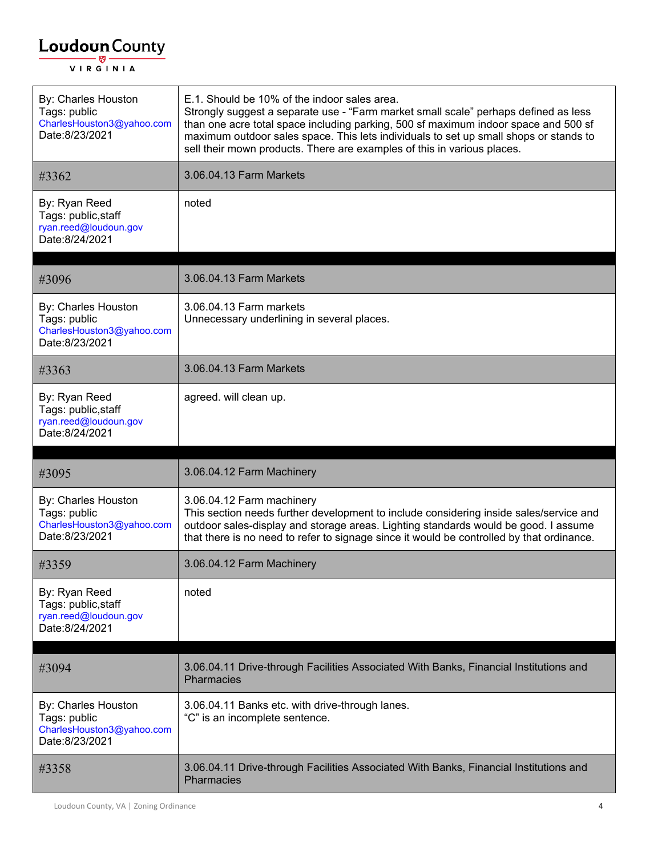$\Gamma$ 

| By: Charles Houston<br>Tags: public<br>CharlesHouston3@yahoo.com<br>Date:8/23/2021 | E.1. Should be 10% of the indoor sales area.<br>Strongly suggest a separate use - "Farm market small scale" perhaps defined as less<br>than one acre total space including parking, 500 sf maximum indoor space and 500 sf<br>maximum outdoor sales space. This lets individuals to set up small shops or stands to<br>sell their mown products. There are examples of this in various places. |
|------------------------------------------------------------------------------------|------------------------------------------------------------------------------------------------------------------------------------------------------------------------------------------------------------------------------------------------------------------------------------------------------------------------------------------------------------------------------------------------|
| #3362                                                                              | 3.06.04.13 Farm Markets                                                                                                                                                                                                                                                                                                                                                                        |
| By: Ryan Reed<br>Tags: public, staff<br>ryan.reed@loudoun.gov<br>Date:8/24/2021    | noted                                                                                                                                                                                                                                                                                                                                                                                          |
| #3096                                                                              | 3.06.04.13 Farm Markets                                                                                                                                                                                                                                                                                                                                                                        |
| By: Charles Houston<br>Tags: public<br>CharlesHouston3@yahoo.com<br>Date:8/23/2021 | 3.06.04.13 Farm markets<br>Unnecessary underlining in several places.                                                                                                                                                                                                                                                                                                                          |
| #3363                                                                              | 3.06.04.13 Farm Markets                                                                                                                                                                                                                                                                                                                                                                        |
| By: Ryan Reed<br>Tags: public, staff<br>ryan.reed@loudoun.gov<br>Date:8/24/2021    | agreed. will clean up.                                                                                                                                                                                                                                                                                                                                                                         |
|                                                                                    |                                                                                                                                                                                                                                                                                                                                                                                                |
| #3095                                                                              | 3.06.04.12 Farm Machinery                                                                                                                                                                                                                                                                                                                                                                      |
| By: Charles Houston<br>Tags: public<br>CharlesHouston3@yahoo.com<br>Date:8/23/2021 | 3.06.04.12 Farm machinery<br>This section needs further development to include considering inside sales/service and<br>outdoor sales-display and storage areas. Lighting standards would be good. I assume<br>that there is no need to refer to signage since it would be controlled by that ordinance.                                                                                        |
| #3359                                                                              | 3.06.04.12 Farm Machinery                                                                                                                                                                                                                                                                                                                                                                      |
| By: Ryan Reed<br>Tags: public, staff<br>ryan.reed@loudoun.gov<br>Date:8/24/2021    | noted                                                                                                                                                                                                                                                                                                                                                                                          |
| #3094                                                                              | 3.06.04.11 Drive-through Facilities Associated With Banks, Financial Institutions and<br>Pharmacies                                                                                                                                                                                                                                                                                            |
| By: Charles Houston<br>Tags: public<br>CharlesHouston3@yahoo.com<br>Date:8/23/2021 | 3.06.04.11 Banks etc. with drive-through lanes.<br>"C" is an incomplete sentence.                                                                                                                                                                                                                                                                                                              |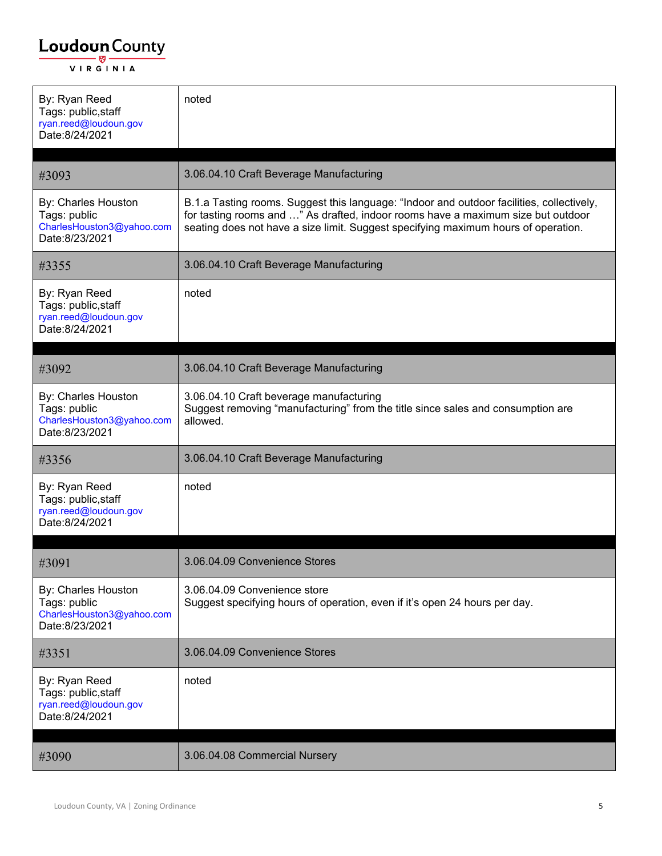| By: Ryan Reed<br>Tags: public, staff<br>ryan.reed@loudoun.gov<br>Date:8/24/2021    | noted                                                                                                                                                                                                                                                               |
|------------------------------------------------------------------------------------|---------------------------------------------------------------------------------------------------------------------------------------------------------------------------------------------------------------------------------------------------------------------|
|                                                                                    |                                                                                                                                                                                                                                                                     |
| #3093                                                                              | 3.06.04.10 Craft Beverage Manufacturing                                                                                                                                                                                                                             |
| By: Charles Houston<br>Tags: public<br>CharlesHouston3@yahoo.com<br>Date:8/23/2021 | B.1.a Tasting rooms. Suggest this language: "Indoor and outdoor facilities, collectively,<br>for tasting rooms and " As drafted, indoor rooms have a maximum size but outdoor<br>seating does not have a size limit. Suggest specifying maximum hours of operation. |
| #3355                                                                              | 3.06.04.10 Craft Beverage Manufacturing                                                                                                                                                                                                                             |
| By: Ryan Reed<br>Tags: public, staff<br>ryan.reed@loudoun.gov<br>Date:8/24/2021    | noted                                                                                                                                                                                                                                                               |
| #3092                                                                              | 3.06.04.10 Craft Beverage Manufacturing                                                                                                                                                                                                                             |
| By: Charles Houston<br>Tags: public<br>CharlesHouston3@yahoo.com<br>Date:8/23/2021 | 3.06.04.10 Craft beverage manufacturing<br>Suggest removing "manufacturing" from the title since sales and consumption are<br>allowed.                                                                                                                              |
| #3356                                                                              | 3.06.04.10 Craft Beverage Manufacturing                                                                                                                                                                                                                             |
| By: Ryan Reed<br>Tags: public, staff<br>ryan.reed@loudoun.gov<br>Date:8/24/2021    | noted                                                                                                                                                                                                                                                               |
|                                                                                    |                                                                                                                                                                                                                                                                     |
| #3091                                                                              | 3.06.04.09 Convenience Stores                                                                                                                                                                                                                                       |
| By: Charles Houston<br>Tags: public<br>CharlesHouston3@yahoo.com<br>Date:8/23/2021 | 3.06.04.09 Convenience store<br>Suggest specifying hours of operation, even if it's open 24 hours per day.                                                                                                                                                          |
| #3351                                                                              | 3.06.04.09 Convenience Stores                                                                                                                                                                                                                                       |
| By: Ryan Reed<br>Tags: public, staff<br>ryan.reed@loudoun.gov<br>Date:8/24/2021    | noted                                                                                                                                                                                                                                                               |
| #3090                                                                              | 3.06.04.08 Commercial Nursery                                                                                                                                                                                                                                       |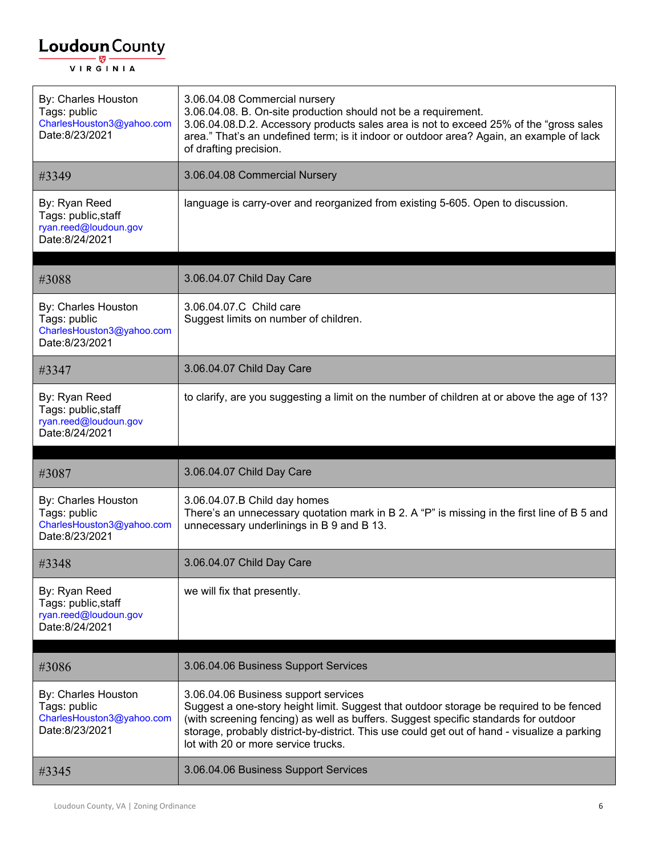| By: Charles Houston<br>Tags: public<br>CharlesHouston3@yahoo.com<br>Date:8/23/2021 | 3.06.04.08 Commercial nursery<br>3.06.04.08. B. On-site production should not be a requirement.<br>3.06.04.08.D.2. Accessory products sales area is not to exceed 25% of the "gross sales<br>area." That's an undefined term; is it indoor or outdoor area? Again, an example of lack<br>of drafting precision.                                               |
|------------------------------------------------------------------------------------|---------------------------------------------------------------------------------------------------------------------------------------------------------------------------------------------------------------------------------------------------------------------------------------------------------------------------------------------------------------|
| #3349                                                                              | 3.06.04.08 Commercial Nursery                                                                                                                                                                                                                                                                                                                                 |
| By: Ryan Reed<br>Tags: public, staff<br>ryan.reed@loudoun.gov<br>Date:8/24/2021    | language is carry-over and reorganized from existing 5-605. Open to discussion.                                                                                                                                                                                                                                                                               |
| #3088                                                                              | 3.06.04.07 Child Day Care                                                                                                                                                                                                                                                                                                                                     |
| By: Charles Houston<br>Tags: public<br>CharlesHouston3@yahoo.com<br>Date:8/23/2021 | 3.06.04.07.C Child care<br>Suggest limits on number of children.                                                                                                                                                                                                                                                                                              |
| #3347                                                                              | 3.06.04.07 Child Day Care                                                                                                                                                                                                                                                                                                                                     |
| By: Ryan Reed<br>Tags: public, staff<br>ryan.reed@loudoun.gov<br>Date:8/24/2021    | to clarify, are you suggesting a limit on the number of children at or above the age of 13?                                                                                                                                                                                                                                                                   |
|                                                                                    |                                                                                                                                                                                                                                                                                                                                                               |
| #3087                                                                              | 3.06.04.07 Child Day Care                                                                                                                                                                                                                                                                                                                                     |
| By: Charles Houston<br>Tags: public<br>CharlesHouston3@yahoo.com<br>Date:8/23/2021 | 3.06.04.07.B Child day homes<br>There's an unnecessary quotation mark in B 2. A "P" is missing in the first line of B 5 and<br>unnecessary underlinings in B 9 and B 13.                                                                                                                                                                                      |
| #3348                                                                              | 3.06.04.07 Child Day Care                                                                                                                                                                                                                                                                                                                                     |
| By: Ryan Reed<br>Tags: public, staff<br>ryan.reed@loudoun.gov<br>Date:8/24/2021    | we will fix that presently.                                                                                                                                                                                                                                                                                                                                   |
|                                                                                    |                                                                                                                                                                                                                                                                                                                                                               |
| #3086                                                                              | 3.06.04.06 Business Support Services                                                                                                                                                                                                                                                                                                                          |
| By: Charles Houston<br>Tags: public<br>CharlesHouston3@yahoo.com<br>Date:8/23/2021 | 3.06.04.06 Business support services<br>Suggest a one-story height limit. Suggest that outdoor storage be required to be fenced<br>(with screening fencing) as well as buffers. Suggest specific standards for outdoor<br>storage, probably district-by-district. This use could get out of hand - visualize a parking<br>lot with 20 or more service trucks. |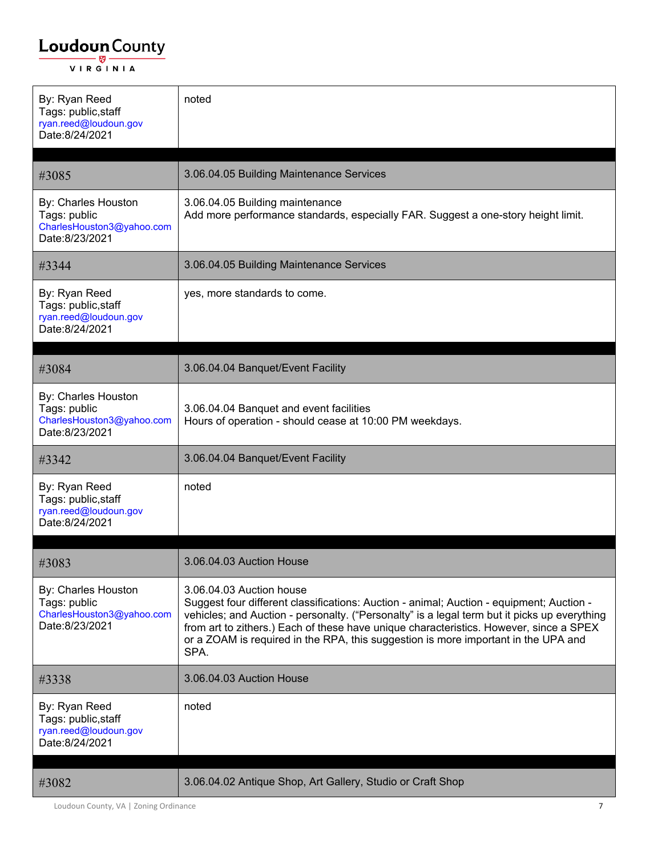| By: Ryan Reed<br>Tags: public, staff<br>ryan.reed@loudoun.gov<br>Date:8/24/2021    | noted                                                                                                                                                                                                                                                                                                                                                                                                        |
|------------------------------------------------------------------------------------|--------------------------------------------------------------------------------------------------------------------------------------------------------------------------------------------------------------------------------------------------------------------------------------------------------------------------------------------------------------------------------------------------------------|
| #3085                                                                              | 3.06.04.05 Building Maintenance Services                                                                                                                                                                                                                                                                                                                                                                     |
| By: Charles Houston<br>Tags: public<br>CharlesHouston3@yahoo.com<br>Date:8/23/2021 | 3.06.04.05 Building maintenance<br>Add more performance standards, especially FAR. Suggest a one-story height limit.                                                                                                                                                                                                                                                                                         |
| #3344                                                                              | 3.06.04.05 Building Maintenance Services                                                                                                                                                                                                                                                                                                                                                                     |
| By: Ryan Reed<br>Tags: public, staff<br>ryan.reed@loudoun.gov<br>Date:8/24/2021    | yes, more standards to come.                                                                                                                                                                                                                                                                                                                                                                                 |
| #3084                                                                              | 3.06.04.04 Banquet/Event Facility                                                                                                                                                                                                                                                                                                                                                                            |
| By: Charles Houston<br>Tags: public<br>CharlesHouston3@yahoo.com<br>Date:8/23/2021 | 3.06.04.04 Banquet and event facilities<br>Hours of operation - should cease at 10:00 PM weekdays.                                                                                                                                                                                                                                                                                                           |
|                                                                                    |                                                                                                                                                                                                                                                                                                                                                                                                              |
| #3342                                                                              | 3.06.04.04 Banquet/Event Facility                                                                                                                                                                                                                                                                                                                                                                            |
| By: Ryan Reed<br>Tags: public, staff<br>ryan.reed@loudoun.gov<br>Date:8/24/2021    | noted                                                                                                                                                                                                                                                                                                                                                                                                        |
| #3083                                                                              | 3.06.04.03 Auction House                                                                                                                                                                                                                                                                                                                                                                                     |
| By: Charles Houston<br>Tags: public<br>CharlesHouston3@yahoo.com<br>Date:8/23/2021 | 3.06.04.03 Auction house<br>Suggest four different classifications: Auction - animal; Auction - equipment; Auction -<br>vehicles; and Auction - personalty. ("Personalty" is a legal term but it picks up everything<br>from art to zithers.) Each of these have unique characteristics. However, since a SPEX<br>or a ZOAM is required in the RPA, this suggestion is more important in the UPA and<br>SPA. |
| #3338                                                                              | 3.06.04.03 Auction House                                                                                                                                                                                                                                                                                                                                                                                     |
| By: Ryan Reed<br>Tags: public, staff<br>ryan.reed@loudoun.gov<br>Date:8/24/2021    | noted                                                                                                                                                                                                                                                                                                                                                                                                        |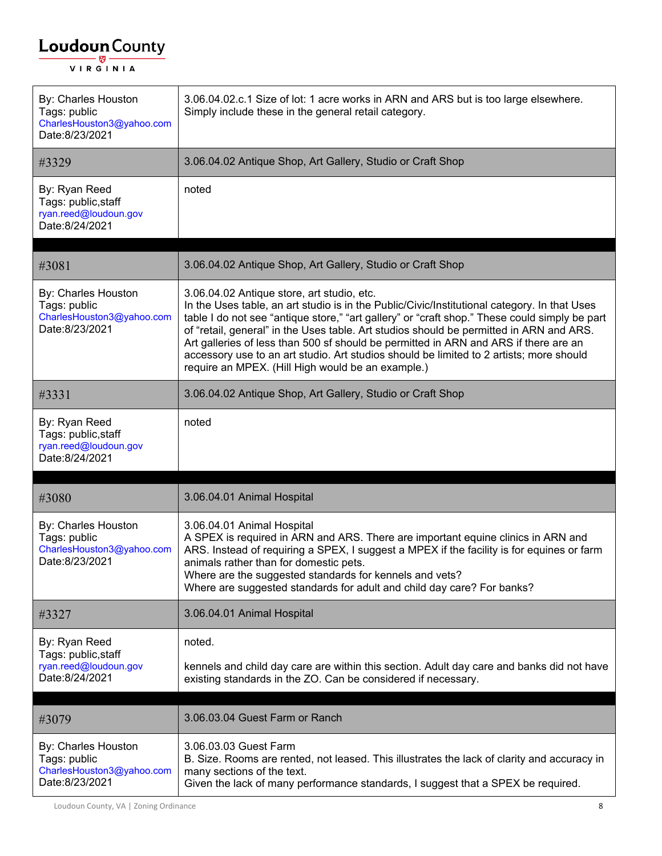| By: Charles Houston<br>Tags: public<br>CharlesHouston3@yahoo.com<br>Date:8/23/2021 | 3.06.04.02.c.1 Size of lot: 1 acre works in ARN and ARS but is too large elsewhere.<br>Simply include these in the general retail category.                                                                                                                                                                                                                                                                                                                                                                                                                                    |
|------------------------------------------------------------------------------------|--------------------------------------------------------------------------------------------------------------------------------------------------------------------------------------------------------------------------------------------------------------------------------------------------------------------------------------------------------------------------------------------------------------------------------------------------------------------------------------------------------------------------------------------------------------------------------|
| #3329                                                                              | 3.06.04.02 Antique Shop, Art Gallery, Studio or Craft Shop                                                                                                                                                                                                                                                                                                                                                                                                                                                                                                                     |
| By: Ryan Reed<br>Tags: public, staff<br>ryan.reed@loudoun.gov<br>Date:8/24/2021    | noted                                                                                                                                                                                                                                                                                                                                                                                                                                                                                                                                                                          |
| #3081                                                                              | 3.06.04.02 Antique Shop, Art Gallery, Studio or Craft Shop                                                                                                                                                                                                                                                                                                                                                                                                                                                                                                                     |
| By: Charles Houston<br>Tags: public<br>CharlesHouston3@yahoo.com<br>Date:8/23/2021 | 3.06.04.02 Antique store, art studio, etc.<br>In the Uses table, an art studio is in the Public/Civic/Institutional category. In that Uses<br>table I do not see "antique store," "art gallery" or "craft shop." These could simply be part<br>of "retail, general" in the Uses table. Art studios should be permitted in ARN and ARS.<br>Art galleries of less than 500 sf should be permitted in ARN and ARS if there are an<br>accessory use to an art studio. Art studios should be limited to 2 artists; more should<br>require an MPEX. (Hill High would be an example.) |
| #3331                                                                              | 3.06.04.02 Antique Shop, Art Gallery, Studio or Craft Shop                                                                                                                                                                                                                                                                                                                                                                                                                                                                                                                     |
| By: Ryan Reed<br>Tags: public, staff<br>ryan.reed@loudoun.gov<br>Date:8/24/2021    | noted                                                                                                                                                                                                                                                                                                                                                                                                                                                                                                                                                                          |
|                                                                                    |                                                                                                                                                                                                                                                                                                                                                                                                                                                                                                                                                                                |
| #3080                                                                              | 3.06.04.01 Animal Hospital                                                                                                                                                                                                                                                                                                                                                                                                                                                                                                                                                     |
| By: Charles Houston<br>Tags: public<br>CharlesHouston3@yahoo.com<br>Date:8/23/2021 | 3.06.04.01 Animal Hospital<br>A SPEX is required in ARN and ARS. There are important equine clinics in ARN and<br>ARS. Instead of requiring a SPEX, I suggest a MPEX if the facility is for equines or farm<br>animals rather than for domestic pets.<br>Where are the suggested standards for kennels and vets?<br>Where are suggested standards for adult and child day care? For banks?                                                                                                                                                                                     |
| #3327                                                                              | 3.06.04.01 Animal Hospital                                                                                                                                                                                                                                                                                                                                                                                                                                                                                                                                                     |
| By: Ryan Reed                                                                      | noted.                                                                                                                                                                                                                                                                                                                                                                                                                                                                                                                                                                         |
| Tags: public, staff<br>ryan.reed@loudoun.gov<br>Date:8/24/2021                     | kennels and child day care are within this section. Adult day care and banks did not have<br>existing standards in the ZO. Can be considered if necessary.                                                                                                                                                                                                                                                                                                                                                                                                                     |
|                                                                                    |                                                                                                                                                                                                                                                                                                                                                                                                                                                                                                                                                                                |
| #3079                                                                              | 3.06.03.04 Guest Farm or Ranch                                                                                                                                                                                                                                                                                                                                                                                                                                                                                                                                                 |
| By: Charles Houston<br>Tags: public<br>CharlesHouston3@yahoo.com<br>Date:8/23/2021 | 3.06.03.03 Guest Farm<br>B. Size. Rooms are rented, not leased. This illustrates the lack of clarity and accuracy in<br>many sections of the text.<br>Given the lack of many performance standards, I suggest that a SPEX be required.                                                                                                                                                                                                                                                                                                                                         |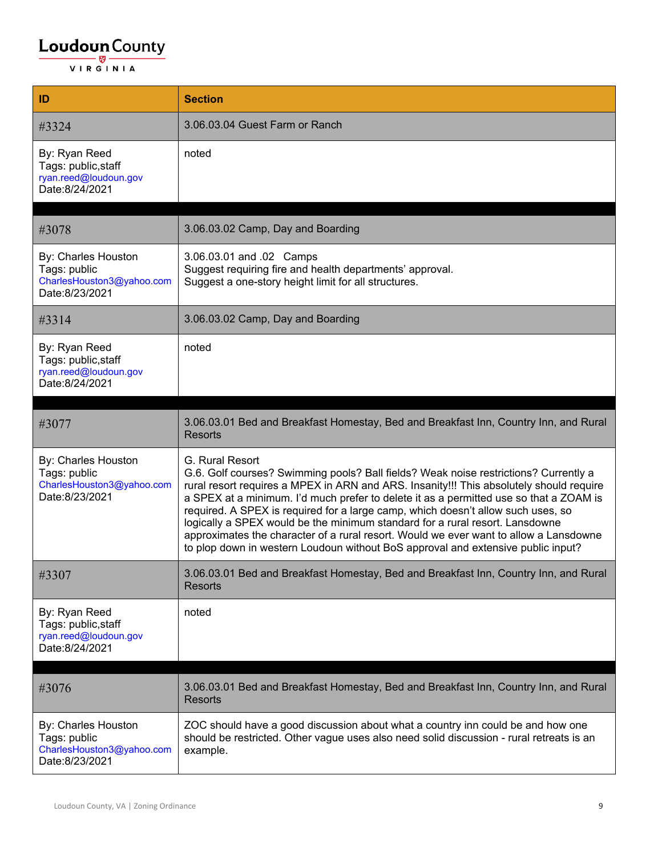| ID                                                                                 | <b>Section</b>                                                                                                                                                                                                                                                                                                                                                                                                                                                                                                                                                                                                                                |
|------------------------------------------------------------------------------------|-----------------------------------------------------------------------------------------------------------------------------------------------------------------------------------------------------------------------------------------------------------------------------------------------------------------------------------------------------------------------------------------------------------------------------------------------------------------------------------------------------------------------------------------------------------------------------------------------------------------------------------------------|
| #3324                                                                              | 3.06.03.04 Guest Farm or Ranch                                                                                                                                                                                                                                                                                                                                                                                                                                                                                                                                                                                                                |
| By: Ryan Reed<br>Tags: public, staff<br>ryan.reed@loudoun.gov<br>Date:8/24/2021    | noted                                                                                                                                                                                                                                                                                                                                                                                                                                                                                                                                                                                                                                         |
| #3078                                                                              | 3.06.03.02 Camp, Day and Boarding                                                                                                                                                                                                                                                                                                                                                                                                                                                                                                                                                                                                             |
| By: Charles Houston<br>Tags: public<br>CharlesHouston3@yahoo.com<br>Date:8/23/2021 | 3.06.03.01 and .02 Camps<br>Suggest requiring fire and health departments' approval.<br>Suggest a one-story height limit for all structures.                                                                                                                                                                                                                                                                                                                                                                                                                                                                                                  |
| #3314                                                                              | 3.06.03.02 Camp, Day and Boarding                                                                                                                                                                                                                                                                                                                                                                                                                                                                                                                                                                                                             |
| By: Ryan Reed<br>Tags: public, staff<br>ryan.reed@loudoun.gov<br>Date:8/24/2021    | noted                                                                                                                                                                                                                                                                                                                                                                                                                                                                                                                                                                                                                                         |
|                                                                                    |                                                                                                                                                                                                                                                                                                                                                                                                                                                                                                                                                                                                                                               |
| #3077                                                                              | 3.06.03.01 Bed and Breakfast Homestay, Bed and Breakfast Inn, Country Inn, and Rural<br><b>Resorts</b>                                                                                                                                                                                                                                                                                                                                                                                                                                                                                                                                        |
| By: Charles Houston<br>Tags: public<br>CharlesHouston3@yahoo.com<br>Date:8/23/2021 | G. Rural Resort<br>G.6. Golf courses? Swimming pools? Ball fields? Weak noise restrictions? Currently a<br>rural resort requires a MPEX in ARN and ARS. Insanity!!! This absolutely should require<br>a SPEX at a minimum. I'd much prefer to delete it as a permitted use so that a ZOAM is<br>required. A SPEX is required for a large camp, which doesn't allow such uses, so<br>logically a SPEX would be the minimum standard for a rural resort. Lansdowne<br>approximates the character of a rural resort. Would we ever want to allow a Lansdowne<br>to plop down in western Loudoun without BoS approval and extensive public input? |
| #3307                                                                              | 3.06.03.01 Bed and Breakfast Homestay, Bed and Breakfast Inn, Country Inn, and Rural<br><b>Resorts</b>                                                                                                                                                                                                                                                                                                                                                                                                                                                                                                                                        |
| By: Ryan Reed<br>Tags: public, staff<br>ryan.reed@loudoun.gov<br>Date:8/24/2021    | noted                                                                                                                                                                                                                                                                                                                                                                                                                                                                                                                                                                                                                                         |
| #3076                                                                              | 3.06.03.01 Bed and Breakfast Homestay, Bed and Breakfast Inn, Country Inn, and Rural<br><b>Resorts</b>                                                                                                                                                                                                                                                                                                                                                                                                                                                                                                                                        |
| By: Charles Houston<br>Tags: public<br>CharlesHouston3@yahoo.com<br>Date:8/23/2021 | ZOC should have a good discussion about what a country inn could be and how one<br>should be restricted. Other vague uses also need solid discussion - rural retreats is an<br>example.                                                                                                                                                                                                                                                                                                                                                                                                                                                       |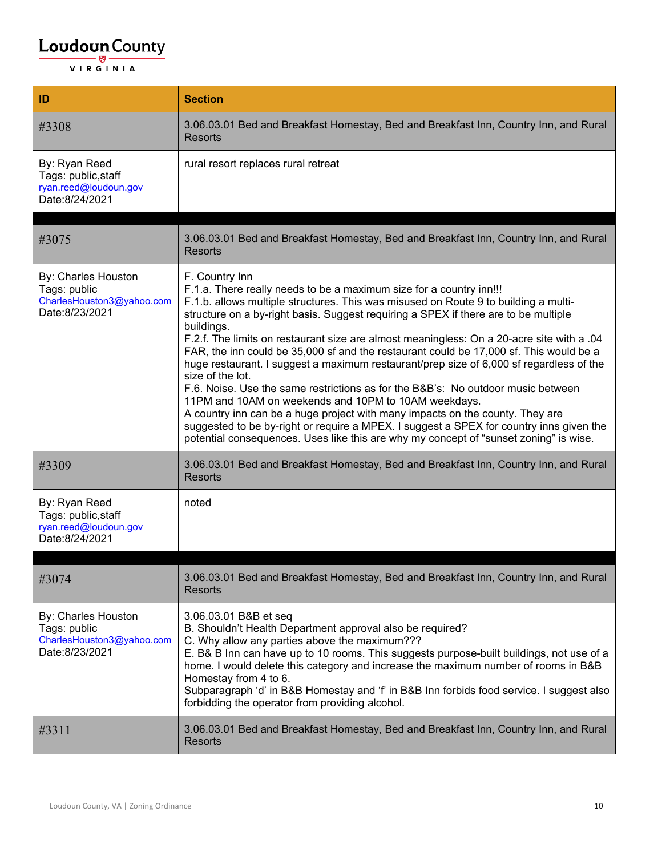| ID                                                                                 | <b>Section</b>                                                                                                                                                                                                                                                                                                                                                                                                                                                                                                                                                                                                                                                                                                                                                                                                                                                                                                                                                                                           |
|------------------------------------------------------------------------------------|----------------------------------------------------------------------------------------------------------------------------------------------------------------------------------------------------------------------------------------------------------------------------------------------------------------------------------------------------------------------------------------------------------------------------------------------------------------------------------------------------------------------------------------------------------------------------------------------------------------------------------------------------------------------------------------------------------------------------------------------------------------------------------------------------------------------------------------------------------------------------------------------------------------------------------------------------------------------------------------------------------|
| #3308                                                                              | 3.06.03.01 Bed and Breakfast Homestay, Bed and Breakfast Inn, Country Inn, and Rural<br><b>Resorts</b>                                                                                                                                                                                                                                                                                                                                                                                                                                                                                                                                                                                                                                                                                                                                                                                                                                                                                                   |
| By: Ryan Reed<br>Tags: public, staff<br>ryan.reed@loudoun.gov<br>Date:8/24/2021    | rural resort replaces rural retreat                                                                                                                                                                                                                                                                                                                                                                                                                                                                                                                                                                                                                                                                                                                                                                                                                                                                                                                                                                      |
| #3075                                                                              | 3.06.03.01 Bed and Breakfast Homestay, Bed and Breakfast Inn, Country Inn, and Rural<br><b>Resorts</b>                                                                                                                                                                                                                                                                                                                                                                                                                                                                                                                                                                                                                                                                                                                                                                                                                                                                                                   |
| By: Charles Houston<br>Tags: public<br>CharlesHouston3@yahoo.com<br>Date:8/23/2021 | F. Country Inn<br>F.1.a. There really needs to be a maximum size for a country inn!!!<br>F.1.b. allows multiple structures. This was misused on Route 9 to building a multi-<br>structure on a by-right basis. Suggest requiring a SPEX if there are to be multiple<br>buildings.<br>F.2.f. The limits on restaurant size are almost meaningless: On a 20-acre site with a .04<br>FAR, the inn could be 35,000 sf and the restaurant could be 17,000 sf. This would be a<br>huge restaurant. I suggest a maximum restaurant/prep size of 6,000 sf regardless of the<br>size of the lot.<br>F.6. Noise. Use the same restrictions as for the B&B's: No outdoor music between<br>11PM and 10AM on weekends and 10PM to 10AM weekdays.<br>A country inn can be a huge project with many impacts on the county. They are<br>suggested to be by-right or require a MPEX. I suggest a SPEX for country inns given the<br>potential consequences. Uses like this are why my concept of "sunset zoning" is wise. |
| #3309                                                                              | 3.06.03.01 Bed and Breakfast Homestay, Bed and Breakfast Inn, Country Inn, and Rural<br><b>Resorts</b>                                                                                                                                                                                                                                                                                                                                                                                                                                                                                                                                                                                                                                                                                                                                                                                                                                                                                                   |
| By: Ryan Reed<br>Tags: public, staff<br>ryan.reed@loudoun.gov<br>Date:8/24/2021    | noted                                                                                                                                                                                                                                                                                                                                                                                                                                                                                                                                                                                                                                                                                                                                                                                                                                                                                                                                                                                                    |
| #3074                                                                              | 3.06.03.01 Bed and Breakfast Homestay, Bed and Breakfast Inn, Country Inn, and Rural<br><b>Resorts</b>                                                                                                                                                                                                                                                                                                                                                                                                                                                                                                                                                                                                                                                                                                                                                                                                                                                                                                   |
| By: Charles Houston<br>Tags: public<br>CharlesHouston3@yahoo.com<br>Date:8/23/2021 | 3.06.03.01 B&B et seq<br>B. Shouldn't Health Department approval also be required?<br>C. Why allow any parties above the maximum???<br>E. B& B Inn can have up to 10 rooms. This suggests purpose-built buildings, not use of a<br>home. I would delete this category and increase the maximum number of rooms in B&B<br>Homestay from 4 to 6.<br>Subparagraph 'd' in B&B Homestay and 'f' in B&B Inn forbids food service. I suggest also<br>forbidding the operator from providing alcohol.                                                                                                                                                                                                                                                                                                                                                                                                                                                                                                            |
| #3311                                                                              | 3.06.03.01 Bed and Breakfast Homestay, Bed and Breakfast Inn, Country Inn, and Rural<br>Resorts                                                                                                                                                                                                                                                                                                                                                                                                                                                                                                                                                                                                                                                                                                                                                                                                                                                                                                          |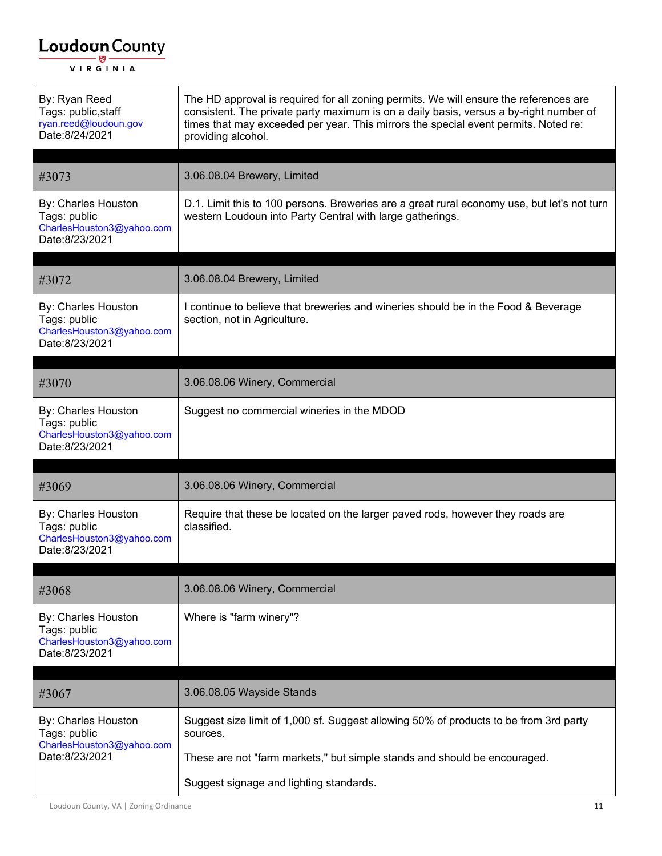| By: Ryan Reed<br>Tags: public, staff<br>ryan.reed@loudoun.gov<br>Date:8/24/2021    | The HD approval is required for all zoning permits. We will ensure the references are<br>consistent. The private party maximum is on a daily basis, versus a by-right number of<br>times that may exceeded per year. This mirrors the special event permits. Noted re:<br>providing alcohol. |
|------------------------------------------------------------------------------------|----------------------------------------------------------------------------------------------------------------------------------------------------------------------------------------------------------------------------------------------------------------------------------------------|
| #3073                                                                              | 3.06.08.04 Brewery, Limited                                                                                                                                                                                                                                                                  |
| By: Charles Houston<br>Tags: public<br>CharlesHouston3@yahoo.com<br>Date:8/23/2021 | D.1. Limit this to 100 persons. Breweries are a great rural economy use, but let's not turn<br>western Loudoun into Party Central with large gatherings.                                                                                                                                     |
| #3072                                                                              | 3.06.08.04 Brewery, Limited                                                                                                                                                                                                                                                                  |
| By: Charles Houston<br>Tags: public<br>CharlesHouston3@yahoo.com<br>Date:8/23/2021 | I continue to believe that breweries and wineries should be in the Food & Beverage<br>section, not in Agriculture.                                                                                                                                                                           |
| #3070                                                                              | 3.06.08.06 Winery, Commercial                                                                                                                                                                                                                                                                |
| By: Charles Houston<br>Tags: public<br>CharlesHouston3@yahoo.com<br>Date:8/23/2021 | Suggest no commercial wineries in the MDOD                                                                                                                                                                                                                                                   |
| #3069                                                                              | 3.06.08.06 Winery, Commercial                                                                                                                                                                                                                                                                |
| By: Charles Houston<br>Tags: public<br>CharlesHouston3@yahoo.com<br>Date:8/23/2021 | Require that these be located on the larger paved rods, however they roads are<br>classified.                                                                                                                                                                                                |
| #3068                                                                              | 3.06.08.06 Winery, Commercial                                                                                                                                                                                                                                                                |
| By: Charles Houston<br>Tags: public<br>CharlesHouston3@yahoo.com<br>Date:8/23/2021 | Where is "farm winery"?                                                                                                                                                                                                                                                                      |
| #3067                                                                              | 3.06.08.05 Wayside Stands                                                                                                                                                                                                                                                                    |
| By: Charles Houston<br>Tags: public<br>CharlesHouston3@yahoo.com<br>Date:8/23/2021 | Suggest size limit of 1,000 sf. Suggest allowing 50% of products to be from 3rd party<br>sources.<br>These are not "farm markets," but simple stands and should be encouraged.                                                                                                               |
|                                                                                    | Suggest signage and lighting standards.                                                                                                                                                                                                                                                      |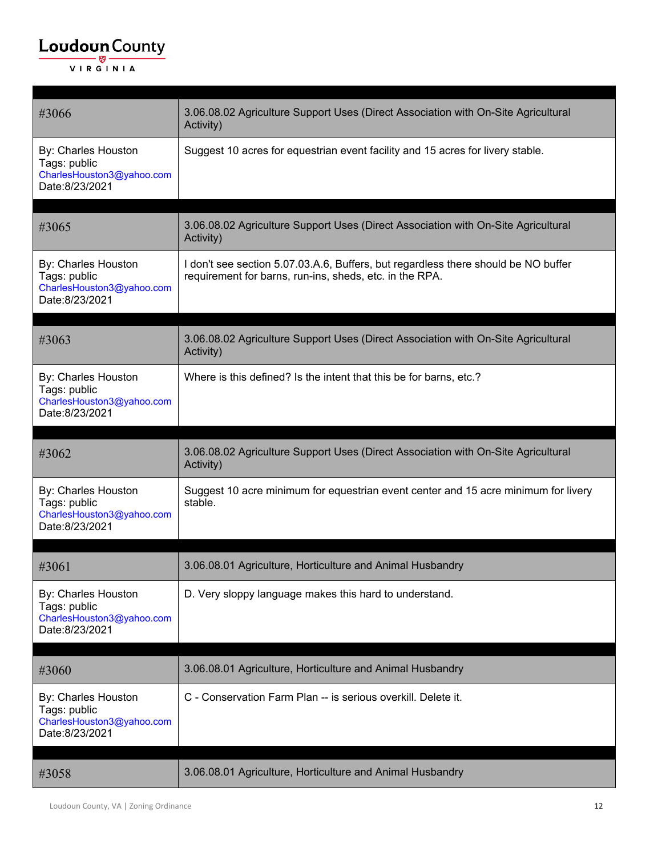| #3066                                                                              | 3.06.08.02 Agriculture Support Uses (Direct Association with On-Site Agricultural<br>Activity)                                                |
|------------------------------------------------------------------------------------|-----------------------------------------------------------------------------------------------------------------------------------------------|
| By: Charles Houston<br>Tags: public<br>CharlesHouston3@yahoo.com<br>Date:8/23/2021 | Suggest 10 acres for equestrian event facility and 15 acres for livery stable.                                                                |
| #3065                                                                              | 3.06.08.02 Agriculture Support Uses (Direct Association with On-Site Agricultural<br>Activity)                                                |
| By: Charles Houston<br>Tags: public<br>CharlesHouston3@yahoo.com<br>Date:8/23/2021 | I don't see section 5.07.03.A.6, Buffers, but regardless there should be NO buffer<br>requirement for barns, run-ins, sheds, etc. in the RPA. |
| #3063                                                                              | 3.06.08.02 Agriculture Support Uses (Direct Association with On-Site Agricultural<br>Activity)                                                |
| By: Charles Houston<br>Tags: public<br>CharlesHouston3@yahoo.com<br>Date:8/23/2021 | Where is this defined? Is the intent that this be for barns, etc.?                                                                            |
|                                                                                    |                                                                                                                                               |
| #3062                                                                              | 3.06.08.02 Agriculture Support Uses (Direct Association with On-Site Agricultural<br>Activity)                                                |
| By: Charles Houston<br>Tags: public<br>CharlesHouston3@yahoo.com<br>Date:8/23/2021 | Suggest 10 acre minimum for equestrian event center and 15 acre minimum for livery<br>stable.                                                 |
| #3061                                                                              | 3.06.08.01 Agriculture, Horticulture and Animal Husbandry                                                                                     |
| By: Charles Houston<br>Tags: public<br>CharlesHouston3@yahoo.com<br>Date:8/23/2021 | D. Very sloppy language makes this hard to understand.                                                                                        |
| #3060                                                                              | 3.06.08.01 Agriculture, Horticulture and Animal Husbandry                                                                                     |
| By: Charles Houston<br>Tags: public<br>CharlesHouston3@yahoo.com<br>Date:8/23/2021 | C - Conservation Farm Plan -- is serious overkill. Delete it.                                                                                 |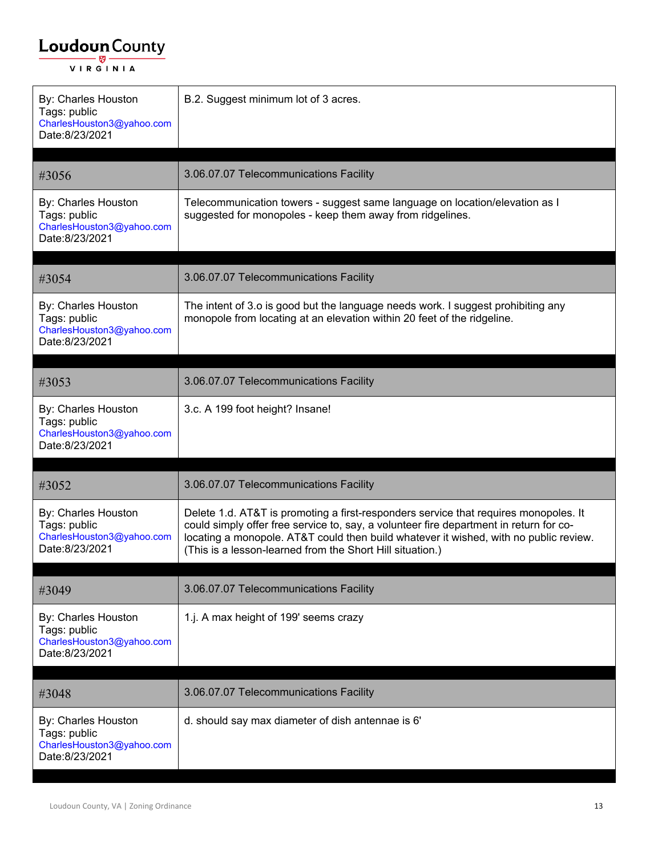| By: Charles Houston<br>Tags: public<br>CharlesHouston3@yahoo.com<br>Date:8/23/2021 | B.2. Suggest minimum lot of 3 acres.                                                                                                                                                                                                                                                                                                 |
|------------------------------------------------------------------------------------|--------------------------------------------------------------------------------------------------------------------------------------------------------------------------------------------------------------------------------------------------------------------------------------------------------------------------------------|
| #3056                                                                              | 3.06.07.07 Telecommunications Facility                                                                                                                                                                                                                                                                                               |
| By: Charles Houston<br>Tags: public<br>CharlesHouston3@yahoo.com<br>Date:8/23/2021 | Telecommunication towers - suggest same language on location/elevation as I<br>suggested for monopoles - keep them away from ridgelines.                                                                                                                                                                                             |
| #3054                                                                              | 3.06.07.07 Telecommunications Facility                                                                                                                                                                                                                                                                                               |
| By: Charles Houston<br>Tags: public<br>CharlesHouston3@yahoo.com<br>Date:8/23/2021 | The intent of 3.0 is good but the language needs work. I suggest prohibiting any<br>monopole from locating at an elevation within 20 feet of the ridgeline.                                                                                                                                                                          |
| #3053                                                                              | 3.06.07.07 Telecommunications Facility                                                                                                                                                                                                                                                                                               |
| By: Charles Houston<br>Tags: public<br>CharlesHouston3@yahoo.com<br>Date:8/23/2021 | 3.c. A 199 foot height? Insane!                                                                                                                                                                                                                                                                                                      |
| #3052                                                                              | 3.06.07.07 Telecommunications Facility                                                                                                                                                                                                                                                                                               |
| By: Charles Houston<br>Tags: public<br>CharlesHouston3@yahoo.com<br>Date:8/23/2021 | Delete 1.d. AT&T is promoting a first-responders service that requires monopoles. It<br>could simply offer free service to, say, a volunteer fire department in return for co-<br>locating a monopole. AT&T could then build whatever it wished, with no public review.<br>(This is a lesson-learned from the Short Hill situation.) |
| #3049                                                                              | 3.06.07.07 Telecommunications Facility                                                                                                                                                                                                                                                                                               |
| By: Charles Houston<br>Tags: public<br>CharlesHouston3@yahoo.com<br>Date:8/23/2021 | 1.j. A max height of 199' seems crazy                                                                                                                                                                                                                                                                                                |
| #3048                                                                              | 3.06.07.07 Telecommunications Facility                                                                                                                                                                                                                                                                                               |
| By: Charles Houston<br>Tags: public<br>CharlesHouston3@yahoo.com<br>Date:8/23/2021 | d. should say max diameter of dish antennae is 6'                                                                                                                                                                                                                                                                                    |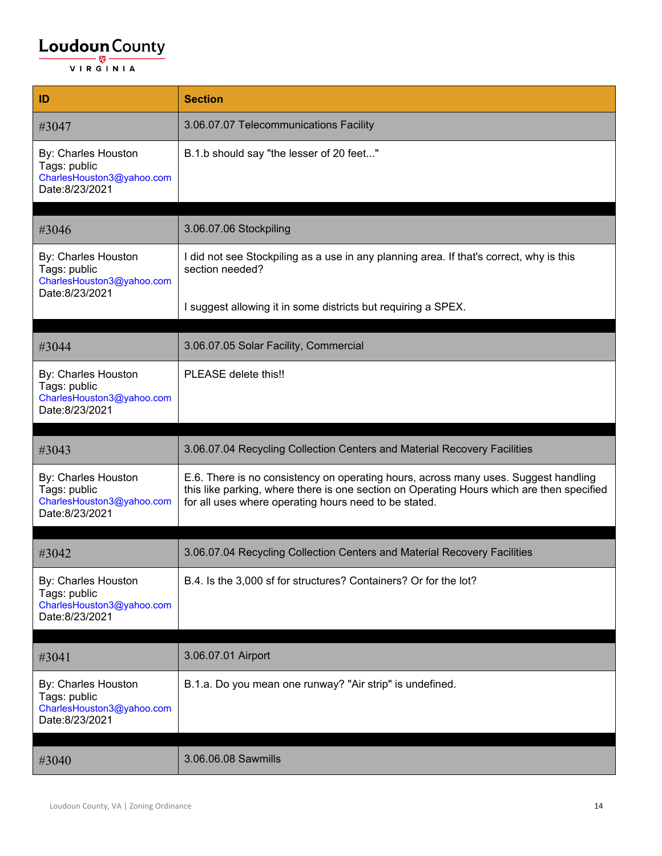| ID                                                                                 | <b>Section</b>                                                                                                                                                                                                                            |
|------------------------------------------------------------------------------------|-------------------------------------------------------------------------------------------------------------------------------------------------------------------------------------------------------------------------------------------|
| #3047                                                                              | 3.06.07.07 Telecommunications Facility                                                                                                                                                                                                    |
| By: Charles Houston<br>Tags: public<br>CharlesHouston3@yahoo.com<br>Date:8/23/2021 | B.1.b should say "the lesser of 20 feet"                                                                                                                                                                                                  |
| #3046                                                                              | 3.06.07.06 Stockpiling                                                                                                                                                                                                                    |
| By: Charles Houston<br>Tags: public<br>CharlesHouston3@yahoo.com                   | I did not see Stockpiling as a use in any planning area. If that's correct, why is this<br>section needed?                                                                                                                                |
| Date:8/23/2021                                                                     | I suggest allowing it in some districts but requiring a SPEX.                                                                                                                                                                             |
| #3044                                                                              | 3.06.07.05 Solar Facility, Commercial                                                                                                                                                                                                     |
| By: Charles Houston<br>Tags: public<br>CharlesHouston3@yahoo.com<br>Date:8/23/2021 | PLEASE delete this!!                                                                                                                                                                                                                      |
|                                                                                    |                                                                                                                                                                                                                                           |
| #3043                                                                              | 3.06.07.04 Recycling Collection Centers and Material Recovery Facilities                                                                                                                                                                  |
| By: Charles Houston<br>Tags: public<br>CharlesHouston3@yahoo.com<br>Date:8/23/2021 | E.6. There is no consistency on operating hours, across many uses. Suggest handling<br>this like parking, where there is one section on Operating Hours which are then specified<br>for all uses where operating hours need to be stated. |
|                                                                                    |                                                                                                                                                                                                                                           |
| #3042                                                                              | 3.06.07.04 Recycling Collection Centers and Material Recovery Facilities                                                                                                                                                                  |
| By: Charles Houston<br>Tags: public<br>CharlesHouston3@yahoo.com<br>Date:8/23/2021 | B.4. Is the 3,000 sf for structures? Containers? Or for the lot?                                                                                                                                                                          |
| #3041                                                                              | 3.06.07.01 Airport                                                                                                                                                                                                                        |
| By: Charles Houston<br>Tags: public<br>CharlesHouston3@yahoo.com                   | B.1.a. Do you mean one runway? "Air strip" is undefined.                                                                                                                                                                                  |
| Date:8/23/2021                                                                     |                                                                                                                                                                                                                                           |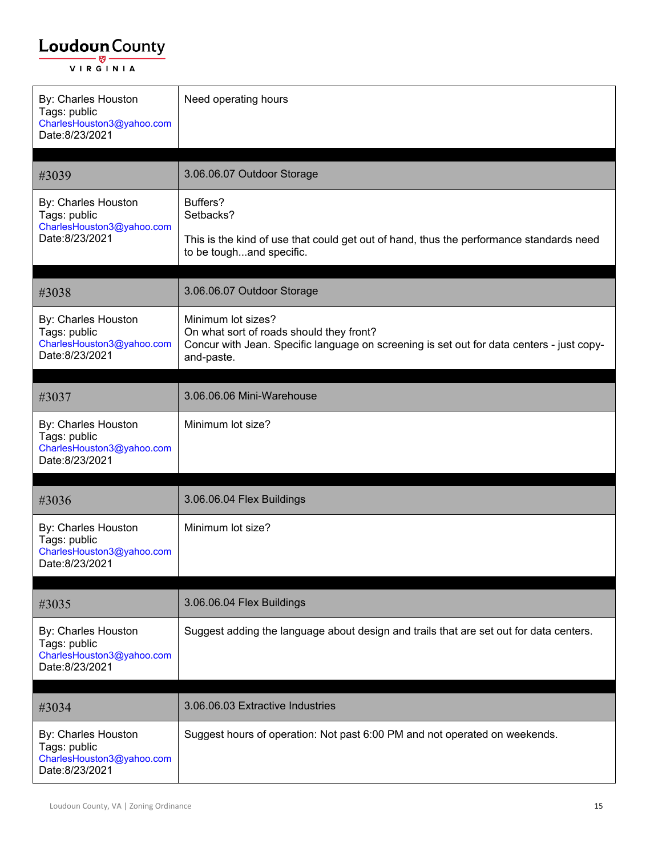| By: Charles Houston<br>Tags: public<br>CharlesHouston3@yahoo.com<br>Date:8/23/2021 | Need operating hours                                                                                                                                                      |
|------------------------------------------------------------------------------------|---------------------------------------------------------------------------------------------------------------------------------------------------------------------------|
| #3039                                                                              | 3.06.06.07 Outdoor Storage                                                                                                                                                |
| By: Charles Houston<br>Tags: public<br>CharlesHouston3@yahoo.com<br>Date:8/23/2021 | Buffers?<br>Setbacks?<br>This is the kind of use that could get out of hand, thus the performance standards need<br>to be toughand specific.                              |
| #3038                                                                              | 3.06.06.07 Outdoor Storage                                                                                                                                                |
| By: Charles Houston<br>Tags: public<br>CharlesHouston3@yahoo.com<br>Date:8/23/2021 | Minimum lot sizes?<br>On what sort of roads should they front?<br>Concur with Jean. Specific language on screening is set out for data centers - just copy-<br>and-paste. |
| #3037                                                                              | 3.06.06.06 Mini-Warehouse                                                                                                                                                 |
| By: Charles Houston<br>Tags: public<br>CharlesHouston3@yahoo.com<br>Date:8/23/2021 | Minimum lot size?                                                                                                                                                         |
| #3036                                                                              | 3.06.06.04 Flex Buildings                                                                                                                                                 |
| By: Charles Houston<br>Tags: public<br>CharlesHouston3@yahoo.com<br>Date:8/23/2021 | Minimum lot size?                                                                                                                                                         |
| #3035                                                                              | 3.06.06.04 Flex Buildings                                                                                                                                                 |
| By: Charles Houston<br>Tags: public<br>CharlesHouston3@yahoo.com<br>Date:8/23/2021 | Suggest adding the language about design and trails that are set out for data centers.                                                                                    |
| #3034                                                                              | 3.06.06.03 Extractive Industries                                                                                                                                          |
| By: Charles Houston<br>Tags: public<br>CharlesHouston3@yahoo.com<br>Date:8/23/2021 | Suggest hours of operation: Not past 6:00 PM and not operated on weekends.                                                                                                |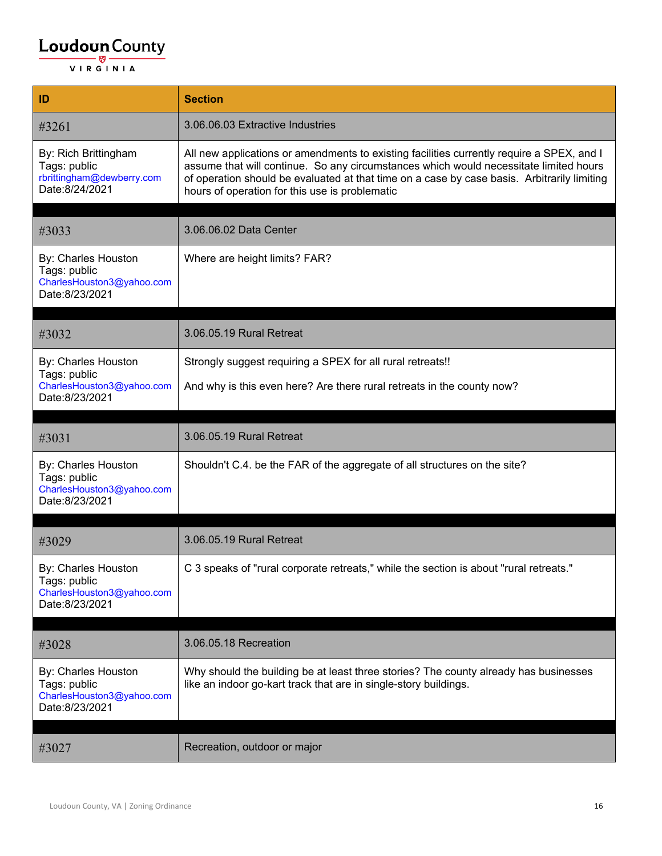| ID                                                                                  | <b>Section</b>                                                                                                                                                                                                                                                                                                                      |
|-------------------------------------------------------------------------------------|-------------------------------------------------------------------------------------------------------------------------------------------------------------------------------------------------------------------------------------------------------------------------------------------------------------------------------------|
| #3261                                                                               | 3.06.06.03 Extractive Industries                                                                                                                                                                                                                                                                                                    |
| By: Rich Brittingham<br>Tags: public<br>rbrittingham@dewberry.com<br>Date:8/24/2021 | All new applications or amendments to existing facilities currently require a SPEX, and I<br>assume that will continue. So any circumstances which would necessitate limited hours<br>of operation should be evaluated at that time on a case by case basis. Arbitrarily limiting<br>hours of operation for this use is problematic |
| #3033                                                                               | 3.06.06.02 Data Center                                                                                                                                                                                                                                                                                                              |
| By: Charles Houston<br>Tags: public<br>CharlesHouston3@yahoo.com<br>Date:8/23/2021  | Where are height limits? FAR?                                                                                                                                                                                                                                                                                                       |
|                                                                                     | 3.06.05.19 Rural Retreat                                                                                                                                                                                                                                                                                                            |
| #3032                                                                               |                                                                                                                                                                                                                                                                                                                                     |
| By: Charles Houston<br>Tags: public                                                 | Strongly suggest requiring a SPEX for all rural retreats!!                                                                                                                                                                                                                                                                          |
| CharlesHouston3@yahoo.com<br>Date:8/23/2021                                         | And why is this even here? Are there rural retreats in the county now?                                                                                                                                                                                                                                                              |
| #3031                                                                               | 3.06.05.19 Rural Retreat                                                                                                                                                                                                                                                                                                            |
|                                                                                     |                                                                                                                                                                                                                                                                                                                                     |
| By: Charles Houston<br>Tags: public<br>CharlesHouston3@yahoo.com<br>Date:8/23/2021  | Shouldn't C.4. be the FAR of the aggregate of all structures on the site?                                                                                                                                                                                                                                                           |
| #3029                                                                               |                                                                                                                                                                                                                                                                                                                                     |
|                                                                                     | 3.06.05.19 Rural Retreat                                                                                                                                                                                                                                                                                                            |
| By: Charles Houston<br>Tags: public<br>CharlesHouston3@yahoo.com<br>Date:8/23/2021  | C 3 speaks of "rural corporate retreats," while the section is about "rural retreats."                                                                                                                                                                                                                                              |
|                                                                                     |                                                                                                                                                                                                                                                                                                                                     |
| #3028                                                                               | 3.06.05.18 Recreation                                                                                                                                                                                                                                                                                                               |
| By: Charles Houston<br>Tags: public<br>CharlesHouston3@yahoo.com<br>Date:8/23/2021  | Why should the building be at least three stories? The county already has businesses<br>like an indoor go-kart track that are in single-story buildings.                                                                                                                                                                            |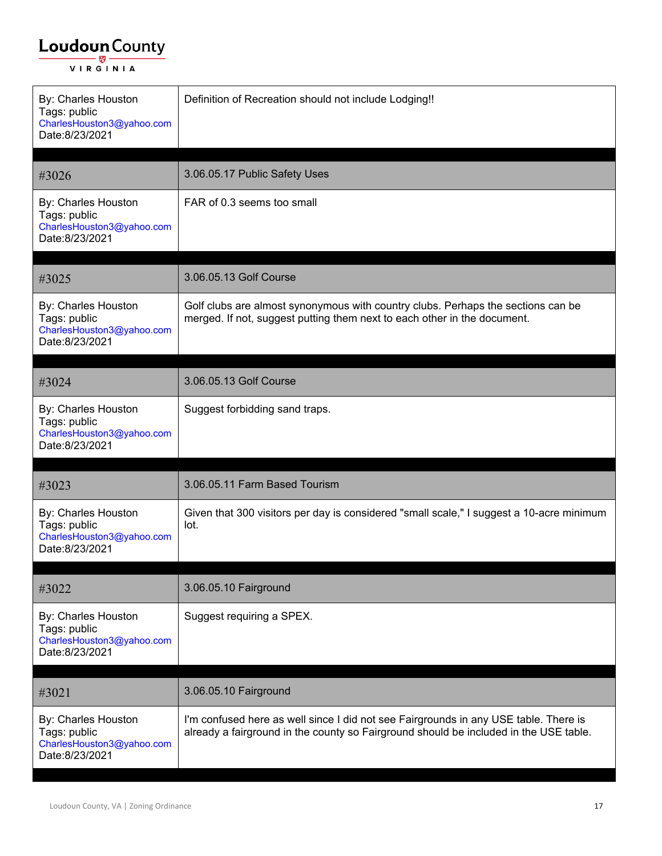| By: Charles Houston<br>Tags: public<br>CharlesHouston3@yahoo.com<br>Date:8/23/2021 | Definition of Recreation should not include Lodging!!                                                                                                                         |
|------------------------------------------------------------------------------------|-------------------------------------------------------------------------------------------------------------------------------------------------------------------------------|
| #3026                                                                              | 3.06.05.17 Public Safety Uses                                                                                                                                                 |
| By: Charles Houston<br>Tags: public<br>CharlesHouston3@yahoo.com<br>Date:8/23/2021 | FAR of 0.3 seems too small                                                                                                                                                    |
| #3025                                                                              | 3.06.05.13 Golf Course                                                                                                                                                        |
| By: Charles Houston<br>Tags: public<br>CharlesHouston3@yahoo.com<br>Date:8/23/2021 | Golf clubs are almost synonymous with country clubs. Perhaps the sections can be<br>merged. If not, suggest putting them next to each other in the document.                  |
| #3024                                                                              | 3.06.05.13 Golf Course                                                                                                                                                        |
| By: Charles Houston<br>Tags: public<br>CharlesHouston3@yahoo.com<br>Date:8/23/2021 | Suggest forbidding sand traps.                                                                                                                                                |
| #3023                                                                              | 3.06.05.11 Farm Based Tourism                                                                                                                                                 |
| By: Charles Houston<br>Tags: public<br>CharlesHouston3@yahoo.com<br>Date:8/23/2021 | Given that 300 visitors per day is considered "small scale," I suggest a 10-acre minimum<br>lot.                                                                              |
| #3022                                                                              | 3.06.05.10 Fairground                                                                                                                                                         |
| By: Charles Houston<br>Tags: public<br>CharlesHouston3@yahoo.com<br>Date:8/23/2021 | Suggest requiring a SPEX.                                                                                                                                                     |
| #3021                                                                              | 3.06.05.10 Fairground                                                                                                                                                         |
| By: Charles Houston<br>Tags: public<br>CharlesHouston3@yahoo.com<br>Date:8/23/2021 | I'm confused here as well since I did not see Fairgrounds in any USE table. There is<br>already a fairground in the county so Fairground should be included in the USE table. |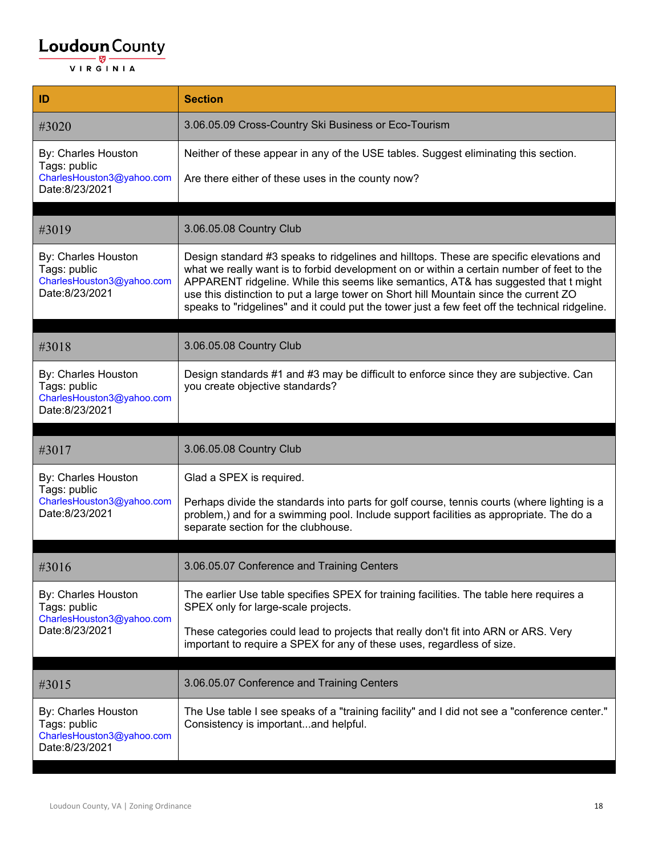| ID                                                                                 | <b>Section</b>                                                                                                                                                                                                                                                                                                                                                                                                                                                         |
|------------------------------------------------------------------------------------|------------------------------------------------------------------------------------------------------------------------------------------------------------------------------------------------------------------------------------------------------------------------------------------------------------------------------------------------------------------------------------------------------------------------------------------------------------------------|
| #3020                                                                              | 3.06.05.09 Cross-Country Ski Business or Eco-Tourism                                                                                                                                                                                                                                                                                                                                                                                                                   |
| By: Charles Houston<br>Tags: public                                                | Neither of these appear in any of the USE tables. Suggest eliminating this section.                                                                                                                                                                                                                                                                                                                                                                                    |
| CharlesHouston3@yahoo.com<br>Date:8/23/2021                                        | Are there either of these uses in the county now?                                                                                                                                                                                                                                                                                                                                                                                                                      |
|                                                                                    |                                                                                                                                                                                                                                                                                                                                                                                                                                                                        |
| #3019                                                                              | 3.06.05.08 Country Club                                                                                                                                                                                                                                                                                                                                                                                                                                                |
| By: Charles Houston<br>Tags: public<br>CharlesHouston3@yahoo.com<br>Date:8/23/2021 | Design standard #3 speaks to ridgelines and hilltops. These are specific elevations and<br>what we really want is to forbid development on or within a certain number of feet to the<br>APPARENT ridgeline. While this seems like semantics, AT& has suggested that t might<br>use this distinction to put a large tower on Short hill Mountain since the current ZO<br>speaks to "ridgelines" and it could put the tower just a few feet off the technical ridgeline. |
|                                                                                    |                                                                                                                                                                                                                                                                                                                                                                                                                                                                        |
| #3018                                                                              | 3.06.05.08 Country Club                                                                                                                                                                                                                                                                                                                                                                                                                                                |
| By: Charles Houston<br>Tags: public<br>CharlesHouston3@yahoo.com<br>Date:8/23/2021 | Design standards #1 and #3 may be difficult to enforce since they are subjective. Can<br>you create objective standards?                                                                                                                                                                                                                                                                                                                                               |
|                                                                                    |                                                                                                                                                                                                                                                                                                                                                                                                                                                                        |
| #3017                                                                              | 3.06.05.08 Country Club                                                                                                                                                                                                                                                                                                                                                                                                                                                |
| By: Charles Houston<br>Tags: public                                                | Glad a SPEX is required.                                                                                                                                                                                                                                                                                                                                                                                                                                               |
| CharlesHouston3@yahoo.com<br>Date:8/23/2021                                        | Perhaps divide the standards into parts for golf course, tennis courts (where lighting is a<br>problem,) and for a swimming pool. Include support facilities as appropriate. The do a<br>separate section for the clubhouse.                                                                                                                                                                                                                                           |
|                                                                                    |                                                                                                                                                                                                                                                                                                                                                                                                                                                                        |
| #3016                                                                              | 3.06.05.07 Conference and Training Centers                                                                                                                                                                                                                                                                                                                                                                                                                             |
| By: Charles Houston<br>Tags: public                                                | The earlier Use table specifies SPEX for training facilities. The table here requires a<br>SPEX only for large-scale projects.                                                                                                                                                                                                                                                                                                                                         |
| CharlesHouston3@yahoo.com<br>Date:8/23/2021                                        | These categories could lead to projects that really don't fit into ARN or ARS. Very<br>important to require a SPEX for any of these uses, regardless of size.                                                                                                                                                                                                                                                                                                          |
|                                                                                    |                                                                                                                                                                                                                                                                                                                                                                                                                                                                        |
| #3015                                                                              | 3.06.05.07 Conference and Training Centers                                                                                                                                                                                                                                                                                                                                                                                                                             |
| By: Charles Houston<br>Tags: public<br>CharlesHouston3@yahoo.com<br>Date:8/23/2021 | The Use table I see speaks of a "training facility" and I did not see a "conference center."<br>Consistency is importantand helpful.                                                                                                                                                                                                                                                                                                                                   |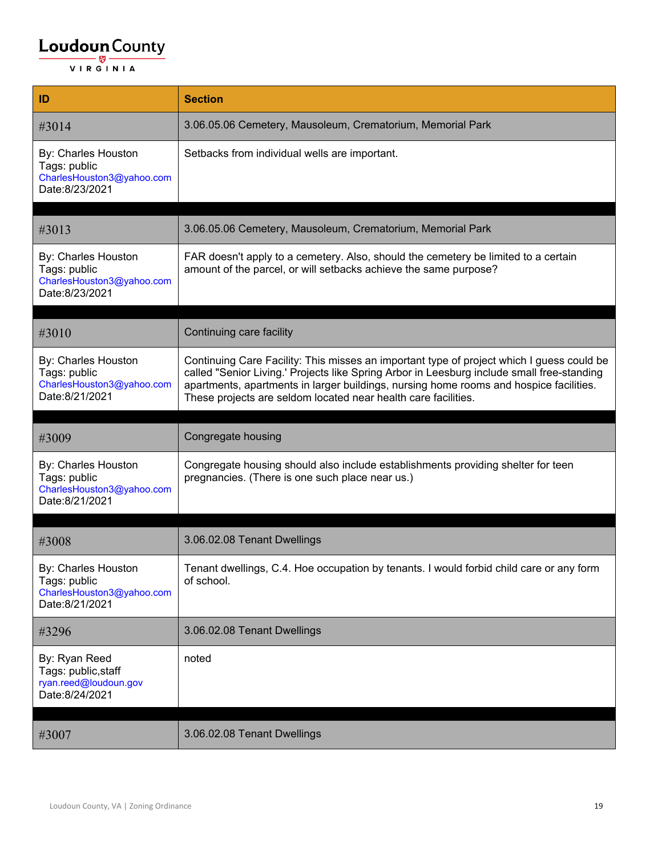| ID                                                                                 | <b>Section</b>                                                                                                                                                                                                                                                                                                                                      |
|------------------------------------------------------------------------------------|-----------------------------------------------------------------------------------------------------------------------------------------------------------------------------------------------------------------------------------------------------------------------------------------------------------------------------------------------------|
| #3014                                                                              | 3.06.05.06 Cemetery, Mausoleum, Crematorium, Memorial Park                                                                                                                                                                                                                                                                                          |
| By: Charles Houston<br>Tags: public<br>CharlesHouston3@yahoo.com<br>Date:8/23/2021 | Setbacks from individual wells are important.                                                                                                                                                                                                                                                                                                       |
| #3013                                                                              | 3.06.05.06 Cemetery, Mausoleum, Crematorium, Memorial Park                                                                                                                                                                                                                                                                                          |
| By: Charles Houston<br>Tags: public<br>CharlesHouston3@yahoo.com<br>Date:8/23/2021 | FAR doesn't apply to a cemetery. Also, should the cemetery be limited to a certain<br>amount of the parcel, or will setbacks achieve the same purpose?                                                                                                                                                                                              |
|                                                                                    |                                                                                                                                                                                                                                                                                                                                                     |
| #3010                                                                              | Continuing care facility                                                                                                                                                                                                                                                                                                                            |
| By: Charles Houston<br>Tags: public<br>CharlesHouston3@yahoo.com<br>Date:8/21/2021 | Continuing Care Facility: This misses an important type of project which I guess could be<br>called "Senior Living.' Projects like Spring Arbor in Leesburg include small free-standing<br>apartments, apartments in larger buildings, nursing home rooms and hospice facilities.<br>These projects are seldom located near health care facilities. |
|                                                                                    |                                                                                                                                                                                                                                                                                                                                                     |
|                                                                                    |                                                                                                                                                                                                                                                                                                                                                     |
| #3009                                                                              | Congregate housing                                                                                                                                                                                                                                                                                                                                  |
| By: Charles Houston<br>Tags: public<br>CharlesHouston3@yahoo.com<br>Date:8/21/2021 | Congregate housing should also include establishments providing shelter for teen<br>pregnancies. (There is one such place near us.)                                                                                                                                                                                                                 |
|                                                                                    |                                                                                                                                                                                                                                                                                                                                                     |
| #3008                                                                              | 3.06.02.08 Tenant Dwellings                                                                                                                                                                                                                                                                                                                         |
| By: Charles Houston<br>Tags: public<br>CharlesHouston3@yahoo.com<br>Date:8/21/2021 | Tenant dwellings, C.4. Hoe occupation by tenants. I would forbid child care or any form<br>of school.                                                                                                                                                                                                                                               |
| #3296                                                                              | 3.06.02.08 Tenant Dwellings                                                                                                                                                                                                                                                                                                                         |
| By: Ryan Reed<br>Tags: public, staff<br>ryan.reed@loudoun.gov<br>Date:8/24/2021    | noted                                                                                                                                                                                                                                                                                                                                               |
| #3007                                                                              | 3.06.02.08 Tenant Dwellings                                                                                                                                                                                                                                                                                                                         |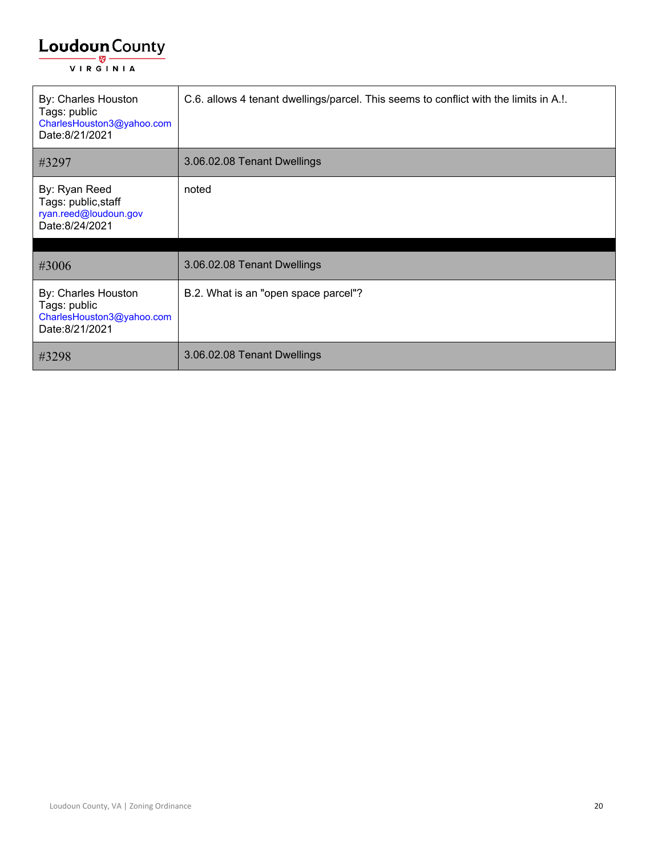| By: Charles Houston<br>Tags: public<br>CharlesHouston3@yahoo.com<br>Date:8/21/2021 | C.6. allows 4 tenant dwellings/parcel. This seems to conflict with the limits in A.!. |
|------------------------------------------------------------------------------------|---------------------------------------------------------------------------------------|
| #3297                                                                              | 3.06.02.08 Tenant Dwellings                                                           |
| By: Ryan Reed<br>Tags: public, staff<br>ryan.reed@loudoun.gov<br>Date:8/24/2021    | noted                                                                                 |
| #3006                                                                              | 3.06.02.08 Tenant Dwellings                                                           |
| By: Charles Houston<br>Tags: public<br>CharlesHouston3@yahoo.com<br>Date:8/21/2021 | B.2. What is an "open space parcel"?                                                  |
| #3298                                                                              | 3.06.02.08 Tenant Dwellings                                                           |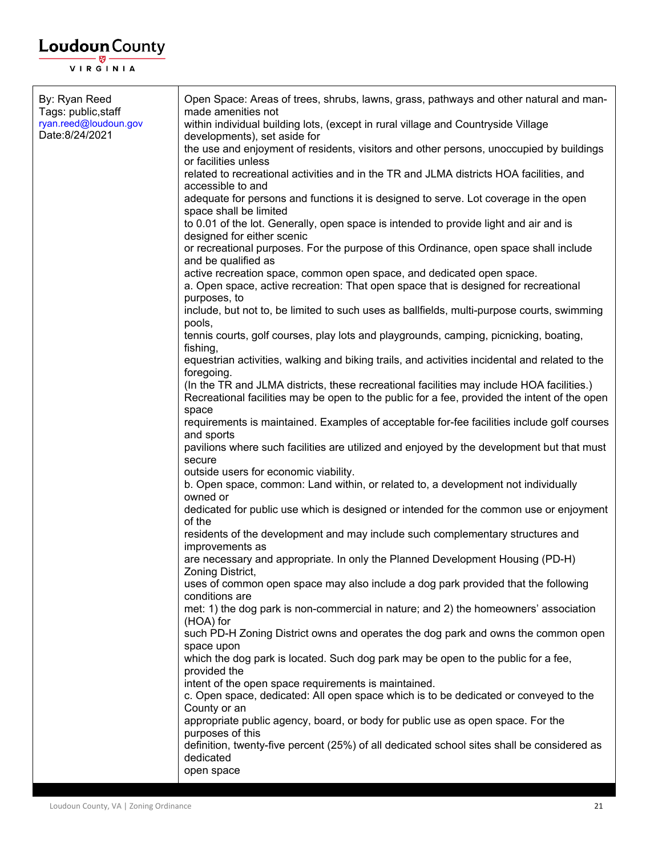| By: Ryan Reed<br>Tags: public, staff    | Open Space: Areas of trees, shrubs, lawns, grass, pathways and other natural and man-<br>made amenities not                                                                                        |
|-----------------------------------------|----------------------------------------------------------------------------------------------------------------------------------------------------------------------------------------------------|
| ryan.reed@loudoun.gov<br>Date:8/24/2021 | within individual building lots, (except in rural village and Countryside Village                                                                                                                  |
|                                         | developments), set aside for<br>the use and enjoyment of residents, visitors and other persons, unoccupied by buildings<br>or facilities unless                                                    |
|                                         | related to recreational activities and in the TR and JLMA districts HOA facilities, and                                                                                                            |
|                                         | accessible to and                                                                                                                                                                                  |
|                                         | adequate for persons and functions it is designed to serve. Lot coverage in the open<br>space shall be limited                                                                                     |
|                                         | to 0.01 of the lot. Generally, open space is intended to provide light and air and is<br>designed for either scenic                                                                                |
|                                         | or recreational purposes. For the purpose of this Ordinance, open space shall include<br>and be qualified as                                                                                       |
|                                         | active recreation space, common open space, and dedicated open space.<br>a. Open space, active recreation: That open space that is designed for recreational                                       |
|                                         | purposes, to<br>include, but not to, be limited to such uses as ballfields, multi-purpose courts, swimming                                                                                         |
|                                         | pools,<br>tennis courts, golf courses, play lots and playgrounds, camping, picnicking, boating,<br>fishing,                                                                                        |
|                                         | equestrian activities, walking and biking trails, and activities incidental and related to the<br>foregoing.                                                                                       |
|                                         | (In the TR and JLMA districts, these recreational facilities may include HOA facilities.)<br>Recreational facilities may be open to the public for a fee, provided the intent of the open<br>space |
|                                         | requirements is maintained. Examples of acceptable for-fee facilities include golf courses<br>and sports                                                                                           |
|                                         | pavilions where such facilities are utilized and enjoyed by the development but that must<br>secure                                                                                                |
|                                         | outside users for economic viability.<br>b. Open space, common: Land within, or related to, a development not individually                                                                         |
|                                         | owned or<br>dedicated for public use which is designed or intended for the common use or enjoyment                                                                                                 |
|                                         | of the<br>residents of the development and may include such complementary structures and<br>improvements as                                                                                        |
|                                         | are necessary and appropriate. In only the Planned Development Housing (PD-H)<br>Zoning District,                                                                                                  |
|                                         | uses of common open space may also include a dog park provided that the following<br>conditions are                                                                                                |
|                                         | met: 1) the dog park is non-commercial in nature; and 2) the homeowners' association<br>(HOA) for                                                                                                  |
|                                         | such PD-H Zoning District owns and operates the dog park and owns the common open<br>space upon                                                                                                    |
|                                         | which the dog park is located. Such dog park may be open to the public for a fee,<br>provided the                                                                                                  |
|                                         | intent of the open space requirements is maintained.<br>c. Open space, dedicated: All open space which is to be dedicated or conveyed to the                                                       |
|                                         | County or an<br>appropriate public agency, board, or body for public use as open space. For the                                                                                                    |
|                                         | purposes of this<br>definition, twenty-five percent (25%) of all dedicated school sites shall be considered as                                                                                     |
|                                         | dedicated<br>open space                                                                                                                                                                            |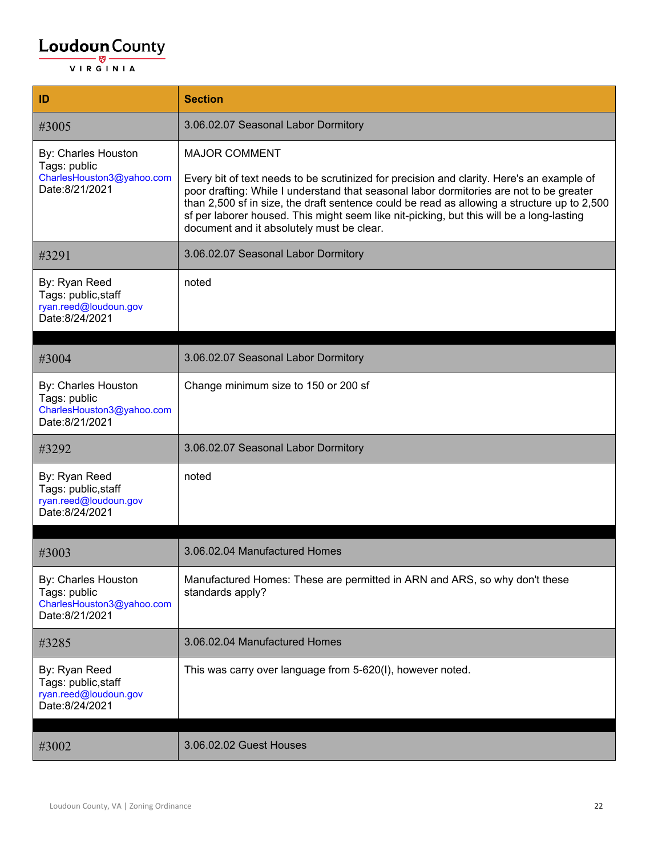| ID                                                                                 | <b>Section</b>                                                                                                                                                                                                                                                                                                                                                                                                                                       |
|------------------------------------------------------------------------------------|------------------------------------------------------------------------------------------------------------------------------------------------------------------------------------------------------------------------------------------------------------------------------------------------------------------------------------------------------------------------------------------------------------------------------------------------------|
| #3005                                                                              | 3.06.02.07 Seasonal Labor Dormitory                                                                                                                                                                                                                                                                                                                                                                                                                  |
| By: Charles Houston<br>Tags: public<br>CharlesHouston3@yahoo.com<br>Date:8/21/2021 | <b>MAJOR COMMENT</b><br>Every bit of text needs to be scrutinized for precision and clarity. Here's an example of<br>poor drafting: While I understand that seasonal labor dormitories are not to be greater<br>than 2,500 sf in size, the draft sentence could be read as allowing a structure up to 2,500<br>sf per laborer housed. This might seem like nit-picking, but this will be a long-lasting<br>document and it absolutely must be clear. |
| #3291                                                                              | 3.06.02.07 Seasonal Labor Dormitory                                                                                                                                                                                                                                                                                                                                                                                                                  |
| By: Ryan Reed<br>Tags: public, staff<br>ryan.reed@loudoun.gov<br>Date:8/24/2021    | noted                                                                                                                                                                                                                                                                                                                                                                                                                                                |
| #3004                                                                              | 3.06.02.07 Seasonal Labor Dormitory                                                                                                                                                                                                                                                                                                                                                                                                                  |
| By: Charles Houston<br>Tags: public<br>CharlesHouston3@yahoo.com<br>Date:8/21/2021 | Change minimum size to 150 or 200 sf                                                                                                                                                                                                                                                                                                                                                                                                                 |
| #3292                                                                              | 3.06.02.07 Seasonal Labor Dormitory                                                                                                                                                                                                                                                                                                                                                                                                                  |
| By: Ryan Reed<br>Tags: public, staff<br>ryan.reed@loudoun.gov<br>Date:8/24/2021    | noted                                                                                                                                                                                                                                                                                                                                                                                                                                                |
| #3003                                                                              | 3.06.02.04 Manufactured Homes                                                                                                                                                                                                                                                                                                                                                                                                                        |
| By: Charles Houston<br>Tags: public<br>CharlesHouston3@yahoo.com<br>Date:8/21/2021 | Manufactured Homes: These are permitted in ARN and ARS, so why don't these<br>standards apply?                                                                                                                                                                                                                                                                                                                                                       |
| #3285                                                                              | 3.06.02.04 Manufactured Homes                                                                                                                                                                                                                                                                                                                                                                                                                        |
| By: Ryan Reed<br>Tags: public, staff<br>ryan.reed@loudoun.gov<br>Date:8/24/2021    | This was carry over language from 5-620(I), however noted.                                                                                                                                                                                                                                                                                                                                                                                           |
| #3002                                                                              | 3.06.02.02 Guest Houses                                                                                                                                                                                                                                                                                                                                                                                                                              |